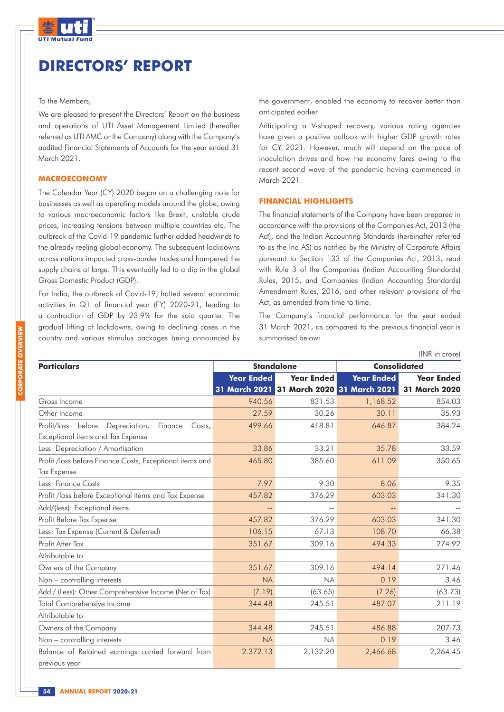

## **DIRECTORS' REPORT**

#### To the Members,

We are pleased to present the Directors' Report on the business and operations of UTI Asset Management Limited (hereafter referred as UTI AMC or the Company) along with the Company's audited Financial Statements of Accounts for the year ended 31 March 2021.

#### **MACROECONOMY**

The Calendar Year (CY) 2020 began on a challenging note for businesses as well as operating models around the globe, owing to various macroeconomic factors like Brexit, unstable crude prices, increasing tensions between multiple countries etc. The outbreak of the Covid-19 pandemic further added headwinds to the already reeling global economy. The subsequent lockdowns across nations impacted cross-border trades and hampered the supply chains at large. This eventually led to a dip in the global Gross Domestic Product (GDP).

For India, the outbreak of Covid-19, halted several economic activities in Q1 of financial year (FY) 2020-21, leading to a contraction of GDP by 23.9% for the said quarter. The gradual lifting of lockdowns, owing to declining cases in the country and various stimulus packages being announced by the government, enabled the economy to recover better than anticipated earlier.

Anticipating a V-shaped recovery, various rating agencies have given a positive outlook with higher GDP growth rates for CY 2021. However, much will depend on the pace of inoculation drives and how the economy fares owing to the recent second wave of the pandemic having commenced in March 2021.

### **FINANCIAL HIGHLIGHTS**

The financial statements of the Company have been prepared in accordance with the provisions of the Companies Act, 2013 (the Act), and the Indian Accounting Standards (hereinafter referred to as the Ind AS) as notified by the Ministry of Corporate Affairs pursuant to Section 133 of the Companies Act, 2013, read with Rule 3 of the Companies (Indian Accounting Standards) Rules, 2015, and Companies (Indian Accounting Standards) Amendment Rules, 2016, and other relevant provisions of the Act, as amended from time to time.

The Company's financial performance for the year ended 31 March 2021, as compared to the previous financial year is summarised below:

|                                                                                                  |                   |                                           |                     | (INR in crore)       |
|--------------------------------------------------------------------------------------------------|-------------------|-------------------------------------------|---------------------|----------------------|
| <b>Particulars</b>                                                                               |                   | <b>Standalone</b>                         | <b>Consolidated</b> |                      |
|                                                                                                  | <b>Year Ended</b> | <b>Year Ended</b>                         | <b>Year Ended</b>   | <b>Year Ended</b>    |
|                                                                                                  |                   | 31 March 2021 31 March 2020 31 March 2021 |                     | <b>31 March 2020</b> |
| Gross Income                                                                                     | 940.56            | 831.53                                    | 1,168.52            | 854.03               |
| Other Income                                                                                     | 27.59             | 30.26                                     | 30.11               | 35.93                |
| Profit/loss<br>before<br>Depreciation,<br>Finance<br>Costs,<br>Exceptional items and Tax Expense | 499.66            | 418.81                                    | 646.87              | 384.24               |
| Less: Depreciation / Amortisation                                                                | 33.86             | 33.21                                     | 35.78               | 33.59                |
| Profit /loss before Finance Costs, Exceptional items and<br><b>Tax Expense</b>                   | 465.80            | 385.60                                    | 611.09              | 350.65               |
| Less: Finance Costs                                                                              | 7.97              | 9.30                                      | 8.06                | 9.35                 |
| Profit /loss before Exceptional items and Tax Expense                                            | 457.82            | 376.29                                    | 603.03              | 341.30               |
| Add/(less): Exceptional items                                                                    | $- -$             |                                           |                     |                      |
| Profit Before Tax Expense                                                                        | 457.82            | 376.29                                    | 603.03              | 341.30               |
| Less: Tax Expense (Current & Deferred)                                                           | 106.15            | 67.13                                     | 108.70              | 66.38                |
| Profit After Tax                                                                                 | 351.67            | 309.16                                    | 494.33              | 274.92               |
| Attributable to                                                                                  |                   |                                           |                     |                      |
| Owners of the Company                                                                            | 351.67            | 309.16                                    | 494.14              | 271.46               |
| Non - controlling interests                                                                      | <b>NA</b>         | <b>NA</b>                                 | 0.19                | 3.46                 |
| Add / (Less): Other Comprehensive Income (Net of Tax)                                            | (7.19)            | (63.65)                                   | (7.26)              | (63.73)              |
| <b>Total Comprehensive Income</b>                                                                | 344.48            | 245.51                                    | 487.07              | 211.19               |
| Attributable to                                                                                  |                   |                                           |                     |                      |
| Owners of the Company                                                                            | 344.48            | 245.51                                    | 486.88              | 207.73               |
| Non - controlling interests                                                                      | <b>NA</b>         | <b>NA</b>                                 | 0.19                | 3.46                 |
| Balance of Retained earnings carried forward from<br>previous year                               | 2.372.13          | 2,132.20                                  | 2,466.68            | 2,264.45             |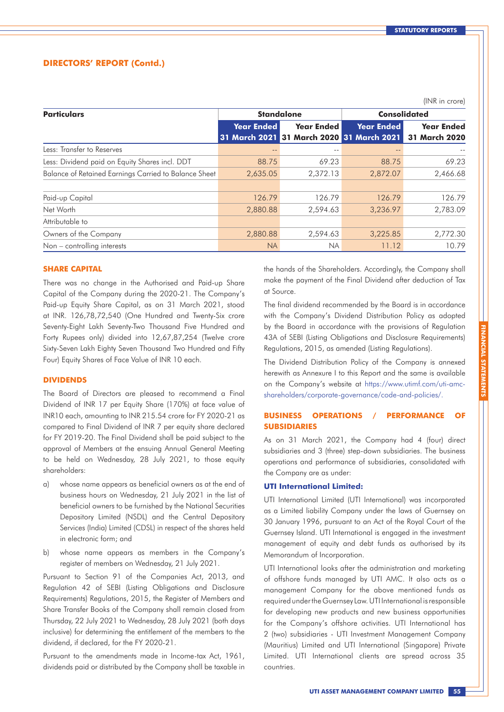$(INID : \text{arctan})$ 

### **DIRECTORS' REPORT (Contd.)**

|                                                       |                   |                                           |                     | $(11.91)$ $(11.1)$   |  |
|-------------------------------------------------------|-------------------|-------------------------------------------|---------------------|----------------------|--|
| <b>Particulars</b>                                    |                   | <b>Standalone</b>                         | <b>Consolidated</b> |                      |  |
|                                                       | <b>Year Ended</b> | <b>Year Ended</b>                         | <b>Year Ended</b>   | <b>Year Ended</b>    |  |
|                                                       |                   | 31 March 2021 31 March 2020 31 March 2021 |                     | <b>31 March 2020</b> |  |
| Less: Transfer to Reserves                            |                   |                                           |                     |                      |  |
| Less: Dividend paid on Equity Shares incl. DDT        | 88.75             | 69.23                                     | 88.75               | 69.23                |  |
| Balance of Retained Earnings Carried to Balance Sheet | 2,635.05          | 2,372.13                                  | 2,872.07            | 2,466.68             |  |
|                                                       |                   |                                           |                     |                      |  |
| Paid-up Capital                                       | 126.79            | 126.79                                    | 126.79              | 126.79               |  |
| Net Worth                                             | 2,880.88          | 2,594.63                                  | 3,236.97            | 2,783.09             |  |
| Attributable to                                       |                   |                                           |                     |                      |  |
| Owners of the Company                                 | 2,880.88          | 2,594.63                                  | 3,225.85            | 2,772.30             |  |
| Non – controlling interests                           | <b>NA</b>         | NA.                                       | 11.12               | 10.79                |  |

#### **SHARE CAPITAL**

There was no change in the Authorised and Paid-up Share Capital of the Company during the 2020-21. The Company's Paid-up Equity Share Capital, as on 31 March 2021, stood at INR. 126,78,72,540 (One Hundred and Twenty-Six crore Seventy-Eight Lakh Seventy-Two Thousand Five Hundred and Forty Rupees only) divided into 12,67,87,254 (Twelve crore Sixty-Seven Lakh Eighty Seven Thousand Two Hundred and Fifty Four) Equity Shares of Face Value of INR 10 each.

#### **DIVIDENDS**

The Board of Directors are pleased to recommend a Final Dividend of INR 17 per Equity Share (170%) at face value of INR10 each, amounting to INR 215.54 crore for FY 2020-21 as compared to Final Dividend of INR 7 per equity share declared for FY 2019-20. The Final Dividend shall be paid subject to the approval of Members at the ensuing Annual General Meeting to be held on Wednesday, 28 July 2021, to those equity shareholders:

- a) whose name appears as beneficial owners as at the end of business hours on Wednesday, 21 July 2021 in the list of beneficial owners to be furnished by the National Securities Depository Limited (NSDL) and the Central Depository Services (India) Limited (CDSL) in respect of the shares held in electronic form; and
- b) whose name appears as members in the Company's register of members on Wednesday, 21 July 2021.

Pursuant to Section 91 of the Companies Act, 2013, and Regulation 42 of SEBI (Listing Obligations and Disclosure Requirements) Regulations, 2015, the Register of Members and Share Transfer Books of the Company shall remain closed from Thursday, 22 July 2021 to Wednesday, 28 July 2021 (both days inclusive) for determining the entitlement of the members to the dividend, if declared, for the FY 2020-21.

Pursuant to the amendments made in Income-tax Act, 1961, dividends paid or distributed by the Company shall be taxable in the hands of the Shareholders. Accordingly, the Company shall make the payment of the Final Dividend after deduction of Tax at Source.

The final dividend recommended by the Board is in accordance with the Company's Dividend Distribution Policy as adopted by the Board in accordance with the provisions of Regulation 43A of SEBI (Listing Obligations and Disclosure Requirements) Regulations, 2015, as amended (Listing Regulations).

The Dividend Distribution Policy of the Company is annexed herewith as Annexure I to this Report and the same is available on the Company's website at https://www.utimf.com/uti-amcshareholders/corporate-governance/code-and-policies/.

### **BUSINESS OPERATIONS / PERFORMANCE OF SUBSIDIARIES**

As on 31 March 2021, the Company had 4 (four) direct subsidiaries and 3 (three) step-down subsidiaries. The business operations and performance of subsidiaries, consolidated with the Company are as under:

#### **UTI International Limited:**

UTI International Limited (UTI International) was incorporated as a Limited liability Company under the laws of Guernsey on 30 January 1996, pursuant to an Act of the Royal Court of the Guernsey Island. UTI International is engaged in the investment management of equity and debt funds as authorised by its Memorandum of Incorporation.

UTI International looks after the administration and marketing of offshore funds managed by UTI AMC. It also acts as a management Company for the above mentioned funds as required under the Guernsey Law. UTI International is responsible for developing new products and new business opportunities for the Company's offshore activities. UTI International has 2 (two) subsidiaries - UTI Investment Management Company (Mauritius) Limited and UTI International (Singapore) Private Limited. UTI International clients are spread across 35 countries.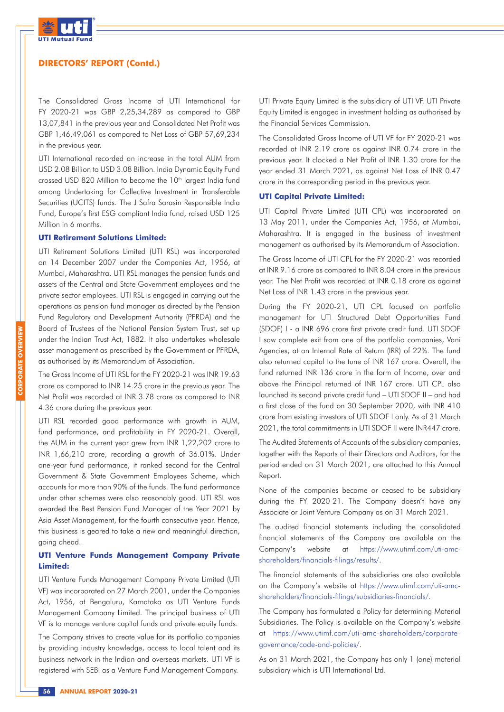

The Consolidated Gross Income of UTI International for FY 2020-21 was GBP 2,25,34,289 as compared to GBP 13,07,841 in the previous year and Consolidated Net Profit was GBP 1,46,49,061 as compared to Net Loss of GBP 57,69,234 in the previous year.

UTI International recorded an increase in the total AUM from USD 2.08 Billion to USD 3.08 Billion. India Dynamic Equity Fund crossed USD 820 Million to become the 10<sup>th</sup> largest India fund among Undertaking for Collective Investment in Transferable Securities (UCITS) funds. The J Safra Sarasin Responsible India Fund, Europe's first ESG compliant India fund, raised USD 125 Million in 6 months.

#### **UTI Retirement Solutions Limited:**

UTI Retirement Solutions Limited (UTI RSL) was incorporated on 14 December 2007 under the Companies Act, 1956, at Mumbai, Maharashtra. UTI RSL manages the pension funds and assets of the Central and State Government employees and the private sector employees. UTI RSL is engaged in carrying out the operations as pension fund manager as directed by the Pension Fund Regulatory and Development Authority (PFRDA) and the Board of Trustees of the National Pension System Trust, set up under the Indian Trust Act, 1882. It also undertakes wholesale asset management as prescribed by the Government or PFRDA, as authorised by its Memorandum of Association.

The Gross Income of UTI RSL for the FY 2020-21 was INR 19.63 crore as compared to INR 14.25 crore in the previous year. The Net Profit was recorded at INR 3.78 crore as compared to INR 4.36 crore during the previous year.

UTI RSL recorded good performance with growth in AUM, fund performance, and profitability in FY 2020-21. Overall, the AUM in the current year grew from INR 1,22,202 crore to INR 1,66,210 crore, recording a growth of 36.01%. Under one-year fund performance, it ranked second for the Central Government & State Government Employees Scheme, which accounts for more than 90% of the funds. The fund performance under other schemes were also reasonably good. UTI RSL was awarded the Best Pension Fund Manager of the Year 2021 by Asia Asset Management, for the fourth consecutive year. Hence, this business is geared to take a new and meaningful direction, going ahead.

### **UTI Venture Funds Management Company Private Limited:**

UTI Venture Funds Management Company Private Limited (UTI VF) was incorporated on 27 March 2001, under the Companies Act, 1956, at Bengaluru, Karnataka as UTI Venture Funds Management Company Limited. The principal business of UTI VF is to manage venture capital funds and private equity funds.

The Company strives to create value for its portfolio companies by providing industry knowledge, access to local talent and its business network in the Indian and overseas markets. UTI VF is registered with SEBI as a Venture Fund Management Company.

UTI Private Equity Limited is the subsidiary of UTI VF. UTI Private Equity Limited is engaged in investment holding as authorised by the Financial Services Commission.

The Consolidated Gross Income of UTI VF for FY 2020-21 was recorded at INR 2.19 crore as against INR 0.74 crore in the previous year. It clocked a Net Profit of INR 1.30 crore for the year ended 31 March 2021, as against Net Loss of INR 0.47 crore in the corresponding period in the previous year.

#### **UTI Capital Private Limited:**

UTI Capital Private Limited (UTI CPL) was incorporated on 13 May 2011, under the Companies Act, 1956, at Mumbai, Maharashtra. It is engaged in the business of investment management as authorised by its Memorandum of Association.

The Gross Income of UTI CPL for the FY 2020-21 was recorded at INR 9.16 crore as compared to INR 8.04 crore in the previous year. The Net Profit was recorded at INR 0.18 crore as against Net Loss of INR 1.43 crore in the previous year.

During the FY 2020-21, UTI CPL focused on portfolio management for UTI Structured Debt Opportunities Fund (SDOF) I - a INR 696 crore first private credit fund. UTI SDOF I saw complete exit from one of the portfolio companies, Vani Agencies, at an Internal Rate of Return (IRR) of 22%. The fund also returned capital to the tune of INR 167 crore. Overall, the fund returned INR 136 crore in the form of Income, over and above the Principal returned of INR 167 crore. UTI CPL also launched its second private credit fund – UTI SDOF II – and had a first close of the fund on 30 September 2020, with INR 410 crore from existing investors of UTI SDOF I only. As of 31 March 2021, the total commitments in UTI SDOF II were INR447 crore.

The Audited Statements of Accounts of the subsidiary companies, together with the Reports of their Directors and Auditors, for the period ended on 31 March 2021, are attached to this Annual Report.

None of the companies became or ceased to be subsidiary during the FY 2020-21. The Company doesn't have any Associate or Joint Venture Company as on 31 March 2021.

The audited financial statements including the consolidated financial statements of the Company are available on the Company's website at https://www.utimf.com/uti-amcshareholders/financials-filings/results/.

The financial statements of the subsidiaries are also available on the Company's website at https://www.utimf.com/uti-amcshareholders/financials-filings/subsidiaries-financials/.

The Company has formulated a Policy for determining Material Subsidiaries. The Policy is available on the Company's website at https://www.utimf.com/uti-amc-shareholders/corporategovernance/code-and-policies/.

As on 31 March 2021, the Company has only 1 (one) material subsidiary which is UTI International Ltd.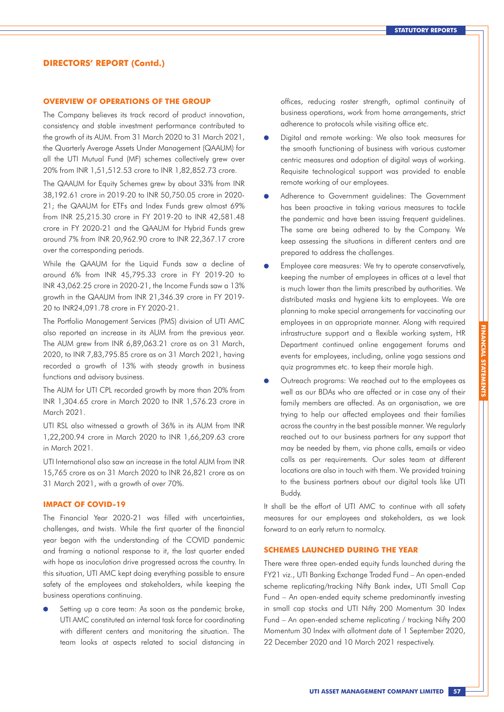#### **OVERVIEW OF OPERATIONS OF THE GROUP**

The Company believes its track record of product innovation, consistency and stable investment performance contributed to the growth of its AUM. From 31 March 2020 to 31 March 2021, the Quarterly Average Assets Under Management (QAAUM) for all the UTI Mutual Fund (MF) schemes collectively grew over 20% from INR 1,51,512.53 crore to INR 1,82,852.73 crore.

The QAAUM for Equity Schemes grew by about 33% from INR 38,192.61 crore in 2019-20 to INR 50,750.05 crore in 2020- 21; the QAAUM for ETFs and Index Funds grew almost 69% from INR 25,215.30 crore in FY 2019-20 to INR 42,581.48 crore in FY 2020-21 and the QAAUM for Hybrid Funds grew around 7% from INR 20,962.90 crore to INR 22,367.17 crore over the corresponding periods.

While the QAAUM for the Liquid Funds saw a decline of around 6% from INR 45,795.33 crore in FY 2019-20 to INR 43,062.25 crore in 2020-21, the Income Funds saw a 13% growth in the QAAUM from INR 21,346.39 crore in FY 2019- 20 to INR24,091.78 crore in FY 2020-21.

The Portfolio Management Services (PMS) division of UTI AMC also reported an increase in its AUM from the previous year. The AUM grew from INR 6,89,063.21 crore as on 31 March, 2020, to INR 7,83,795.85 crore as on 31 March 2021, having recorded a growth of 13% with steady growth in business functions and advisory business.

The AUM for UTI CPL recorded growth by more than 20% from INR 1,304.65 crore in March 2020 to INR 1,576.23 crore in March 2021.

UTI RSL also witnessed a growth of 36% in its AUM from INR 1,22,200.94 crore in March 2020 to INR 1,66,209.63 crore in March 2021.

UTI International also saw an increase in the total AUM from INR 15,765 crore as on 31 March 2020 to INR 26,821 crore as on 31 March 2021, with a growth of over 70%.

### **IMPACT OF COVID-19**

The Financial Year 2020-21 was filled with uncertainties, challenges, and twists. While the first quarter of the financial year began with the understanding of the COVID pandemic and framing a national response to it, the last quarter ended with hope as inoculation drive progressed across the country. In this situation, UTI AMC kept doing everything possible to ensure safety of the employees and stakeholders, while keeping the business operations continuing.

Setting up a core team: As soon as the pandemic broke, UTI AMC constituted an internal task force for coordinating with different centers and monitoring the situation. The team looks at aspects related to social distancing in offices, reducing roster strength, optimal continuity of business operations, work from home arrangements, strict adherence to protocols while visiting office etc.

- Digital and remote working: We also took measures for the smooth functioning of business with various customer centric measures and adoption of digital ways of working. Requisite technological support was provided to enable remote working of our employees.
- $\bullet$ Adherence to Government guidelines: The Government has been proactive in taking various measures to tackle the pandemic and have been issuing frequent guidelines. The same are being adhered to by the Company. We keep assessing the situations in different centers and are prepared to address the challenges.
- Employee care measures: We try to operate conservatively, keeping the number of employees in offices at a level that is much lower than the limits prescribed by authorities. We distributed masks and hygiene kits to employees. We are planning to make special arrangements for vaccinating our employees in an appropriate manner. Along with required infrastructure support and a flexible working system, HR Department continued online engagement forums and events for employees, including, online yoga sessions and quiz programmes etc. to keep their morale high.
- Outreach programs: We reached out to the employees as well as our BDAs who are affected or in case any of their family members are affected. As an organisation, we are trying to help our affected employees and their families across the country in the best possible manner. We regularly reached out to our business partners for any support that may be needed by them, via phone calls, emails or video calls as per requirements. Our sales team at different locations are also in touch with them. We provided training to the business partners about our digital tools like UTI Buddy.

It shall be the effort of UTI AMC to continue with all safety measures for our employees and stakeholders, as we look forward to an early return to normalcy.

#### **SCHEMES LAUNCHED DURING THE YEAR**

There were three open-ended equity funds launched during the FY21 viz., UTI Banking Exchange Traded Fund – An open-ended scheme replicating/tracking Nifty Bank index, UTI Small Cap Fund – An open-ended equity scheme predominantly investing in small cap stocks and UTI Nifty 200 Momentum 30 Index Fund – An open-ended scheme replicating / tracking Nifty 200 Momentum 30 Index with allotment date of 1 September 2020, 22 December 2020 and 10 March 2021 respectively.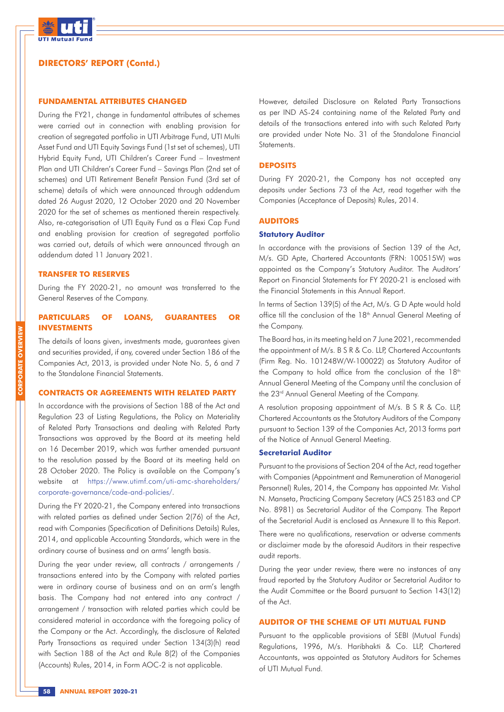

#### **FUNDAMENTAL ATTRIBUTES CHANGED**

During the FY21, change in fundamental attributes of schemes were carried out in connection with enabling provision for creation of segregated portfolio in UTI Arbitrage Fund, UTI Multi Asset Fund and UTI Equity Savings Fund (1st set of schemes), UTI Hybrid Equity Fund, UTI Children's Career Fund – Investment Plan and UTI Children's Career Fund – Savings Plan (2nd set of schemes) and UTI Retirement Benefit Pension Fund (3rd set of scheme) details of which were announced through addendum dated 26 August 2020, 12 October 2020 and 20 November 2020 for the set of schemes as mentioned therein respectively. Also, re-categorisation of UTI Equity Fund as a Flexi Cap Fund and enabling provision for creation of segregated portfolio was carried out, details of which were announced through an addendum dated 11 January 2021.

#### **TRANSFER TO RESERVES**

During the FY 2020-21, no amount was transferred to the General Reserves of the Company.

### **PARTICULARS OF LOANS, GUARANTEES OR INVESTMENTS**

The details of loans given, investments made, guarantees given and securities provided, if any, covered under Section 186 of the Companies Act, 2013, is provided under Note No. 5, 6 and 7 to the Standalone Financial Statements.

### **CONTRACTS OR AGREEMENTS WITH RELATED PARTY**

In accordance with the provisions of Section 188 of the Act and Regulation 23 of Listing Regulations, the Policy on Materiality of Related Party Transactions and dealing with Related Party Transactions was approved by the Board at its meeting held on 16 December 2019, which was further amended pursuant to the resolution passed by the Board at its meeting held on 28 October 2020. The Policy is available on the Company's website at https://www.utimf.com/uti-amc-shareholders/ corporate-governance/code-and-policies/.

During the FY 2020-21, the Company entered into transactions with related parties as defined under Section 2(76) of the Act, read with Companies (Specification of Definitions Details) Rules, 2014, and applicable Accounting Standards, which were in the ordinary course of business and on arms' length basis.

During the year under review, all contracts / arrangements / transactions entered into by the Company with related parties were in ordinary course of business and on an arm's length basis. The Company had not entered into any contract / arrangement / transaction with related parties which could be considered material in accordance with the foregoing policy of the Company or the Act. Accordingly, the disclosure of Related Party Transactions as required under Section 134(3)(h) read with Section 188 of the Act and Rule 8(2) of the Companies (Accounts) Rules, 2014, in Form AOC-2 is not applicable.

However, detailed Disclosure on Related Party Transactions as per IND AS-24 containing name of the Related Party and details of the transactions entered into with such Related Party are provided under Note No. 31 of the Standalone Financial Statements.

#### **DEPOSITS**

During FY 2020-21, the Company has not accepted any deposits under Sections 73 of the Act, read together with the Companies (Acceptance of Deposits) Rules, 2014.

#### **AUDITORS**

#### **Statutory Auditor**

In accordance with the provisions of Section 139 of the Act, M/s. GD Apte, Chartered Accountants (FRN: 100515W) was appointed as the Company's Statutory Auditor. The Auditors' Report on Financial Statements for FY 2020-21 is enclosed with the Financial Statements in this Annual Report.

In terms of Section 139(5) of the Act, M/s. G D Apte would hold office till the conclusion of the 18<sup>th</sup> Annual General Meeting of the Company.

The Board has, in its meeting held on 7 June 2021, recommended the appointment of M/s. B S R & Co. LLP, Chartered Accountants (Firm Reg. No. 101248W/W-100022) as Statutory Auditor of the Company to hold office from the conclusion of the  $18<sup>th</sup>$ Annual General Meeting of the Company until the conclusion of the 23<sup>rd</sup> Annual General Meeting of the Company.

A resolution proposing appointment of M/s. B S R & Co. LLP, Chartered Accountants as the Statutory Auditors of the Company pursuant to Section 139 of the Companies Act, 2013 forms part of the Notice of Annual General Meeting.

#### **Secretarial Auditor**

Pursuant to the provisions of Section 204 of the Act, read together with Companies (Appointment and Remuneration of Managerial Personnel) Rules, 2014, the Company has appointed Mr. Vishal N. Manseta, Practicing Company Secretary (ACS 25183 and CP No. 8981) as Secretarial Auditor of the Company. The Report of the Secretarial Audit is enclosed as Annexure II to this Report.

There were no qualifications, reservation or adverse comments or disclaimer made by the aforesaid Auditors in their respective audit reports.

During the year under review, there were no instances of any fraud reported by the Statutory Auditor or Secretarial Auditor to the Audit Committee or the Board pursuant to Section 143(12) of the Act.

#### **AUDITOR OF THE SCHEME OF UTI MUTUAL FUND**

Pursuant to the applicable provisions of SEBI (Mutual Funds) Regulations, 1996, M/s. Haribhakti & Co. LLP, Chartered Accountants, was appointed as Statutory Auditors for Schemes of UTI Mutual Fund.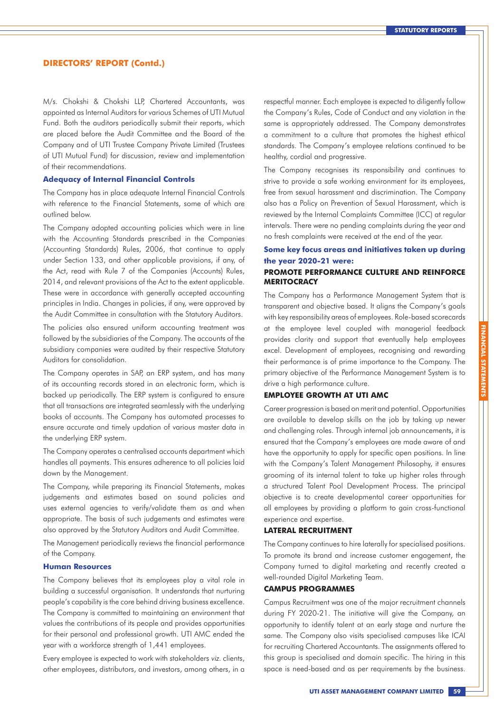M/s. Chokshi & Chokshi LLP, Chartered Accountants, was appointed as Internal Auditors for various Schemes of UTI Mutual Fund. Both the auditors periodically submit their reports, which are placed before the Audit Committee and the Board of the Company and of UTI Trustee Company Private Limited (Trustees of UTI Mutual Fund) for discussion, review and implementation of their recommendations.

#### **Adequacy of Internal Financial Controls**

The Company has in place adequate Internal Financial Controls with reference to the Financial Statements, some of which are outlined below.

The Company adopted accounting policies which were in line with the Accounting Standards prescribed in the Companies (Accounting Standards) Rules, 2006, that continue to apply under Section 133, and other applicable provisions, if any, of the Act, read with Rule 7 of the Companies (Accounts) Rules, 2014, and relevant provisions of the Act to the extent applicable. These were in accordance with generally accepted accounting principles in India. Changes in policies, if any, were approved by the Audit Committee in consultation with the Statutory Auditors.

The policies also ensured uniform accounting treatment was followed by the subsidiaries of the Company. The accounts of the subsidiary companies were audited by their respective Statutory Auditors for consolidation.

The Company operates in SAP, an ERP system, and has many of its accounting records stored in an electronic form, which is backed up periodically. The ERP system is configured to ensure that all transactions are integrated seamlessly with the underlying books of accounts. The Company has automated processes to ensure accurate and timely updation of various master data in the underlying ERP system.

The Company operates a centralised accounts department which handles all payments. This ensures adherence to all policies laid down by the Management.

The Company, while preparing its Financial Statements, makes judgements and estimates based on sound policies and uses external agencies to verify/validate them as and when appropriate. The basis of such judgements and estimates were also approved by the Statutory Auditors and Audit Committee.

The Management periodically reviews the financial performance of the Company.

#### **Human Resources**

The Company believes that its employees play a vital role in building a successful organisation. It understands that nurturing people's capability is the core behind driving business excellence. The Company is committed to maintaining an environment that values the contributions of its people and provides opportunities for their personal and professional growth. UTI AMC ended the year with a workforce strength of 1,441 employees.

Every employee is expected to work with stakeholders viz. clients, other employees, distributors, and investors, among others, in a respectful manner. Each employee is expected to diligently follow the Company's Rules, Code of Conduct and any violation in the same is appropriately addressed. The Company demonstrates a commitment to a culture that promotes the highest ethical standards. The Company's employee relations continued to be healthy, cordial and progressive.

The Company recognises its responsibility and continues to strive to provide a safe working environment for its employees, free from sexual harassment and discrimination. The Company also has a Policy on Prevention of Sexual Harassment, which is reviewed by the Internal Complaints Committee (ICC) at regular intervals. There were no pending complaints during the year and no fresh complaints were received at the end of the year.

### **Some key focus areas and initiatives taken up during the year 2020-21 were:**

### **PROMOTE PERFORMANCE CULTURE AND REINFORCE MERITOCRACY**

The Company has a Performance Management System that is transparent and objective based. It aligns the Company's goals with key responsibility areas of employees. Role-based scorecards at the employee level coupled with managerial feedback provides clarity and support that eventually help employees excel. Development of employees, recognising and rewarding their performance is of prime importance to the Company. The primary objective of the Performance Management System is to drive a high performance culture.

**FINANCIAL STATEMENTS**

**FINANCIAL STATEMENTS** 

### **EMPLOYEE GROWTH AT UTI AMC**

Career progression is based on merit and potential. Opportunities are available to develop skills on the job by taking up newer and challenging roles. Through internal job announcements, it is ensured that the Company's employees are made aware of and have the opportunity to apply for specific open positions. In line with the Company's Talent Management Philosophy, it ensures grooming of its internal talent to take up higher roles through a structured Talent Pool Development Process. The principal objective is to create developmental career opportunities for all employees by providing a platform to gain cross-functional experience and expertise.

#### **LATERAL RECRUITMENT**

The Company continues to hire laterally for specialised positions. To promote its brand and increase customer engagement, the Company turned to digital marketing and recently created a well-rounded Digital Marketing Team.

### **CAMPUS PROGRAMMES**

Campus Recruitment was one of the major recruitment channels during FY 2020-21. The initiative will give the Company, an opportunity to identify talent at an early stage and nurture the same. The Company also visits specialised campuses like ICAI for recruiting Chartered Accountants. The assignments offered to this group is specialised and domain specific. The hiring in this space is need-based and as per requirements by the business.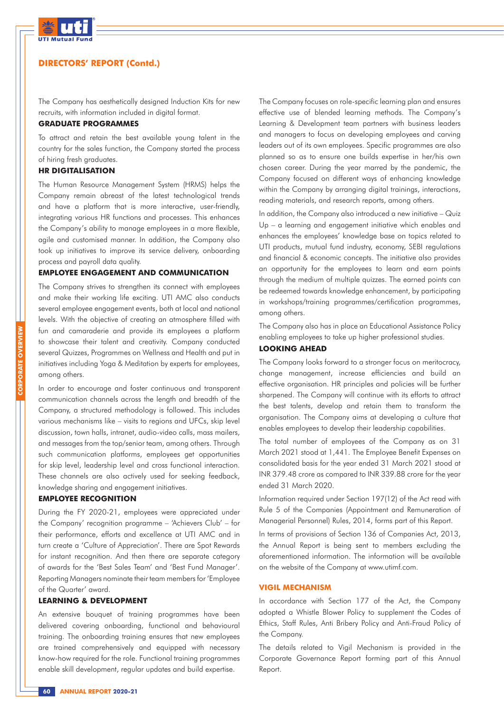

The Company has aesthetically designed Induction Kits for new recruits, with information included in digital format.

### **GRADUATE PROGRAMMES**

To attract and retain the best available young talent in the country for the sales function, the Company started the process of hiring fresh graduates.

#### **HR DIGITALISATION**

The Human Resource Management System (HRMS) helps the Company remain abreast of the latest technological trends and have a platform that is more interactive, user-friendly, integrating various HR functions and processes. This enhances the Company's ability to manage employees in a more flexible, agile and customised manner. In addition, the Company also took up initiatives to improve its service delivery, onboarding process and payroll data quality.

#### **EMPLOYEE ENGAGEMENT AND COMMUNICATION**

The Company strives to strengthen its connect with employees and make their working life exciting. UTI AMC also conducts several employee engagement events, both at local and national levels. With the objective of creating an atmosphere filled with fun and camaraderie and provide its employees a platform to showcase their talent and creativity. Company conducted several Quizzes, Programmes on Wellness and Health and put in initiatives including Yoga & Meditation by experts for employees, among others.

In order to encourage and foster continuous and transparent communication channels across the length and breadth of the Company, a structured methodology is followed. This includes various mechanisms like – visits to regions and UFCs, skip level discussion, town halls, intranet, audio-video calls, mass mailers, and messages from the top/senior team, among others. Through such communication platforms, employees get opportunities for skip level, leadership level and cross functional interaction. These channels are also actively used for seeking feedback, knowledge sharing and engagement initiatives.

#### **EMPLOYEE RECOGNITION**

During the FY 2020-21, employees were appreciated under the Company' recognition programme – 'Achievers Club' – for their performance, efforts and excellence at UTI AMC and in turn create a 'Culture of Appreciation'. There are Spot Rewards for instant recognition. And then there are separate category of awards for the 'Best Sales Team' and 'Best Fund Manager'. Reporting Managers nominate their team members for 'Employee of the Quarter' award.

#### **LEARNING & DEVELOPMENT**

An extensive bouquet of training programmes have been delivered covering onboarding, functional and behavioural training. The onboarding training ensures that new employees are trained comprehensively and equipped with necessary know-how required for the role. Functional training programmes enable skill development, regular updates and build expertise.

The Company focuses on role-specific learning plan and ensures effective use of blended learning methods. The Company's Learning & Development team partners with business leaders and managers to focus on developing employees and carving leaders out of its own employees. Specific programmes are also planned so as to ensure one builds expertise in her/his own chosen career. During the year marred by the pandemic, the Company focused on different ways of enhancing knowledge within the Company by arranging digital trainings, interactions, reading materials, and research reports, among others.

In addition, the Company also introduced a new initiative – Quiz Up – a learning and engagement initiative which enables and enhances the employees' knowledge base on topics related to UTI products, mutual fund industry, economy, SEBI regulations and financial & economic concepts. The initiative also provides an opportunity for the employees to learn and earn points through the medium of multiple quizzes. The earned points can be redeemed towards knowledge enhancement, by participating in workshops/training programmes/certification programmes, among others.

The Company also has in place an Educational Assistance Policy enabling employees to take up higher professional studies.

### **LOOKING AHEAD**

The Company looks forward to a stronger focus on meritocracy, change management, increase efficiencies and build an effective organisation. HR principles and policies will be further sharpened. The Company will continue with its efforts to attract the best talents, develop and retain them to transform the organisation. The Company aims at developing a culture that enables employees to develop their leadership capabilities.

The total number of employees of the Company as on 31 March 2021 stood at 1,441. The Employee Benefit Expenses on consolidated basis for the year ended 31 March 2021 stood at INR 379.48 crore as compared to INR 339.88 crore for the year ended 31 March 2020.

Information required under Section 197(12) of the Act read with Rule 5 of the Companies (Appointment and Remuneration of Managerial Personnel) Rules, 2014, forms part of this Report.

In terms of provisions of Section 136 of Companies Act, 2013, the Annual Report is being sent to members excluding the aforementioned information. The information will be available on the website of the Company at www.utimf.com.

#### **VIGIL MECHANISM**

In accordance with Section 177 of the Act, the Company adopted a Whistle Blower Policy to supplement the Codes of Ethics, Staff Rules, Anti Bribery Policy and Anti-Fraud Policy of the Company.

The details related to Vigil Mechanism is provided in the Corporate Governance Report forming part of this Annual Report.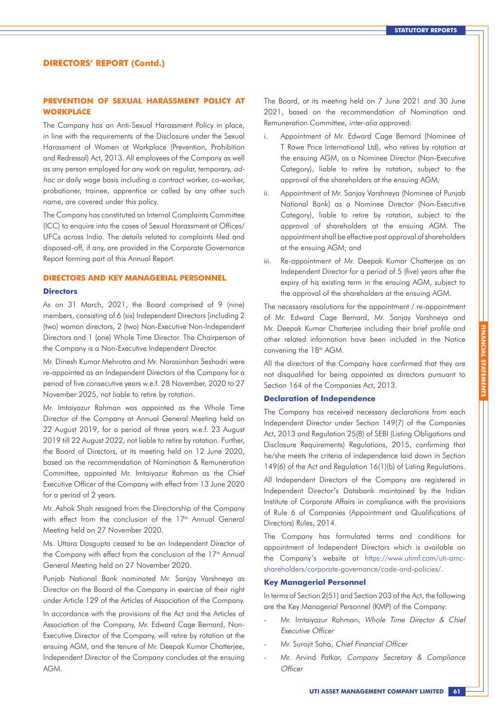### **PREVENTION OF SEXUAL HARASSMENT POLICY AT WORKPLACE**

The Company has an Anti-Sexual Harassment Policy in place, in line with the requirements of the Disclosure under the Sexual Harassment of Women at Workplace (Prevention, Prohibition and Redressal) Act, 2013. All employees of the Company as well as any person employed for any work on regular, temporary, adhoc or daily wage basis including a contract worker, co-worker, probationer, trainee, apprentice or called by any other such name, are covered under this policy.

The Company has constituted an Internal Complaints Committee (ICC) to enquire into the cases of Sexual Harassment at Offices/ UFCs across India. The details related to complaints filed and disposed-off, if any, are provided in the Corporate Governance Report forming part of this Annual Report.

#### **DIRECTORS AND KEY MANAGERIAL PERSONNEL**

#### **Directors**

As on 31 March, 2021, the Board comprised of 9 (nine) members, consisting of 6 (six) Independent Directors [including 2 (two) woman directors, 2 (two) Non-Executive Non-Independent Directors and 1 (one) Whole Time Director. The Chairperson of the Company is a Non-Executive Independent Director.

Mr. Dinesh Kumar Mehrotra and Mr. Narasimhan Seshadri were re-appointed as an Independent Directors of the Company for a period of five consecutive years w.e.f. 28 November, 2020 to 27 November 2025, not liable to retire by rotation.

Mr. Imtaiyazur Rahman was appointed as the Whole Time Director of the Company at Annual General Meeting held on 22 August 2019, for a period of three years w.e.f. 23 August 2019 till 22 August 2022, not liable to retire by rotation. Further, the Board of Directors, at its meeting held on 12 June 2020, based on the recommendation of Nomination & Remuneration Committee, appointed Mr. Imtaiyazur Rahman as the Chief Executive Officer of the Company with effect from 13 June 2020 for a period of 2 years.

Mr. Ashok Shah resigned from the Directorship of the Company with effect from the conclusion of the 17<sup>th</sup> Annual General Meeting held on 27 November 2020.

Ms. Uttara Dasgupta ceased to be an Independent Director of the Company with effect from the conclusion of the 17<sup>th</sup> Annual General Meeting held on 27 November 2020.

Punjab National Bank nominated Mr. Sanjay Varshneya as Director on the Board of the Company in exercise of their right under Article 129 of the Articles of Association of the Company.

In accordance with the provisions of the Act and the Articles of Association of the Company, Mr. Edward Cage Bernard, Non-Executive Director of the Company, will retire by rotation at the ensuing AGM, and the tenure of Mr. Deepak Kumar Chatterjee, Independent Director of the Company concludes at the ensuing AGM.

The Board, at its meeting held on 7 June 2021 and 30 June 2021, based on the recommendation of Nomination and Remuneration Committee, inter-alia approved:

- i. Appointment of Mr. Edward Cage Bernard (Nominee of T Rowe Price International Ltd), who retires by rotation at the ensuing AGM, as a Nominee Director (Non-Executive Category), liable to retire by rotation, subject to the approval of the shareholders at the ensuing AGM;
- ii. Appointment of Mr. Sanjay Varshneya (Nominee of Punjab National Bank) as a Nominee Director (Non-Executive Category), liable to retire by rotation, subject to the approval of shareholders at the ensuing AGM. The appointment shall be effective post approval of shareholders at the ensuing AGM; and
- iii. Re-appointment of Mr. Deepak Kumar Chatterjee as an Independent Director for a period of 5 (five) years after the expiry of his existing term in the ensuing AGM, subject to the approval of the shareholders at the ensuing AGM.

The necessary resolutions for the appointment / re-appointment of Mr. Edward Cage Bernard, Mr. Sanjay Varshneya and Mr. Deepak Kumar Chatterjee including their brief profile and other related information have been included in the Notice convening the 18<sup>th</sup> AGM.

All the directors of the Company have confirmed that they are not disqualified for being appointed as directors pursuant to Section 164 of the Companies Act, 2013.

#### **Declaration of Independence**

The Company has received necessary declarations from each Independent Director under Section 149(7) of the Companies Act, 2013 and Regulation 25(8) of SEBI (Listing Obligations and Disclosure Requirements) Regulations, 2015, confirming that he/she meets the criteria of independence laid down in Section 149(6) of the Act and Regulation 16(1)(b) of Listing Regulations.

All Independent Directors of the Company are registered in Independent Director's Databank maintained by the Indian Institute of Corporate Affairs in compliance with the provisions of Rule 6 of Companies (Appointment and Qualifications of Directors) Rules, 2014.

The Company has formulated terms and conditions for appointment of Independent Directors which is available on the Company's website at https://www.utimf.com/uti-amcshareholders/corporate-governance/code-and-policies/.

#### **Key Managerial Personnel**

In terms of Section 2(51) and Section 203 of the Act, the following are the Key Managerial Personnel (KMP) of the Company:

- Mr. Imtaiyazur Rahman, Whole Time Director & Chief Executive Officer
- Mr. Surojit Saha, Chief Financial Officer
- Mr. Arvind Patkar, Company Secretary & Compliance **Officer**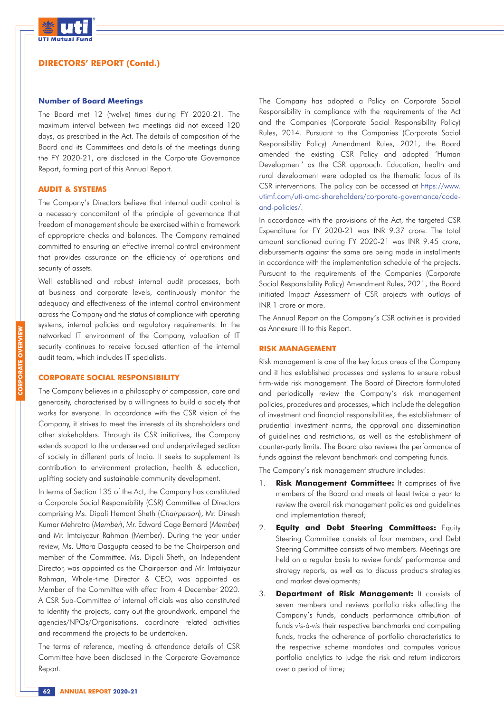

#### **Number of Board Meetings**

The Board met 12 (twelve) times during FY 2020-21. The maximum interval between two meetings did not exceed 120 days, as prescribed in the Act. The details of composition of the Board and its Committees and details of the meetings during the FY 2020-21, are disclosed in the Corporate Governance Report, forming part of this Annual Report.

#### **AUDIT & SYSTEMS**

The Company's Directors believe that internal audit control is a necessary concomitant of the principle of governance that freedom of management should be exercised within a framework of appropriate checks and balances. The Company remained committed to ensuring an effective internal control environment that provides assurance on the efficiency of operations and security of assets.

Well established and robust internal audit processes, both at business and corporate levels, continuously monitor the adequacy and effectiveness of the internal control environment across the Company and the status of compliance with operating systems, internal policies and regulatory requirements. In the networked IT environment of the Company, valuation of IT security continues to receive focused attention of the internal audit team, which includes IT specialists.

### **CORPORATE SOCIAL RESPONSIBILITY**

The Company believes in a philosophy of compassion, care and generosity, characterised by a willingness to build a society that works for everyone. In accordance with the CSR vision of the Company, it strives to meet the interests of its shareholders and other stakeholders. Through its CSR initiatives, the Company extends support to the underserved and underprivileged section of society in different parts of India. It seeks to supplement its contribution to environment protection, health & education, uplifting society and sustainable community development.

In terms of Section 135 of the Act, the Company has constituted a Corporate Social Responsibility (CSR) Committee of Directors comprising Ms. Dipali Hemant Sheth (Chairperson), Mr. Dinesh Kumar Mehrotra (Member), Mr. Edward Cage Bernard (Member) and Mr. Imtaiyazur Rahman (Member). During the year under review, Ms. Uttara Dasgupta ceased to be the Chairperson and member of the Committee. Ms. Dipali Sheth, an Independent Director, was appointed as the Chairperson and Mr. Imtaiyazur Rahman, Whole-time Director & CEO, was appointed as Member of the Committee with effect from 4 December 2020. A CSR Sub-Committee of internal officials was also constituted to identity the projects, carry out the groundwork, empanel the agencies/NPOs/Organisations, coordinate related activities and recommend the projects to be undertaken.

The terms of reference, meeting & attendance details of CSR Committee have been disclosed in the Corporate Governance Report.

The Company has adopted a Policy on Corporate Social Responsibility in compliance with the requirements of the Act and the Companies (Corporate Social Responsibility Policy) Rules, 2014. Pursuant to the Companies (Corporate Social Responsibility Policy) Amendment Rules, 2021, the Board amended the existing CSR Policy and adopted 'Human Development' as the CSR approach. Education, health and rural development were adopted as the thematic focus of its CSR interventions. The policy can be accessed at https://www. utimf.com/uti-amc-shareholders/corporate-governance/codeand-policies/.

In accordance with the provisions of the Act, the targeted CSR Expenditure for FY 2020-21 was INR 9.37 crore. The total amount sanctioned during FY 2020-21 was INR 9.45 crore, disbursements against the same are being made in installments in accordance with the implementation schedule of the projects. Pursuant to the requirements of the Companies (Corporate Social Responsibility Policy) Amendment Rules, 2021, the Board initiated Impact Assessment of CSR projects with outlays of INR 1 crore or more.

The Annual Report on the Company's CSR activities is provided as Annexure III to this Report.

#### **RISK MANAGEMENT**

Risk management is one of the key focus areas of the Company and it has established processes and systems to ensure robust firm-wide risk management. The Board of Directors formulated and periodically review the Company's risk management policies, procedures and processes, which include the delegation of investment and financial responsibilities, the establishment of prudential investment norms, the approval and dissemination of guidelines and restrictions, as well as the establishment of counter-party limits. The Board also reviews the performance of funds against the relevant benchmark and competing funds.

The Company's risk management structure includes:

- 1. Risk Management Committee: It comprises of five members of the Board and meets at least twice a year to review the overall risk management policies and guidelines and implementation thereof;
- 2. **Equity and Debt Steering Committees:** Equity Steering Committee consists of four members, and Debt Steering Committee consists of two members. Meetings are held on a regular basis to review funds' performance and strategy reports, as well as to discuss products strategies and market developments;
- 3. **Department of Risk Management:** It consists of seven members and reviews portfolio risks affecting the Company's funds, conducts performance attribution of funds *vis-à-vis* their respective benchmarks and competing funds, tracks the adherence of portfolio characteristics to the respective scheme mandates and computes various portfolio analytics to judge the risk and return indicators over a period of time;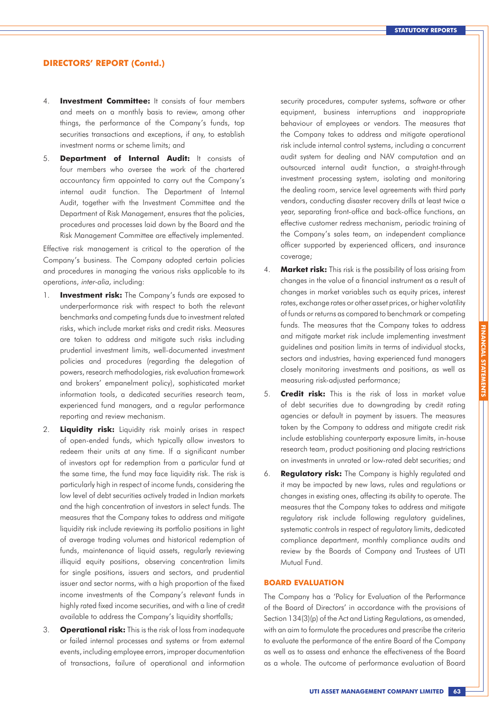- 4. **Investment Committee:** It consists of four members and meets on a monthly basis to review, among other things, the performance of the Company's funds, top securities transactions and exceptions, if any, to establish investment norms or scheme limits; and
- 5. **Department of Internal Audit:** It consists of four members who oversee the work of the chartered accountancy firm appointed to carry out the Company's internal audit function. The Department of Internal Audit, together with the Investment Committee and the Department of Risk Management, ensures that the policies, procedures and processes laid down by the Board and the Risk Management Committee are effectively implemented.

Effective risk management is critical to the operation of the Company's business. The Company adopted certain policies and procedures in managing the various risks applicable to its operations, inter-alia, including:

- 1. **Investment risk:** The Company's funds are exposed to underperformance risk with respect to both the relevant benchmarks and competing funds due to investment related risks, which include market risks and credit risks. Measures are taken to address and mitigate such risks including prudential investment limits, well-documented investment policies and procedures (regarding the delegation of powers, research methodologies, risk evaluation framework and brokers' empanelment policy), sophisticated market information tools, a dedicated securities research team, experienced fund managers, and a regular performance reporting and review mechanism.
- 2. **Liquidity risk:** Liquidity risk mainly arises in respect of open-ended funds, which typically allow investors to redeem their units at any time. If a significant number of investors opt for redemption from a particular fund at the same time, the fund may face liquidity risk. The risk is particularly high in respect of income funds, considering the low level of debt securities actively traded in Indian markets and the high concentration of investors in select funds. The measures that the Company takes to address and mitigate liquidity risk include reviewing its portfolio positions in light of average trading volumes and historical redemption of funds, maintenance of liquid assets, regularly reviewing illiquid equity positions, observing concentration limits for single positions, issuers and sectors, and prudential issuer and sector norms, with a high proportion of the fixed income investments of the Company's relevant funds in highly rated fixed income securities, and with a line of credit available to address the Company's liquidity shortfalls;
- 3. **Operational risk:** This is the risk of loss from inadequate or failed internal processes and systems or from external events, including employee errors, improper documentation of transactions, failure of operational and information

security procedures, computer systems, software or other equipment, business interruptions and inappropriate behaviour of employees or vendors. The measures that the Company takes to address and mitigate operational risk include internal control systems, including a concurrent audit system for dealing and NAV computation and an outsourced internal audit function, a straight-through investment processing system, isolating and monitoring the dealing room, service level agreements with third party vendors, conducting disaster recovery drills at least twice a year, separating front-office and back-office functions, an effective customer redress mechanism, periodic training of the Company's sales team, an independent compliance officer supported by experienced officers, and insurance coverage;

- 4. **Market risk:** This risk is the possibility of loss arising from changes in the value of a financial instrument as a result of changes in market variables such as equity prices, interest rates, exchange rates or other asset prices, or higher volatility of funds or returns as compared to benchmark or competing funds. The measures that the Company takes to address and mitigate market risk include implementing investment guidelines and position limits in terms of individual stocks, sectors and industries, having experienced fund managers closely monitoring investments and positions, as well as measuring risk-adjusted performance;
- 5. **Credit risk:** This is the risk of loss in market value of debt securities due to downgrading by credit rating agencies or default in payment by issuers. The measures taken by the Company to address and mitigate credit risk include establishing counterparty exposure limits, in-house research team, product positioning and placing restrictions on investments in unrated or low-rated debt securities; and
- 6. **Regulatory risk:** The Company is highly regulated and it may be impacted by new laws, rules and regulations or changes in existing ones, affecting its ability to operate. The measures that the Company takes to address and mitigate regulatory risk include following regulatory guidelines, systematic controls in respect of regulatory limits, dedicated compliance department, monthly compliance audits and review by the Boards of Company and Trustees of UTI Mutual Fund.

#### **BOARD EVALUATION**

The Company has a 'Policy for Evaluation of the Performance of the Board of Directors' in accordance with the provisions of Section 134(3)(p) of the Act and Listing Regulations, as amended, with an aim to formulate the procedures and prescribe the criteria to evaluate the performance of the entire Board of the Company as well as to assess and enhance the effectiveness of the Board as a whole. The outcome of performance evaluation of Board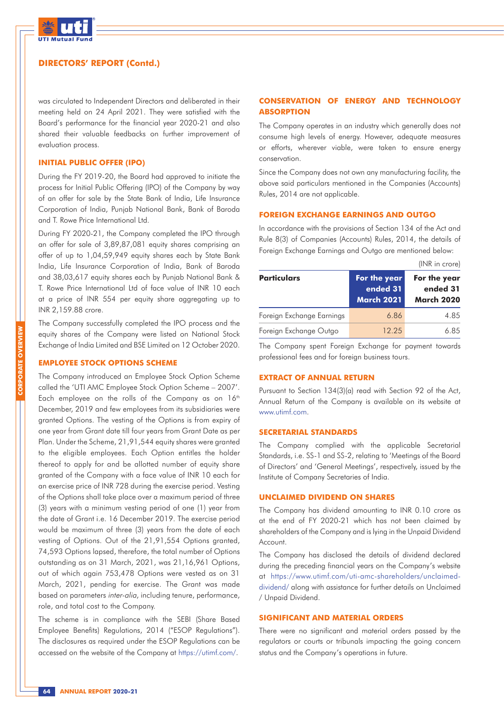

was circulated to Independent Directors and deliberated in their meeting held on 24 April 2021. They were satisfied with the Board's performance for the financial year 2020-21 and also shared their valuable feedbacks on further improvement of evaluation process.

### **INITIAL PUBLIC OFFER (IPO)**

During the FY 2019-20, the Board had approved to initiate the process for Initial Public Offering (IPO) of the Company by way of an offer for sale by the State Bank of India, Life Insurance Corporation of India, Punjab National Bank, Bank of Baroda and T. Rowe Price International Ltd.

During FY 2020-21, the Company completed the IPO through an offer for sale of 3,89,87,081 equity shares comprising an offer of up to 1,04,59,949 equity shares each by State Bank India, Life Insurance Corporation of India, Bank of Baroda and 38,03,617 equity shares each by Punjab National Bank & T. Rowe Price International Ltd of face value of INR 10 each at a price of INR 554 per equity share aggregating up to INR 2,159.88 crore.

The Company successfully completed the IPO process and the equity shares of the Company were listed on National Stock Exchange of India Limited and BSE Limited on 12 October 2020.

#### **EMPLOYEE STOCK OPTIONS SCHEME**

The Company introduced an Employee Stock Option Scheme called the 'UTI AMC Employee Stock Option Scheme – 2007'. Each employee on the rolls of the Company as on  $16<sup>th</sup>$ December, 2019 and few employees from its subsidiaries were granted Options. The vesting of the Options is from expiry of one year from Grant date till four years from Grant Date as per Plan. Under the Scheme, 21,91,544 equity shares were granted to the eligible employees. Each Option entitles the holder thereof to apply for and be allotted number of equity share granted of the Company with a face value of INR 10 each for an exercise price of INR 728 during the exercise period. Vesting of the Options shall take place over a maximum period of three (3) years with a minimum vesting period of one (1) year from the date of Grant i.e. 16 December 2019. The exercise period would be maximum of three (3) years from the date of each vesting of Options. Out of the 21,91,554 Options granted, 74,593 Options lapsed, therefore, the total number of Options outstanding as on 31 March, 2021, was 21,16,961 Options, out of which again 753,478 Options were vested as on 31 March, 2021, pending for exercise. The Grant was made based on parameters inter-alia, including tenure, performance, role, and total cost to the Company.

The scheme is in compliance with the SEBI (Share Based Employee Benefits) Regulations, 2014 ("ESOP Regulations"). The disclosures as required under the ESOP Regulations can be accessed on the website of the Company at https://utimf.com/.

### **CONSERVATION OF ENERGY AND TECHNOLOGY ABSORPTION**

The Company operates in an industry which generally does not consume high levels of energy. However, adequate measures or efforts, wherever viable, were taken to ensure energy conservation.

Since the Company does not own any manufacturing facility, the above said particulars mentioned in the Companies (Accounts) Rules, 2014 are not applicable.

#### **FOREIGN EXCHANGE EARNINGS AND OUTGO**

In accordance with the provisions of Section 134 of the Act and Rule 8(3) of Companies (Accounts) Rules, 2014, the details of Foreign Exchange Earnings and Outgo are mentioned below:

|                           |                                               | (INR in crore)                                |
|---------------------------|-----------------------------------------------|-----------------------------------------------|
| <b>Particulars</b>        | For the year<br>ended 31<br><b>March 2021</b> | For the year<br>ended 31<br><b>March 2020</b> |
| Foreign Exchange Earnings | 686                                           | 485                                           |
| Foreign Exchange Outgo    | 12.25                                         | 685                                           |

The Company spent Foreign Exchange for payment towards professional fees and for foreign business tours.

#### **EXTRACT OF ANNUAL RETURN**

Pursuant to Section 134(3)(a) read with Section 92 of the Act, Annual Return of the Company is available on its website at www.utimf.com.

#### **SECRETARIAL STANDARDS**

The Company complied with the applicable Secretarial Standards, i.e. SS-1 and SS-2, relating to 'Meetings of the Board of Directors' and 'General Meetings', respectively, issued by the Institute of Company Secretaries of India.

#### **UNCLAIMED DIVIDEND ON SHARES**

The Company has dividend amounting to INR 0.10 crore as at the end of FY 2020-21 which has not been claimed by shareholders of the Company and is lying in the Unpaid Dividend Account.

The Company has disclosed the details of dividend declared during the preceding financial years on the Company's website at https://www.utimf.com/uti-amc-shareholders/unclaimeddividend/ along with assistance for further details on Unclaimed / Unpaid Dividend.

### **SIGNIFICANT AND MATERIAL ORDERS**

There were no significant and material orders passed by the regulators or courts or tribunals impacting the going concern status and the Company's operations in future.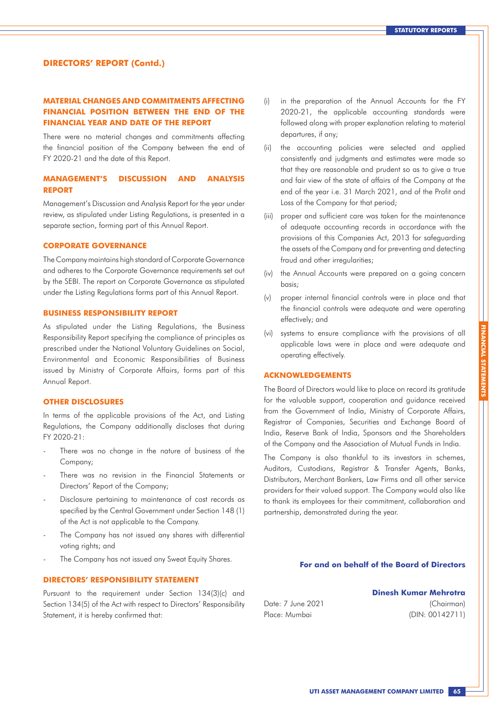### **MATERIAL CHANGES AND COMMITMENTS AFFECTING FINANCIAL POSITION BETWEEN THE END OF THE FINANCIAL YEAR AND DATE OF THE REPORT**

There were no material changes and commitments affecting the financial position of the Company between the end of FY 2020-21 and the date of this Report.

### **MANAGEMENT'S DISCUSSION AND ANALYSIS REPORT**

Management's Discussion and Analysis Report for the year under review, as stipulated under Listing Regulations, is presented in a separate section, forming part of this Annual Report.

#### **CORPORATE GOVERNANCE**

The Company maintains high standard of Corporate Governance and adheres to the Corporate Governance requirements set out by the SEBI. The report on Corporate Governance as stipulated under the Listing Regulations forms part of this Annual Report.

#### **BUSINESS RESPONSIBILITY REPORT**

As stipulated under the Listing Regulations, the Business Responsibility Report specifying the compliance of principles as prescribed under the National Voluntary Guidelines on Social, Environmental and Economic Responsibilities of Business issued by Ministry of Corporate Affairs, forms part of this Annual Report.

### **OTHER DISCLOSURES**

In terms of the applicable provisions of the Act, and Listing Regulations, the Company additionally discloses that during FY 2020-21:

- There was no change in the nature of business of the Company;
- There was no revision in the Financial Statements or Directors' Report of the Company;
- Disclosure pertaining to maintenance of cost records as specified by the Central Government under Section 148 (1) of the Act is not applicable to the Company.
- The Company has not issued any shares with differential voting rights; and
- The Company has not issued any Sweat Equity Shares.

### **DIRECTORS' RESPONSIBILITY STATEMENT**

Pursuant to the requirement under Section 134(3)(c) and Section 134(5) of the Act with respect to Directors' Responsibility Statement, it is hereby confirmed that:

- (i) in the preparation of the Annual Accounts for the FY 2020-21, the applicable accounting standards were followed along with proper explanation relating to material departures, if any;
- (ii) the accounting policies were selected and applied consistently and judgments and estimates were made so that they are reasonable and prudent so as to give a true and fair view of the state of affairs of the Company at the end of the year i.e. 31 March 2021, and of the Profit and Loss of the Company for that period;
- (iii) proper and sufficient care was taken for the maintenance of adequate accounting records in accordance with the provisions of this Companies Act, 2013 for safeguarding the assets of the Company and for preventing and detecting fraud and other irregularities;
- (iv) the Annual Accounts were prepared on a going concern basis;
- (v) proper internal financial controls were in place and that the financial controls were adequate and were operating effectively; and
- (vi) systems to ensure compliance with the provisions of all applicable laws were in place and were adequate and operating effectively.

### **ACKNOWLEDGEMENTS**

The Board of Directors would like to place on record its gratitude for the valuable support, cooperation and guidance received from the Government of India, Ministry of Corporate Affairs, Registrar of Companies, Securities and Exchange Board of India, Reserve Bank of India, Sponsors and the Shareholders of the Company and the Association of Mutual Funds in India.

The Company is also thankful to its investors in schemes, Auditors, Custodians, Registrar & Transfer Agents, Banks, Distributors, Merchant Bankers, Law Firms and all other service providers for their valued support. The Company would also like to thank its employees for their commitment, collaboration and partnership, demonstrated during the year.

#### **For and on behalf of the Board of Directors**

Date: 7 June 2021 Place: Mumbai

(DIN: 00142711)

**FINANCIAL STATEMENTS**

FINANCIAL STATEMENTS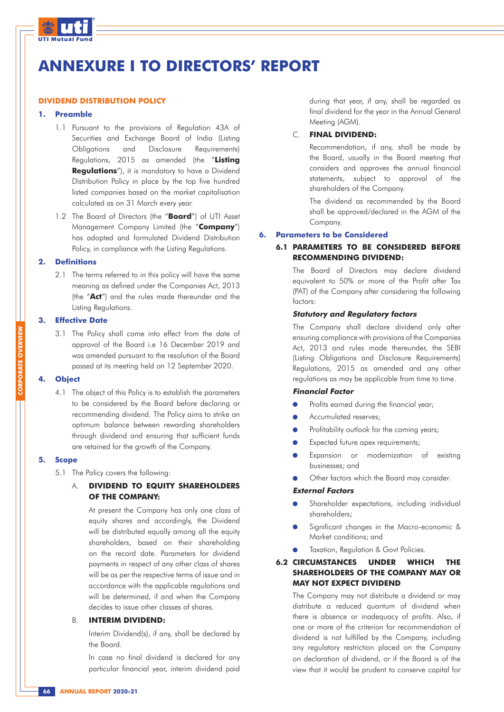

# **ANNEXURE I TO DIRECTORS' REPORT**

#### **DIVIDEND DISTRIBUTION POLICY**

#### **1. Preamble**

- 1.1 Pursuant to the provisions of Regulation 43A of Securities and Exchange Board of India (Listing Obligations and Disclosure Requirements) Regulations, 2015 as amended (the "**Listing Regulations**"), it is mandatory to have a Dividend Distribution Policy in place by the top five hundred listed companies based on the market capitalisation calculated as on 31 March every year.
- 1.2 The Board of Directors (the "**Board**") of UTI Asset Management Company Limited (the "**Company**") has adopted and formulated Dividend Distribution Policy, in compliance with the Listing Regulations.

#### **2. Definitions**

2.1 The terms referred to in this policy will have the same meaning as defined under the Companies Act, 2013 (the "**Act**") and the rules made thereunder and the Listing Regulations.

#### **3. Effective Date**

3.1 The Policy shall come into effect from the date of approval of the Board i.e 16 December 2019 and was amended pursuant to the resolution of the Board passed at its meeting held on 12 September 2020.

#### **4. Object**

4.1 The object of this Policy is to establish the parameters to be considered by the Board before declaring or recommending dividend. The Policy aims to strike an optimum balance between rewarding shareholders through dividend and ensuring that sufficient funds are retained for the growth of the Company.

### **5. Scope**

5.1 The Policy covers the following:

### A. **DIVIDEND TO EQUITY SHAREHOLDERS OF THE COMPANY:**

At present the Company has only one class of equity shares and accordingly, the Dividend will be distributed equally among all the equity shareholders, based on their shareholding on the record date. Parameters for dividend payments in respect of any other class of shares will be as per the respective terms of issue and in accordance with the applicable regulations and will be determined, if and when the Company decides to issue other classes of shares.

### B. **INTERIM DIVIDEND:**

Interim Dividend(s), if any, shall be declared by the Board.

In case no final dividend is declared for any particular financial year, interim dividend paid during that year, if any, shall be regarded as final dividend for the year in the Annual General Meeting (AGM).

### C. **FINAL DIVIDEND:**

Recommendation, if any, shall be made by the Board, usually in the Board meeting that considers and approves the annual financial statements, subject to approval of the shareholders of the Company.

The dividend as recommended by the Board shall be approved/declared in the AGM of the Company.

#### **6. Parameters to be Considered**

### **6.1 PARAMETERS TO BE CONSIDERED BEFORE RECOMMENDING DIVIDEND:**

The Board of Directors may declare dividend equivalent to 50% or more of the Profit after Tax (PAT) of the Company after considering the following factors:

#### **Statutory and Regulatory factors**

The Company shall declare dividend only after ensuring compliance with provisions of the Companies Act, 2013 and rules made thereunder, the SEBI (Listing Obligations and Disclosure Requirements) Regulations, 2015 as amended and any other regulations as may be applicable from time to time.

#### **Financial Factor**

- Profits earned during the financial year;
- Accumulated reserves;
- Profitability outlook for the coming years;
- Expected future apex requirements;
- Expansion or modernization of existing businesses; and
- Other factors which the Board may consider.

#### **External Factors**

- Shareholder expectations, including individual shareholders;
- Significant changes in the Macro-economic & Market conditions; and
- Taxation, Regulation & Govt Policies.

### **6.2 CIRCUMSTANCES UNDER WHICH THE SHAREHOLDERS OF THE COMPANY MAY OR MAY NOT EXPECT DIVIDEND**

The Company may not distribute a dividend or may distribute a reduced quantum of dividend when there is absence or inadequacy of profits. Also, if one or more of the criterion for recommendation of dividend is not fulfilled by the Company, including any regulatory restriction placed on the Company on declaration of dividend, or if the Board is of the view that it would be prudent to conserve capital for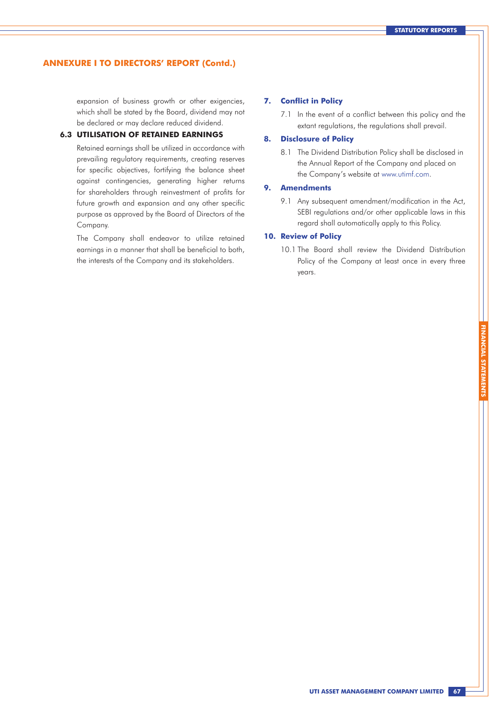expansion of business growth or other exigencies, which shall be stated by the Board, dividend may not be declared or may declare reduced dividend.

### **6.3 UTILISATION OF RETAINED EARNINGS**

Retained earnings shall be utilized in accordance with prevailing regulatory requirements, creating reserves for specific objectives, fortifying the balance sheet against contingencies, generating higher returns for shareholders through reinvestment of profits for future growth and expansion and any other specific purpose as approved by the Board of Directors of the Company.

The Company shall endeavor to utilize retained earnings in a manner that shall be beneficial to both, the interests of the Company and its stakeholders.

#### **7. Conflict in Policy**

7.1 In the event of a conflict between this policy and the extant regulations, the regulations shall prevail.

### **8. Disclosure of Policy**

8.1 The Dividend Distribution Policy shall be disclosed in the Annual Report of the Company and placed on the Company's website at www.utimf.com.

#### **9. Amendments**

9.1 Any subsequent amendment/modification in the Act, SEBI regulations and/or other applicable laws in this regard shall automatically apply to this Policy.

### **10. Review of Policy**

10.1 The Board shall review the Dividend Distribution Policy of the Company at least once in every three years.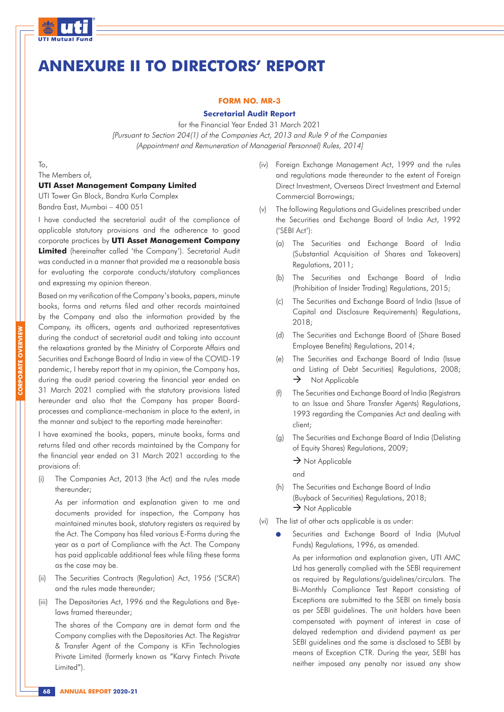

## **ANNEXURE II TO DIRECTORS' REPORT**

#### **FORM NO. MR-3**

#### **Secretarial Audit Report**

for the Financial Year Ended 31 March 2021 [Pursuant to Section 204(1) of the Companies Act, 2013 and Rule 9 of the Companies (Appointment and Remuneration of Managerial Personnel) Rules, 2014]

To,

The Members of,

### **UTI Asset Management Company Limited**

UTI Tower Gn Block, Bandra Kurla Complex Bandra East, Mumbai – 400 051

I have conducted the secretarial audit of the compliance of applicable statutory provisions and the adherence to good corporate practices by **UTI Asset Management Company Limited** (hereinafter called 'the Company'). Secretarial Audit was conducted in a manner that provided me a reasonable basis for evaluating the corporate conducts/statutory compliances and expressing my opinion thereon.

Based on my verification of the Company's books, papers, minute books, forms and returns filed and other records maintained by the Company and also the information provided by the Company, its officers, agents and authorized representatives during the conduct of secretarial audit and taking into account the relaxations granted by the Ministry of Corporate Affairs and Securities and Exchange Board of India in view of the COVID-19 pandemic, I hereby report that in my opinion, the Company has, during the audit period covering the financial year ended on 31 March 2021 complied with the statutory provisions listed hereunder and also that the Company has proper Boardprocesses and compliance-mechanism in place to the extent, in the manner and subject to the reporting made hereinafter:

I have examined the books, papers, minute books, forms and returns filed and other records maintained by the Company for the financial year ended on 31 March 2021 according to the provisions of:

(i) The Companies Act, 2013 (the Act) and the rules made thereunder;

As per information and explanation given to me and documents provided for inspection, the Company has maintained minutes book, statutory registers as required by the Act. The Company has filed various E-Forms during the year as a part of Compliance with the Act. The Company has paid applicable additional fees while filing these forms as the case may be.

- (ii) The Securities Contracts (Regulation) Act, 1956 ('SCRA') and the rules made thereunder;
- (iii) The Depositories Act, 1996 and the Regulations and Byelaws framed thereunder;

The shares of the Company are in demat form and the Company complies with the Depositories Act. The Registrar & Transfer Agent of the Company is KFin Technologies Private Limited (formerly known as "Karvy Fintech Private Limited").

- (iv) Foreign Exchange Management Act, 1999 and the rules and regulations made thereunder to the extent of Foreign Direct Investment, Overseas Direct Investment and External Commercial Borrowings;
- (v) The following Regulations and Guidelines prescribed under the Securities and Exchange Board of India Act, 1992 ('SEBI Act'):
	- (a) The Securities and Exchange Board of India (Substantial Acquisition of Shares and Takeovers) Regulations, 2011;
	- (b) The Securities and Exchange Board of India (Prohibition of Insider Trading) Regulations, 2015;
	- (c) The Securities and Exchange Board of India (Issue of Capital and Disclosure Requirements) Regulations, 2018;
	- (d) The Securities and Exchange Board of (Share Based Employee Benefits) Regulations, 2014;
	- (e) The Securities and Exchange Board of India (Issue and Listing of Debt Securities) Regulations, 2008;  $\rightarrow$  Not Applicable
	- (f) The Securities and Exchange Board of India (Registrars to an Issue and Share Transfer Agents) Regulations, 1993 regarding the Companies Act and dealing with client;
	- (g) The Securities and Exchange Board of India (Delisting of Equity Shares) Regulations, 2009;
		- $\rightarrow$  Not Applicable

and

- (h) The Securities and Exchange Board of India (Buyback of Securities) Regulations, 2018;  $\rightarrow$  Not Applicable
- (vi) The list of other acts applicable is as under:
	- Securities and Exchange Board of India (Mutual Funds) Regulations, 1996, as amended.

As per information and explanation given, UTI AMC Ltd has generally complied with the SEBI requirement as required by Regulations/guidelines/circulars. The Bi-Monthly Compliance Test Report consisting of Exceptions are submitted to the SEBI on timely basis as per SEBI guidelines. The unit holders have been compensated with payment of interest in case of delayed redemption and dividend payment as per SEBI guidelines and the same is disclosed to SEBI by means of Exception CTR. During the year, SEBI has neither imposed any penalty nor issued any show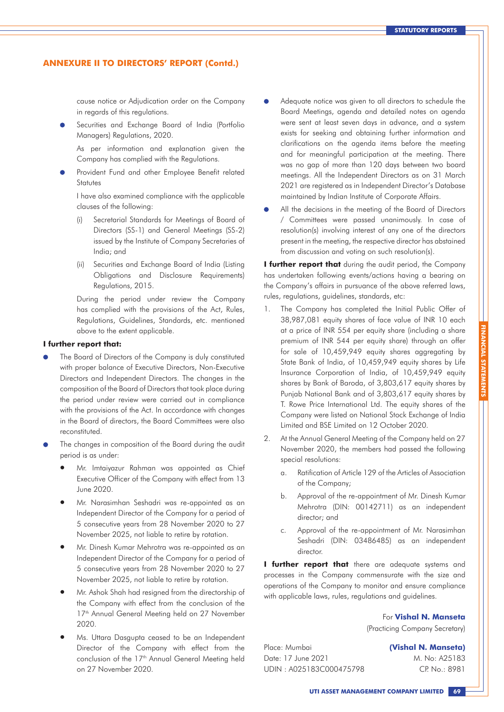cause notice or Adjudication order on the Company in regards of this regulations.

Securities and Exchange Board of India (Portfolio Managers) Regulations, 2020.

As per information and explanation given the Company has complied with the Regulations.

Provident Fund and other Employee Benefit related Statutes

I have also examined compliance with the applicable clauses of the following:

- (i) Secretarial Standards for Meetings of Board of Directors (SS-1) and General Meetings (SS-2) issued by the Institute of Company Secretaries of India; and
- (ii) Securities and Exchange Board of India (Listing Obligations and Disclosure Requirements) Regulations, 2015.

During the period under review the Company has complied with the provisions of the Act, Rules, Regulations, Guidelines, Standards, etc. mentioned above to the extent applicable.

#### **I further report that:**

- The Board of Directors of the Company is duly constituted with proper balance of Executive Directors, Non-Executive Directors and Independent Directors. The changes in the composition of the Board of Directors that took place during the period under review were carried out in compliance with the provisions of the Act. In accordance with changes in the Board of directors, the Board Committees were also reconstituted.
- The changes in composition of the Board during the audit period is as under:
	- Mr. Imtaiyazur Rahman was appointed as Chief Executive Officer of the Company with effect from 13 June 2020.
	- Mr. Narasimhan Seshadri was re-appointed as an Independent Director of the Company for a period of 5 consecutive years from 28 November 2020 to 27 November 2025, not liable to retire by rotation.
	- Mr. Dinesh Kumar Mehrotra was re-appointed as an Independent Director of the Company for a period of 5 consecutive years from 28 November 2020 to 27 November 2025, not liable to retire by rotation.
	- Mr. Ashok Shah had resigned from the directorship of the Company with effect from the conclusion of the 17<sup>th</sup> Annual General Meeting held on 27 November 2020.
	- Ms. Uttara Dasgupta ceased to be an Independent Director of the Company with effect from the conclusion of the 17<sup>th</sup> Annual General Meeting held on 27 November 2020.
- Adequate notice was given to all directors to schedule the Board Meetings, agenda and detailed notes on agenda were sent at least seven days in advance, and a system exists for seeking and obtaining further information and clarifications on the agenda items before the meeting and for meaningful participation at the meeting. There was no gap of more than 120 days between two board meetings. All the Independent Directors as on 31 March 2021 are registered as in Independent Director's Database maintained by Indian Institute of Corporate Affairs.
- All the decisions in the meeting of the Board of Directors / Committees were passed unanimously. In case of resolution(s) involving interest of any one of the directors present in the meeting, the respective director has abstained from discussion and voting on such resolution(s).

**I further report that** during the audit period, the Company has undertaken following events/actions having a bearing on the Company's affairs in pursuance of the above referred laws, rules, regulations, guidelines, standards, etc:

- 1. The Company has completed the Initial Public Offer of 38,987,081 equity shares of face value of INR 10 each at a price of INR 554 per equity share (including a share premium of INR 544 per equity share) through an offer for sale of 10,459,949 equity shares aggregating by State Bank of India, of 10,459,949 equity shares by Life Insurance Corporation of India, of 10,459,949 equity shares by Bank of Baroda, of 3,803,617 equity shares by Punjab National Bank and of 3,803,617 equity shares by T. Rowe Price International Ltd. The equity shares of the Company were listed on National Stock Exchange of India Limited and BSE Limited on 12 October 2020.
- 2. At the Annual General Meeting of the Company held on 27 November 2020, the members had passed the following special resolutions:
	- a. Ratification of Article 129 of the Articles of Association of the Company;
	- b. Approval of the re-appointment of Mr. Dinesh Kumar Mehrotra (DIN: 00142711) as an independent director; and
	- c. Approval of the re-appointment of Mr. Narasimhan Seshadri (DIN: 03486485) as an independent director.

**I further report that** there are adequate systems and processes in the Company commensurate with the size and operations of the Company to monitor and ensure compliance with applicable laws, rules, regulations and guidelines.

> For **Vishal N. Manseta** (Practicing Company Secretary)

Place: Mumbai Date: 17 June 2021 UDIN : A025183C000475798 **(Vishal N. Manseta)**  M. No: A25183 CP. No.: 8981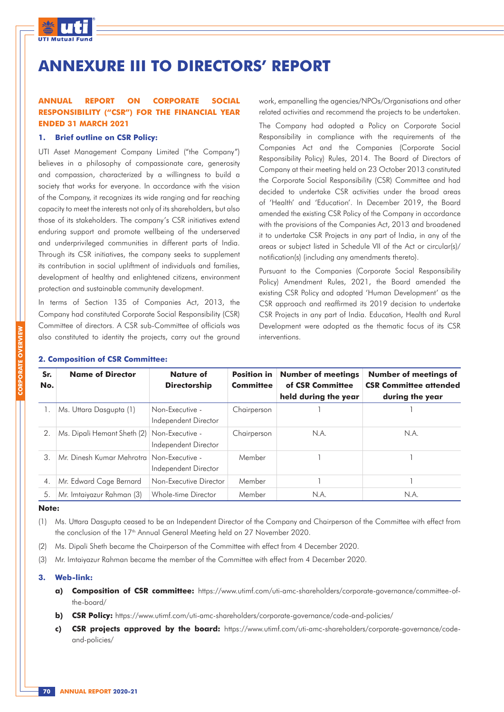

# **ANNEXURE III TO DIRECTORS' REPORT**

### **ANNUAL REPORT ON CORPORATE SOCIAL RESPONSIBILITY ("CSR") FOR THE FINANCIAL YEAR ENDED 31 MARCH 2021**

#### **1. Brief outline on CSR Policy:**

UTI Asset Management Company Limited ("the Company") believes in a philosophy of compassionate care, generosity and compassion, characterized by a willingness to build a society that works for everyone. In accordance with the vision of the Company, it recognizes its wide ranging and far reaching capacity to meet the interests not only of its shareholders, but also those of its stakeholders. The company's CSR initiatives extend enduring support and promote wellbeing of the underserved and underprivileged communities in different parts of India. Through its CSR initiatives, the company seeks to supplement its contribution in social upliftment of individuals and families, development of healthy and enlightened citizens, environment protection and sustainable community development.

In terms of Section 135 of Companies Act, 2013, the Company had constituted Corporate Social Responsibility (CSR) Committee of directors. A CSR sub-Committee of officials was also constituted to identity the projects, carry out the ground work, empanelling the agencies/NPOs/Organisations and other related activities and recommend the projects to be undertaken.

The Company had adopted a Policy on Corporate Social Responsibility in compliance with the requirements of the Companies Act and the Companies (Corporate Social Responsibility Policy) Rules, 2014. The Board of Directors of Company at their meeting held on 23 October 2013 constituted the Corporate Social Responsibility (CSR) Committee and had decided to undertake CSR activities under the broad areas of 'Health' and 'Education'. In December 2019, the Board amended the existing CSR Policy of the Company in accordance with the provisions of the Companies Act, 2013 and broadened it to undertake CSR Projects in any part of India, in any of the areas or subject listed in Schedule VII of the Act or circular(s)/ notification(s) (including any amendments thereto).

Pursuant to the Companies (Corporate Social Responsibility Policy) Amendment Rules, 2021, the Board amended the existing CSR Policy and adopted 'Human Development' as the CSR approach and reaffirmed its 2019 decision to undertake CSR Projects in any part of India. Education, Health and Rural Development were adopted as the thematic focus of its CSR interventions.

| Sr.<br>No.       | <b>Name of Director</b>                     | <b>Nature of</b><br><b>Directorship</b> | <b>Position in</b><br><b>Committee</b> | <b>Number of meetings</b><br>of CSR Committee<br>held during the year | <b>Number of meetings of</b><br><b>CSR Committee attended</b><br>during the year |
|------------------|---------------------------------------------|-----------------------------------------|----------------------------------------|-----------------------------------------------------------------------|----------------------------------------------------------------------------------|
|                  | Ms. Uttara Dasgupta (1)                     | Non-Executive -<br>Independent Director | Chairperson                            |                                                                       |                                                                                  |
| $\overline{2}$ . | Ms. Dipali Hemant Sheth (2)                 | Non-Executive -<br>Independent Director | Chairperson                            | N.A.                                                                  | N.A.                                                                             |
| 3.               | Mr. Dinesh Kumar Mehrotra   Non-Executive - | Independent Director                    | Member                                 |                                                                       |                                                                                  |
| $\overline{4}$ . | Mr. Edward Cage Bernard                     | Non-Executive Director                  | Member                                 |                                                                       |                                                                                  |
| 5.               | Mr. Imtaiyazur Rahman (3)                   | Whole-time Director                     | Member                                 | N.A.                                                                  | N.A.                                                                             |

#### **2. Composition of CSR Committee:**

### **Note:**

- (1) Ms. Uttara Dasgupta ceased to be an Independent Director of the Company and Chairperson of the Committee with effect from the conclusion of the 17<sup>th</sup> Annual General Meeting held on 27 November 2020.
- (2) Ms. Dipali Sheth became the Chairperson of the Committee with effect from 4 December 2020.
- (3) Mr. Imtaiyazur Rahman became the member of the Committee with effect from 4 December 2020.

### **3. Web-link:**

- **a) Composition of CSR committee:** https://www.utimf.com/uti-amc-shareholders/corporate-governance/committee-ofthe-board/
- **b) CSR Policy:** https://www.utimf.com/uti-amc-shareholders/corporate-governance/code-and-policies/
- **c) CSR projects approved by the board:** https://www.utimf.com/uti-amc-shareholders/corporate-governance/codeand-policies/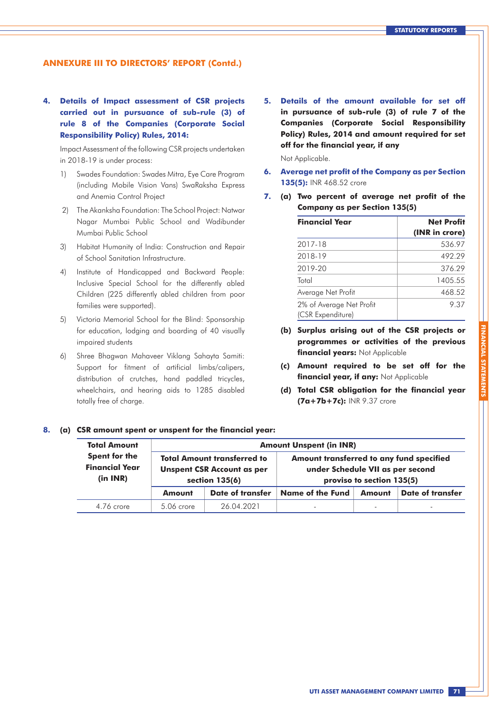**4. Details of Impact assessment of CSR projects carried out in pursuance of sub-rule (3) of rule 8 of the Companies (Corporate Social Responsibility Policy) Rules, 2014:**

Impact Assessment of the following CSR projects undertaken in 2018-19 is under process:

- 1) Swades Foundation: Swades Mitra, Eye Care Program (including Mobile Vision Vans) SwaRaksha Express and Anemia Control Project
- 2) The Akanksha Foundation: The School Project: Natwar Nagar Mumbai Public School and Wadibunder Mumbai Public School
- 3) Habitat Humanity of India: Construction and Repair of School Sanitation Infrastructure.
- 4) Institute of Handicapped and Backward People: Inclusive Special School for the differently abled Children (225 differently abled children from poor families were supported).
- 5) Victoria Memorial School for the Blind: Sponsorship for education, lodging and boarding of 40 visually impaired students
- 6) Shree Bhagwan Mahaveer Viklang Sahayta Samiti: Support for fitment of artificial limbs/calipers, distribution of crutches, hand paddled tricycles, wheelchairs, and hearing aids to 1285 disabled totally free of charge.

**5. Details of the amount available for set off in pursuance of sub-rule (3) of rule 7 of the Companies (Corporate Social Responsibility Policy) Rules, 2014 and amount required for set off for the financial year, if any**

Not Applicable.

- **6. Average net profit of the Company as per Section 135(5):** INR 468.52 crore
- **7. (a) Two percent of average net profit of the Company as per Section 135(5)**

| <b>Financial Year</b>                         | <b>Net Profit</b><br>(INR in crore) |
|-----------------------------------------------|-------------------------------------|
| 2017-18                                       | 536.97                              |
| 2018-19                                       | 492.29                              |
| 2019-20                                       | 376.29                              |
| Total                                         | 1405.55                             |
| Average Net Profit                            | 468.52                              |
| 2% of Average Net Profit<br>(CSR Expenditure) | 9.37                                |

- **(b) Surplus arising out of the CSR projects or programmes or activities of the previous financial years:** Not Applicable
- **(c) Amount required to be set off for the financial year, if any:** Not Applicable

**FINANCIAL STATEMENTS**

**(d) Total CSR obligation for the financial year (7a+7b+7c):** INR 9.37 crore

#### **8. (a) CSR amount spent or unspent for the financial year:**

| <b>Total Amount</b>                                |               |                                                                                           | <b>Amount Unspent (in INR)</b>                                               |                           |                          |
|----------------------------------------------------|---------------|-------------------------------------------------------------------------------------------|------------------------------------------------------------------------------|---------------------------|--------------------------|
| Spent for the<br><b>Financial Year</b><br>(in INR) |               | <b>Total Amount transferred to</b><br><b>Unspent CSR Account as per</b><br>section 135(6) | Amount transferred to any fund specified<br>under Schedule VII as per second | proviso to section 135(5) |                          |
|                                                    | <b>Amount</b> | Date of transfer                                                                          | Name of the Fund                                                             | <b>Amount</b>             | Date of transfer         |
| 4.76 crore                                         | $5.06$ crore  | 26 04 2021                                                                                | $\overline{\phantom{a}}$                                                     | ۰                         | $\overline{\phantom{a}}$ |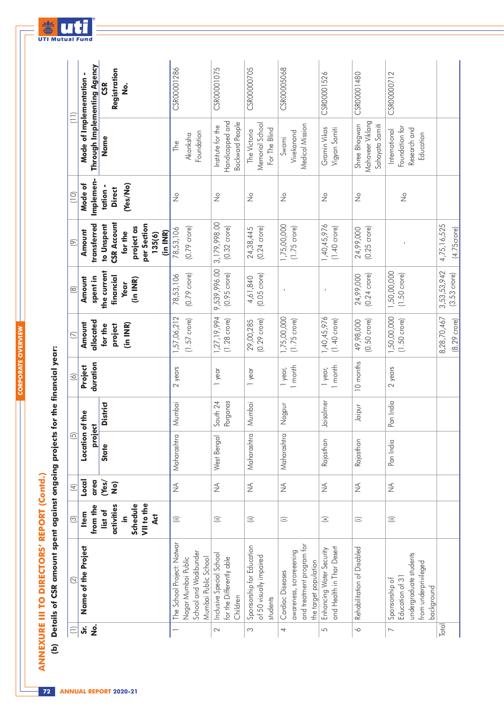**CORPORATE OVERVIEW**

**CORPORATE OVERVIEW** 

| ֠ |
|---|
| ٢ |
|   |
|   |
|   |

(b) Details of CSR amount spent against ongoing projects for the financial year:  **(b) Details of CSR amount spent against ongoing projects for the financial year:**

| $\left( \overline{-}\right)$ | $\boxed{2}$                                                                                       | $\odot$                                                           | $\overline{4}$                         | $\overline{5}$       |                         | $\odot$            | $\overline{\bigcirc}$                       | $\circledR$                                              | $\circledcirc$                                                                          | (10)                                               | (II)                                                           |                                      |
|------------------------------|---------------------------------------------------------------------------------------------------|-------------------------------------------------------------------|----------------------------------------|----------------------|-------------------------|--------------------|---------------------------------------------|----------------------------------------------------------|-----------------------------------------------------------------------------------------|----------------------------------------------------|----------------------------------------------------------------|--------------------------------------|
| ູ່ສ່                         | Name of the Project                                                                               | <b>Item</b>                                                       | Local                                  | Location of the      |                         | Project            | Amount                                      | Amount                                                   | Amount                                                                                  | Mode of                                            | Mode of Implementation -                                       |                                      |
| $\dot{\mathsf{z}}$           |                                                                                                   | VII to the<br>Schedule<br>activities<br>from the<br>list of<br>.⊆ | area<br>Yes/<br>$\widehat{\mathbf{S}}$ | proj<br><b>State</b> | <b>District</b><br>ject | duration           | allocated<br>(in INR)<br>project<br>for the | the current<br>financial<br>spent in<br>(in INR)<br>Year | <b>CSR Account</b><br>transferred<br>to Unspent<br>per Section<br>project as<br>for the | Implemen-<br>(Yes/No)<br>tation -<br><b>Direct</b> | Through Implementing Agency<br>Name                            | Registration<br><b>CSR</b><br>。<br>2 |
|                              |                                                                                                   | 4d                                                                |                                        |                      |                         |                    |                                             |                                                          | (in INR)<br>135(6)                                                                      |                                                    |                                                                |                                      |
|                              | The School Project: Natwar                                                                        | $\widehat{a}$                                                     | $\lessgtr$                             | Maharashtra          | Mumbai                  | 2 years            | 1,57,06,212                                 | 78,53,106                                                | 78,53,106                                                                               | $\frac{1}{2}$                                      | The                                                            | CSR00001286                          |
|                              | School and Wadibunder<br>Mumbai Public School<br>Nagar Mumbai Public                              |                                                                   |                                        |                      |                         |                    | $(1.57$ crore)                              | $(0.79 \text{ crore})$                                   | $(0.79 \text{ crore})$                                                                  |                                                    | Foundation<br>Akanksha                                         |                                      |
| $\sim$                       | Inclusive Special School<br>for the Differently able<br>Children                                  | $\widehat{\equiv}$                                                | $\lessgtr$                             | West Bengal          | Parganas<br>South 24    | 1 year             | 1,27, 19, 994<br>$(1.28 \text{ crore})$     | 9,539,996.00<br>$(0.95 \text{ crore})$                   | 3,179,998.00<br>$(0.32 \text{ crore})$                                                  | $\frac{1}{2}$                                      | Handicapped and<br><b>Backward People</b><br>Institute for the | CSR00001075                          |
| S                            | Sponsorship for Education<br>of 50 visually impaired<br>students                                  | $\widehat{\equiv}$                                                | $\lessgtr$                             | Maharashtra          | Mumbai                  | 1 year             | $(0.29 \text{ crore})$<br>29,00,285         | $(0.05 \text{ core})$<br>4,61,840                        | $(0.24 \text{ crore})$<br>24,38,445                                                     | $\frac{1}{2}$                                      | Memorial School<br>For The Blind<br>The Victoria               | CSR00000705                          |
| 4                            | and treatment program tor<br>awareness, scroreeening<br>the target population<br>Cardiac Diseases | ⊜                                                                 | $\lessgtr$                             | Maharashtra          | Nagpur                  | 1 month<br>1 year, | 1,75,00,000<br>$(1.75 \text{ core})$        |                                                          | 1,75,00,000<br>$(1.75 \text{ crore})$                                                   | $\frac{1}{2}$                                      | Medical Mission<br>Vivekanand<br>Swami                         | CSR00005068                          |
| 5                            | and Health in Thar Desert<br>Enhancing Water Security                                             | $\mathcal{Z}$                                                     | $\lessgtr$                             | Rajasthan            | Jaisalmer               | 1 month<br>1 year, | 1,40,45,976<br>$(1.40 \text{ crore})$       |                                                          | 1,40,45,976<br>$(1.40 \text{ crore})$                                                   | $\frac{1}{2}$                                      | Gramin Vikas<br>Vigyan Samiti                                  | CSR00001526                          |
| $\sim$                       | Rehabilitation of Disabled                                                                        | ⊜                                                                 | $\lessgtr$                             | Rajasthan            | Jaipur                  | 10 months          | $(0.50 \text{ crore})$<br>49,98,000         | $(0.24 \text{ core})$<br>24,99,000                       | $(0.25 \text{ core})$<br>24,99,000                                                      | $\frac{1}{2}$                                      | Mahaveer Viklang<br>Shree Bhagwan<br>Sahayata Samiti           | CSR00001480                          |
| $\overline{\phantom{0}}$     | undergraduate students<br>from underprivileged<br>Education of 31<br>Sponsorship of<br>background | $\widehat{\equiv}$                                                | $\lessgtr$                             | Pan India            | Pan India               | 2 years            | 1,50,00,000<br>$(1.50 \text{ crore})$       | 1,50,00,000<br>$(1.50 \text{ crore})$                    |                                                                                         | $\stackrel{\circ}{\geq}$                           | Foundation for<br>Research and<br>International<br>Education   | CSR00000712                          |
| Total                        |                                                                                                   |                                                                   |                                        |                      |                         |                    | 8,28,70,467<br>$(8.29 \text{ crore})$       | 3,53,53,942<br>$(3.53 \text{ crore})$                    | 4,75,16,525<br>$(4.75$ crore $)$                                                        |                                                    |                                                                |                                      |



**72 ANNUAL REPORT 2020-21**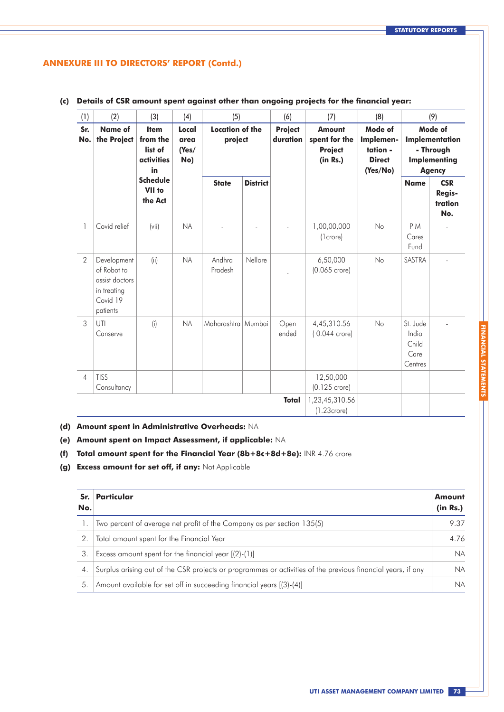| (1)            | (2)                                                                                 | (3)                                                    | (4)                           | (5)                               |                 | (6)                        | (7)                                                          | (8)                                                           |                                               | (9)                                                                            |
|----------------|-------------------------------------------------------------------------------------|--------------------------------------------------------|-------------------------------|-----------------------------------|-----------------|----------------------------|--------------------------------------------------------------|---------------------------------------------------------------|-----------------------------------------------|--------------------------------------------------------------------------------|
| Sr.<br>No.     | <b>Name of</b><br>the Project                                                       | <b>Item</b><br>from the<br>list of<br>activities<br>in | Local<br>area<br>(Yes/<br>No) | <b>Location of the</b><br>project |                 | <b>Project</b><br>duration | <b>Amount</b><br>spent for the<br><b>Project</b><br>(in Rs.) | Mode of<br>Implemen-<br>tation -<br><b>Direct</b><br>(Yes/No) |                                               | Mode of<br>Implementation<br>- Through<br><b>Implementing</b><br><b>Agency</b> |
|                |                                                                                     | <b>Schedule</b><br>VII to<br>the Act                   |                               | <b>State</b>                      | <b>District</b> |                            |                                                              |                                                               | <b>Name</b>                                   | <b>CSR</b><br><b>Regis-</b><br>tration<br>No.                                  |
| $\mathbf{1}$   | Covid relief                                                                        | (vii)                                                  | <b>NA</b>                     |                                   |                 |                            | 1,00,00,000<br>(1 crore)                                     | No                                                            | P <sub>M</sub><br>Cares<br>Fund               |                                                                                |
| $\overline{2}$ | Development<br>of Robot to<br>assist doctors<br>in treating<br>Covid 19<br>patients | (ii)                                                   | <b>NA</b>                     | Andhra<br>Pradesh                 | Nellore         |                            | 6,50,000<br>$(0.065$ crore)                                  | No                                                            | SASTRA                                        |                                                                                |
| 3              | UTI<br>Canserve                                                                     | (i)                                                    | <b>NA</b>                     | Maharashtra   Mumbai              |                 | Open<br>ended              | 4,45,310.56<br>$(0.044$ crore)                               | No                                                            | St. Jude<br>India<br>Child<br>Care<br>Centres |                                                                                |
| $\overline{4}$ | <b>TISS</b><br>Consultancy                                                          |                                                        |                               |                                   |                 |                            | 12,50,000<br>(0.125 crore)                                   |                                                               |                                               |                                                                                |
|                |                                                                                     |                                                        |                               |                                   |                 | <b>Total</b>               | 1,23,45,310.56<br>$(1.23$ crore $)$                          |                                                               |                                               |                                                                                |

 **(c) Details of CSR amount spent against other than ongoing projects for the financial year:**

- **(d) Amount spent in Administrative Overheads:** NA
- **(e) Amount spent on Impact Assessment, if applicable:** NA
- **(f) Total amount spent for the Financial Year (8b+8c+8d+8e):** INR 4.76 crore
- **(g) Excess amount for set off, if any:** Not Applicable

| No. | Sr. Particular                                                                                              | Amount<br>(in Rs.) |
|-----|-------------------------------------------------------------------------------------------------------------|--------------------|
|     | Two percent of average net profit of the Company as per section 135(5)                                      | 9.37               |
| 2.  | Total amount spent for the Financial Year                                                                   | 4.76               |
| 3.  | Excess amount spent for the financial year [(2)-(1)]                                                        | NA.                |
| 4.  | Surplus arising out of the CSR projects or programmes or activities of the previous financial years, if any | <b>NA</b>          |
| 5.  | Amount available for set off in succeeding financial years [(3)-(4)]                                        | <b>NA</b>          |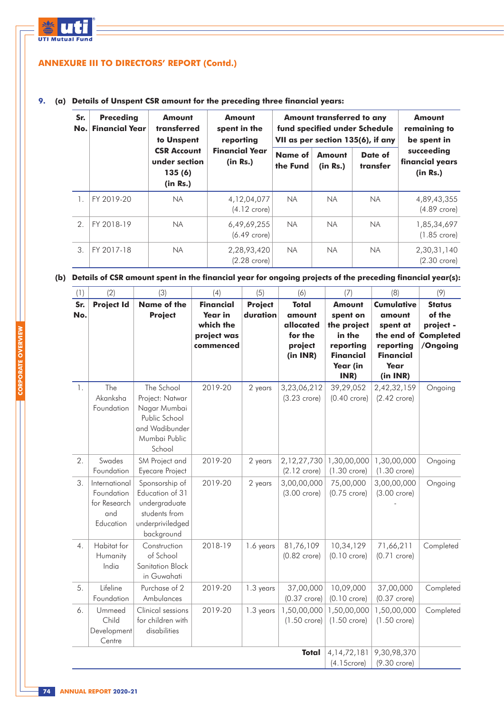

### **9. (a) Details of Unspent CSR amount for the preceding three financial years:**

| Sr.<br>No.    | <b>Preceding</b><br><b>Financial Year</b> | <b>Amount</b><br>transferred<br>to Unspent                | <b>Amount</b><br>spent in the<br>reporting |                            | Amount transferred to any | fund specified under Schedule<br>VII as per section 135(6), if any | <b>Amount</b><br>remaining to<br>be spent in |
|---------------|-------------------------------------------|-----------------------------------------------------------|--------------------------------------------|----------------------------|---------------------------|--------------------------------------------------------------------|----------------------------------------------|
|               |                                           | <b>CSR Account</b><br>under section<br>135(6)<br>(in Rs.) | <b>Financial Year</b><br>(in Rs.)          | <b>Name of</b><br>the Fund | Amount<br>(in Rs.)        | Date of<br>transfer                                                | succeeding<br>financial years<br>(in Rs.)    |
|               | FY 2019-20                                | <b>NA</b>                                                 | 4, 12, 04, 077<br>$(4.12$ crore)           | <b>NA</b>                  | NA.                       | <b>NA</b>                                                          | 4,89,43,355<br>$(4.89$ crore)                |
| $\mathcal{P}$ | FY 2018-19                                | <b>NA</b>                                                 | 6,49,69,255<br>$(6.49$ crore)              | <b>NA</b>                  | <b>NA</b>                 | <b>NA</b>                                                          | 1,85,34,697<br>$(1.85$ crore)                |
| 3             | FY 2017-18                                | <b>NA</b>                                                 | 2,28,93,420<br>$(2.28$ crore)              | <b>NA</b>                  | <b>NA</b>                 | <b>NA</b>                                                          | 2,30,31,140<br>$(2.30 \text{ crore})$        |

### (b) Details of CSR amount spent in the financial year for ongoing projects of the preceding financial year(s):

| (1)              | (2)                                                             | (3)                                                                                                         | (4)                                                                  | (5)                        | (6)                                                                   | (7)                                                                                                     | (8)                                                                                                        | (9)                                                                  |
|------------------|-----------------------------------------------------------------|-------------------------------------------------------------------------------------------------------------|----------------------------------------------------------------------|----------------------------|-----------------------------------------------------------------------|---------------------------------------------------------------------------------------------------------|------------------------------------------------------------------------------------------------------------|----------------------------------------------------------------------|
| Sr.<br>No.       | <b>Project Id</b>                                               | <b>Name of the</b><br><b>Project</b>                                                                        | <b>Financial</b><br>Year in<br>which the<br>project was<br>commenced | <b>Project</b><br>duration | <b>Total</b><br>amount<br>allocated<br>for the<br>project<br>(in INR) | <b>Amount</b><br>spent on<br>the project<br>in the<br>reporting<br><b>Financial</b><br>Year (in<br>INR) | <b>Cumulative</b><br>amount<br>spent at<br>the end of<br>reporting<br><b>Financial</b><br>Year<br>(in INR) | <b>Status</b><br>of the<br>project -<br><b>Completed</b><br>/Ongoing |
| 1.               | The<br>Akanksha<br>Foundation                                   | The School<br>Project: Natwar<br>Nagar Mumbai<br>Public School<br>and Wadibunder<br>Mumbai Public<br>School | 2019-20                                                              | 2 years                    | 3,23,06,212<br>$(3.23$ crore)                                         | 39,29,052<br>$(0.40$ crore)                                                                             | 2,42,32,159<br>$(2.42$ crore)                                                                              | Ongoing                                                              |
| 2.               | Swades<br>Foundation                                            | SM Project and<br>Eyecare Project                                                                           | 2019-20                                                              | 2 years                    | 2,12,27,730<br>$(2.12$ crore)                                         | 1,30,00,000<br>$(1.30$ crore)                                                                           | 1,30,00,000<br>$(1.30 \text{ crore})$                                                                      | Ongoing                                                              |
| 3.               | International<br>Foundation<br>for Research<br>and<br>Education | Sponsorship of<br>Education of 31<br>undergraduate<br>students from<br>underpriviledged<br>background       | 2019-20                                                              | 2 years                    | 3,00,00,000<br>$(3.00$ crore)                                         | 75,00,000<br>$(0.75$ crore)                                                                             | 3,00,00,000<br>$(3.00 \text{ crore})$                                                                      | Ongoing                                                              |
| $\overline{4}$ . | Habitat for<br>Humanity<br>India                                | Construction<br>of School<br>Sanitation Block<br>in Guwahati                                                | 2018-19                                                              | 1.6 years                  | 81,76,109<br>$(0.82$ crore)                                           | 10,34,129<br>$(0.10 \text{ crore})$                                                                     | 71,66,211<br>$(0.71$ crore)                                                                                | Completed                                                            |
| 5.               | Lifeline<br>Foundation                                          | Purchase of 2<br>Ambulances                                                                                 | 2019-20                                                              | 1.3 years                  | 37,00,000<br>$(0.37$ crore)                                           | 10,09,000<br>$(0.10 \text{ crore})$                                                                     | 37,00,000<br>$(0.37$ crore)                                                                                | Completed                                                            |
| 6.               | Ummeed<br>Child<br>Development<br>Centre                        | Clinical sessions<br>for children with<br>disabilities                                                      | 2019-20                                                              | 1.3 years                  | 1,50,00,000<br>$(1.50$ crore)                                         | 1,50,00,000<br>$(1.50$ crore)                                                                           | 1,50,00,000<br>$(1.50$ crore)                                                                              | Completed                                                            |
|                  |                                                                 |                                                                                                             |                                                                      |                            | <b>Total</b>                                                          | 4, 14, 72, 181<br>$(4.15$ crore)                                                                        | 9,30,98,370<br>(9.30 crore)                                                                                |                                                                      |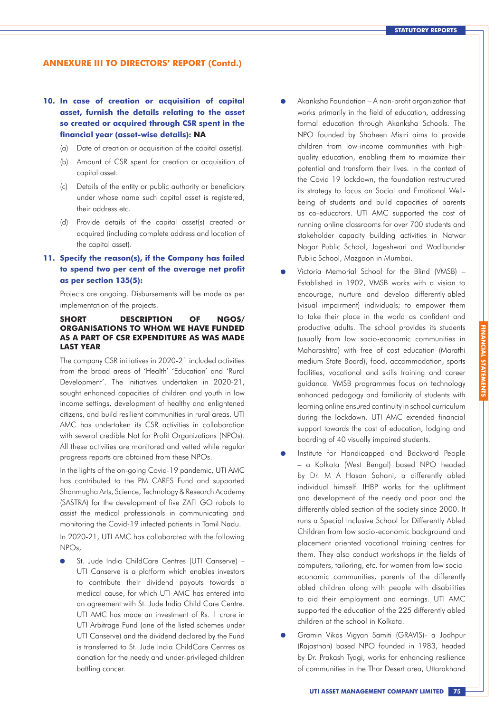### **10. In case of creation or acquisition of capital asset, furnish the details relating to the asset so created or acquired through CSR spent in the financial year (asset-wise details): NA**

- (a) Date of creation or acquisition of the capital asset(s).
- (b) Amount of CSR spent for creation or acquisition of capital asset.
- (c) Details of the entity or public authority or beneficiary under whose name such capital asset is registered, their address etc.
- (d) Provide details of the capital asset(s) created or acquired (including complete address and location of the capital asset).

### **11. Specify the reason(s), if the Company has failed to spend two per cent of the average net profit as per section 135(5):**

Projects are ongoing. Disbursements will be made as per implementation of the projects.

#### **SHORT DESCRIPTION OF NGOS/ ORGANISATIONS TO WHOM WE HAVE FUNDED AS A PART OF CSR EXPENDITURE AS WAS MADE LAST YEAR**

The company CSR initiatives in 2020-21 included activities from the broad areas of 'Health' 'Education' and 'Rural Development'. The initiatives undertaken in 2020-21, sought enhanced capacities of children and youth in low income settings, development of healthy and enlightened citizens, and build resilient communities in rural areas. UTI AMC has undertaken its CSR activities in collaboration with several credible Not for Profit Organizations (NPOs). All these activities are monitored and vetted while regular progress reports are obtained from these NPOs.

In the lights of the on-going Covid-19 pandemic, UTI AMC has contributed to the PM CARES Fund and supported Shanmugha Arts, Science, Technology & Research Academy (SASTRA) for the development of five ZAFI GO robots to assist the medical professionals in communicating and monitoring the Covid-19 infected patients in Tamil Nadu.

In 2020-21, UTI AMC has collaborated with the following NPOs,

St. Jude India ChildCare Centres (UTI Canserve) – UTI Canserve is a platform which enables investors to contribute their dividend payouts towards a medical cause, for which UTI AMC has entered into an agreement with St. Jude India Child Care Centre. UTI AMC has made an investment of Rs. 1 crore in UTI Arbitrage Fund (one of the listed schemes under UTI Canserve) and the dividend declared by the Fund is transferred to St. Jude India ChildCare Centres as donation for the needy and under-privileged children battling cancer.

- Akanksha Foundation A non-profit organization that works primarily in the field of education, addressing formal education through Akanksha Schools. The NPO founded by Shaheen Mistri aims to provide children from low-income communities with highquality education, enabling them to maximize their potential and transform their lives. In the context of the Covid 19 lockdown, the foundation restructured its strategy to focus on Social and Emotional Wellbeing of students and build capacities of parents as co-educators. UTI AMC supported the cost of running online classrooms for over 700 students and stakeholder capacity building activities in Natwar Nagar Public School, Jogeshwari and Wadibunder Public School, Mazgaon in Mumbai.
- Victoria Memorial School for the Blind (VMSB) Established in 1902, VMSB works with a vision to encourage, nurture and develop differently-abled (visual impairment) individuals; to empower them to take their place in the world as confident and productive adults. The school provides its students (usually from low socio-economic communities in Maharashtra) with free of cost education (Marathi medium State Board), food, accommodation, sports facilities, vocational and skills training and career guidance. VMSB programmes focus on technology enhanced pedagogy and familiarity of students with learning online ensured continuity in school curriculum during the lockdown. UTI AMC extended financial support towards the cost of education, lodging and boarding of 40 visually impaired students.
- Institute for Handicapped and Backward People – a Kolkata (West Bengal) based NPO headed by Dr. M A Hasan Sahani, a differently abled individual himself. IHBP works for the upliftment and development of the needy and poor and the differently abled section of the society since 2000. It runs a Special Inclusive School for Differently Abled Children from low socio-economic background and placement oriented vocational training centres for them. They also conduct workshops in the fields of computers, tailoring, etc. for women from low socioeconomic communities, parents of the differently abled children along with people with disabilities to aid their employment and earnings. UTI AMC supported the education of the 225 differently abled children at the school in Kolkata.
- Gramin Vikas Vigyan Samiti (GRAVIS)- a Jodhpur (Rajasthan) based NPO founded in 1983, headed by Dr. Prakash Tyagi, works for enhancing resilience of communities in the Thar Desert area, Uttarakhand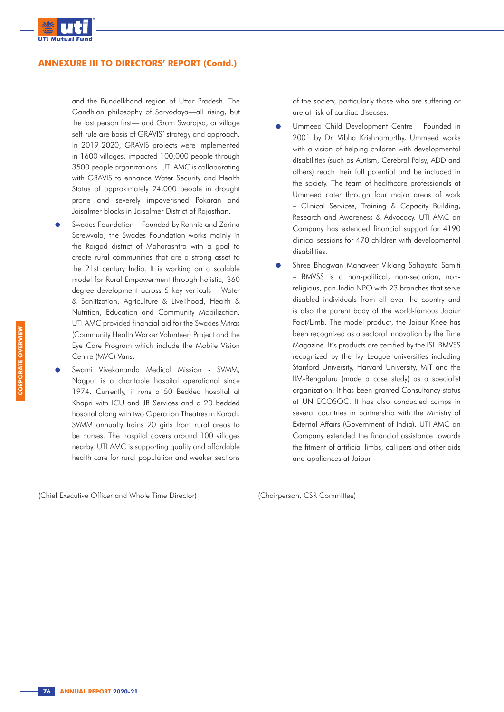

and the Bundelkhand region of Uttar Pradesh. The Gandhian philosophy of Sarvodaya—all rising, but the last person first— and Gram Swarajya, or village self-rule are basis of GRAVIS' strategy and approach. In 2019-2020, GRAVIS projects were implemented in 1600 villages, impacted 100,000 people through 3500 people organizations. UTI AMC is collaborating with GRAVIS to enhance Water Security and Health Status of approximately 24,000 people in drought prone and severely impoverished Pokaran and Jaisalmer blocks in Jaisalmer District of Rajasthan.

- Swades Foundation Founded by Ronnie and Zarina Screwvala, the Swades Foundation works mainly in the Raigad district of Maharashtra with a goal to create rural communities that are a strong asset to the 21st century India. It is working on a scalable model for Rural Empowerment through holistic, 360 degree development across 5 key verticals – Water & Sanitization, Agriculture & Livelihood, Health & Nutrition, Education and Community Mobilization. UTI AMC provided financial aid for the Swades Mitras (Community Health Worker Volunteer) Project and the Eye Care Program which include the Mobile Vision Centre (MVC) Vans.
- Swami Vivekananda Medical Mission SVMM, Nagpur is a charitable hospital operational since 1974. Currently, it runs a 50 Bedded hospital at Khapri with ICU and JR Services and a 20 bedded hospital along with two Operation Theatres in Koradi. SVMM annually trains 20 girls from rural areas to be nurses. The hospital covers around 100 villages nearby. UTI AMC is supporting quality and affordable health care for rural population and weaker sections

of the society, particularly those who are suffering or are at risk of cardiac diseases.

- Ummeed Child Development Centre Founded in 2001 by Dr. Vibha Krishnamurthy, Ummeed works with a vision of helping children with developmental disabilities (such as Autism, Cerebral Palsy, ADD and others) reach their full potential and be included in the society. The team of healthcare professionals at Ummeed cater through four major areas of work – Clinical Services, Training & Capacity Building, Research and Awareness & Advocacy. UTI AMC an Company has extended financial support for 4190 clinical sessions for 470 children with developmental disabilities.
- Shree Bhagwan Mahaveer Viklang Sahayata Samiti – BMVSS is a non-political, non-sectarian, nonreligious, pan-India NPO with 23 branches that serve disabled individuals from all over the country and is also the parent body of the world-famous Japiur Foot/Limb. The model product, the Jaipur Knee has been recognized as a sectoral innovation by the Time Magazine. It's products are certified by the ISI. BMVSS recognized by the Ivy League universities including Stanford University, Harvard University, MIT and the IIM-Bengaluru (made a case study) as a specialist organization. It has been granted Consultancy status at UN ECOSOC. It has also conducted camps in several countries in partnership with the Ministry of External Affairs (Government of India). UTI AMC an Company extended the financial assistance towards the fitment of artificial limbs, callipers and other aids and appliances at Jaipur.

(Chief Executive Officer and Whole Time Director) (Chairperson, CSR Committee)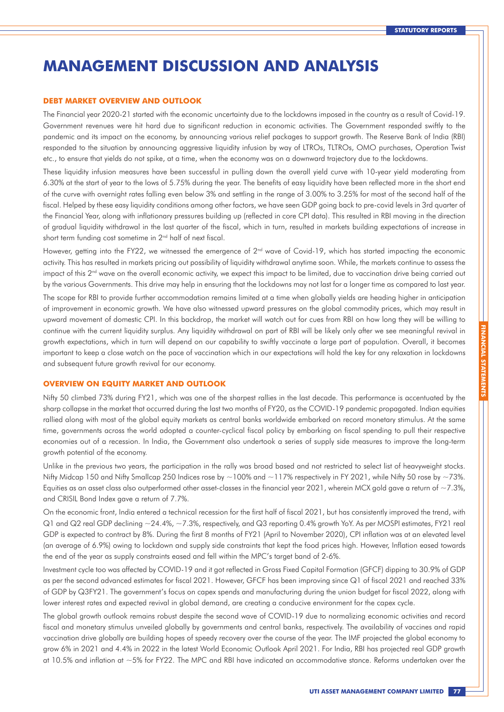## **MANAGEMENT DISCUSSION AND ANALYSIS**

#### **DEBT MARKET OVERVIEW AND OUTLOOK**

The Financial year 2020-21 started with the economic uncertainty due to the lockdowns imposed in the country as a result of Covid-19. Government revenues were hit hard due to significant reduction in economic activities. The Government responded swiftly to the pandemic and its impact on the economy, by announcing various relief packages to support growth. The Reserve Bank of India (RBI) responded to the situation by announcing aggressive liquidity infusion by way of LTROs, TLTROs, OMO purchases, Operation Twist etc., to ensure that yields do not spike, at a time, when the economy was on a downward trajectory due to the lockdowns.

These liquidity infusion measures have been successful in pulling down the overall yield curve with 10-year yield moderating from 6.30% at the start of year to the lows of 5.75% during the year. The benefits of easy liquidity have been reflected more in the short end of the curve with overnight rates falling even below 3% and settling in the range of 3.00% to 3.25% for most of the second half of the fiscal. Helped by these easy liquidity conditions among other factors, we have seen GDP going back to pre-covid levels in 3rd quarter of the Financial Year, along with inflationary pressures building up (reflected in core CPI data). This resulted in RBI moving in the direction of gradual liquidity withdrawal in the last quarter of the fiscal, which in turn, resulted in markets building expectations of increase in short term funding cost sometime in 2<sup>nd</sup> half of next fiscal.

However, getting into the FY22, we witnessed the emergence of  $2<sup>nd</sup>$  wave of Covid-19, which has started impacting the economic activity. This has resulted in markets pricing out possibility of liquidity withdrawal anytime soon. While, the markets continue to assess the impact of this  $2<sup>nd</sup>$  wave on the overall economic activity, we expect this impact to be limited, due to vaccination drive being carried out by the various Governments. This drive may help in ensuring that the lockdowns may not last for a longer time as compared to last year.

The scope for RBI to provide further accommodation remains limited at a time when globally yields are heading higher in anticipation of improvement in economic growth. We have also witnessed upward pressures on the global commodity prices, which may result in upward movement of domestic CPI. In this backdrop, the market will watch out for cues from RBI on how long they will be willing to continue with the current liquidity surplus. Any liquidity withdrawal on part of RBI will be likely only after we see meaningful revival in growth expectations, which in turn will depend on our capability to swiftly vaccinate a large part of population. Overall, it becomes important to keep a close watch on the pace of vaccination which in our expectations will hold the key for any relaxation in lockdowns and subsequent future growth revival for our economy.

#### **OVERVIEW ON EQUITY MARKET AND OUTLOOK**

Nifty 50 climbed 73% during FY21, which was one of the sharpest rallies in the last decade. This performance is accentuated by the sharp collapse in the market that occurred during the last two months of FY20, as the COVID-19 pandemic propagated. Indian equities rallied along with most of the global equity markets as central banks worldwide embarked on record monetary stimulus. At the same time, governments across the world adopted a counter-cyclical fiscal policy by embarking on fiscal spending to pull their respective economies out of a recession. In India, the Government also undertook a series of supply side measures to improve the long-term growth potential of the economy.

Unlike in the previous two years, the participation in the rally was broad based and not restricted to select list of heavyweight stocks. Nifty Midcap 150 and Nifty Smallcap 250 Indices rose by ~100% and ~117% respectively in FY 2021, while Nifty 50 rose by ~73%. Equities as an asset class also outperformed other asset-classes in the financial year 2021, wherein MCX gold gave a return of  $\sim$ 7.3%, and CRISIL Bond Index gave a return of 7.7%.

On the economic front, India entered a technical recession for the first half of fiscal 2021, but has consistently improved the trend, with  $Q1$  and  $Q2$  real GDP declining  $-24.4\%$ ,  $-7.3\%$ , respectively, and  $Q3$  reporting 0.4% growth YoY. As per MOSPI estimates, FY21 real GDP is expected to contract by 8%. During the first 8 months of FY21 (April to November 2020), CPI inflation was at an elevated level (an average of 6.9%) owing to lockdown and supply side constraints that kept the food prices high. However, Inflation eased towards the end of the year as supply constraints eased and fell within the MPC's target band of 2-6%.

Investment cycle too was affected by COVID-19 and it got reflected in Gross Fixed Capital Formation (GFCF) dipping to 30.9% of GDP as per the second advanced estimates for fiscal 2021. However, GFCF has been improving since Q1 of fiscal 2021 and reached 33% of GDP by Q3FY21. The government's focus on capex spends and manufacturing during the union budget for fiscal 2022, along with lower interest rates and expected revival in global demand, are creating a conducive environment for the capex cycle.

The global growth outlook remains robust despite the second wave of COVID-19 due to normalizing economic activities and record fiscal and monetary stimulus unveiled globally by governments and central banks, respectively. The availability of vaccines and rapid vaccination drive globally are building hopes of speedy recovery over the course of the year. The IMF projected the global economy to grow 6% in 2021 and 4.4% in 2022 in the latest World Economic Outlook April 2021. For India, RBI has projected real GDP growth at 10.5% and inflation at ~5% for FY22. The MPC and RBI have indicated an accommodative stance. Reforms undertaken over the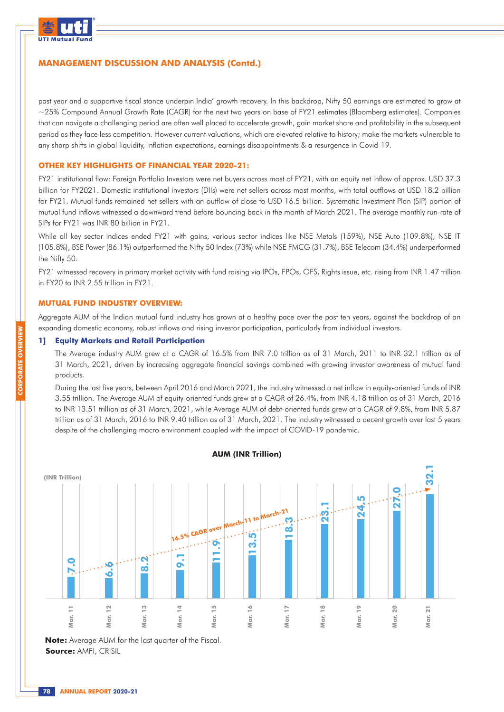

past year and a supportive fiscal stance underpin India' growth recovery. In this backdrop, Nifty 50 earnings are estimated to grow at ~25% Compound Annual Growth Rate (CAGR) for the next two years on base of FY21 estimates (Bloomberg estimates). Companies that can navigate a challenging period are often well placed to accelerate growth, gain market share and profitability in the subsequent period as they face less competition. However current valuations, which are elevated relative to history; make the markets vulnerable to any sharp shifts in global liquidity, inflation expectations, earnings disappointments & a resurgence in Covid-19.

### **OTHER KEY HIGHLIGHTS OF FINANCIAL YEAR 2020-21:**

FY21 institutional flow: Foreign Portfolio Investors were net buyers across most of FY21, with an equity net inflow of approx. USD 37.3 billion for FY2021. Domestic institutional investors (DIIs) were net sellers across most months, with total outflows at USD 18.2 billion for FY21. Mutual funds remained net sellers with an outflow of close to USD 16.5 billion. Systematic Investment Plan (SIP) portion of mutual fund inflows witnessed a downward trend before bouncing back in the month of March 2021. The average monthly run-rate of SIPs for FY21 was INR 80 billion in FY21.

While all key sector indices ended FY21 with gains, various sector indices like NSE Metals (159%), NSE Auto (109.8%), NSE IT (105.8%), BSE Power (86.1%) outperformed the Nifty 50 Index (73%) while NSE FMCG (31.7%), BSE Telecom (34.4%) underperformed the Nifty 50.

FY21 witnessed recovery in primary market activity with fund raising via IPOs, FPOs, OFS, Rights issue, etc. rising from INR 1.47 trillion in FY20 to INR 2.55 trillion in FY21.

#### **MUTUAL FUND INDUSTRY OVERVIEW:**

Aggregate AUM of the Indian mutual fund industry has grown at a healthy pace over the past ten years, against the backdrop of an expanding domestic economy, robust inflows and rising investor participation, particularly from individual investors.

#### **1] Equity Markets and Retail Participation**

The Average industry AUM grew at a CAGR of 16.5% from INR 7.0 trillion as of 31 March, 2011 to INR 32.1 trillion as of 31 March, 2021, driven by increasing aggregate financial savings combined with growing investor awareness of mutual fund products.

During the last five years, between April 2016 and March 2021, the industry witnessed a net inflow in equity-oriented funds of INR 3.55 trillion. The Average AUM of equity-oriented funds grew at a CAGR of 26.4%, from INR 4.18 trillion as of 31 March, 2016 to INR 13.51 trillion as of 31 March, 2021, while Average AUM of debt-oriented funds grew at a CAGR of 9.8%, from INR 5.87 trillion as of 31 March, 2016 to INR 9.40 trillion as of 31 March, 2021. The industry witnessed a decent growth over last 5 years despite of the challenging macro environment coupled with the impact of COVID-19 pandemic.



**AUM (INR Trillion)**

**Note:** Average AUM for the last quarter of the Fiscal. **Source:** AMFI, CRISIL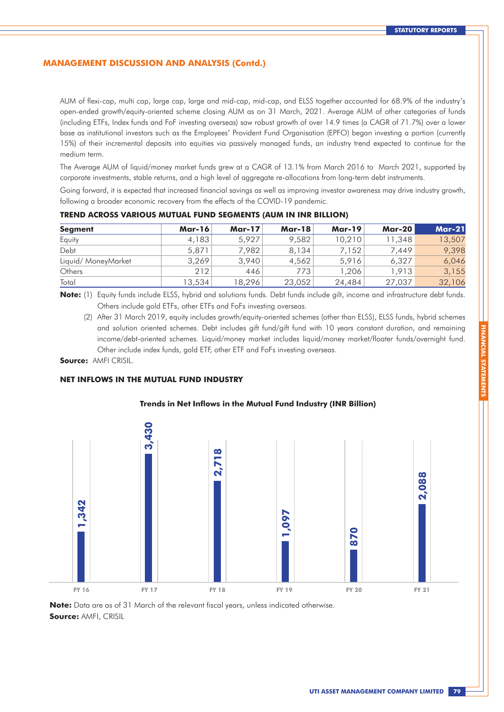AUM of flexi-cap, multi cap, large cap, large and mid-cap, mid-cap, and ELSS together accounted for 68.9% of the industry's open-ended growth/equity-oriented scheme closing AUM as on 31 March, 2021. Average AUM of other categories of funds (including ETFs, Index funds and FoF investing overseas) saw robust growth of over 14.9 times (a CAGR of 71.7%) over a lower base as institutional investors such as the Employees' Provident Fund Organisation (EPFO) began investing a portion (currently 15%) of their incremental deposits into equities via passively managed funds, an industry trend expected to continue for the medium term.

The Average AUM of liquid/money market funds grew at a CAGR of 13.1% from March 2016 to March 2021, supported by corporate investments, stable returns, and a high level of aggregate re-allocations from long-term debt instruments.

Going forward, it is expected that increased financial savings as well as improving investor awareness may drive industry growth, following a broader economic recovery from the effects of the COVID-19 pandemic.

| <b>Segment</b>     | <b>Mar-16</b> | <b>Mar-17</b> | <b>Mar-18</b> | <b>Mar-19</b> | <b>Mar-20</b> | <b>Mar-21</b> |
|--------------------|---------------|---------------|---------------|---------------|---------------|---------------|
| Equity             | 4,183         | 5,927         | 9,582         | 10,210        | 11,348        | 13,507        |
| Debt               | 5,871         | 7.982         | 8,134         | 7,152         | 7.449         | 9,398         |
| Liquid/MoneyMarket | 3,269         | 3,940         | 4.562         | 5,916         | 6.327         | 6,046         |
| Others             | 212           | 446           | 773           | .206          | 1.913         | 3,155         |
| Total              | 13,534        | 18,296        | 23,052        | 24,484        | 27,037        | 32,106        |

#### **TREND ACROSS VARIOUS MUTUAL FUND SEGMENTS (AUM IN INR BILLION)**

**Note:** (1) Equity funds include ELSS, hybrid and solutions funds. Debt funds include gilt, income and infrastructure debt funds. Others include gold ETFs, other ETFs and FoFs investing overseas.

(2) After 31 March 2019, equity includes growth/equity-oriented schemes (other than ELSS), ELSS funds, hybrid schemes and solution oriented schemes. Debt includes gift fund/gift fund with 10 years constant duration, and remaining income/debt-oriented schemes. Liquid/money market includes liquid/money market/floater funds/overnight fund. Other include index funds, gold ETF, other ETF and FoFs investing overseas.

**Source:** AMFI CRISIL.

#### **NET INFLOWS IN THE MUTUAL FUND INDUSTRY**

### **Trends in Net Inflows in the Mutual Fund Industry (INR Billion)**



**Note:** Data are as of 31 March of the relevant fiscal years, unless indicated otherwise. **Source:** AMFI, CRISIL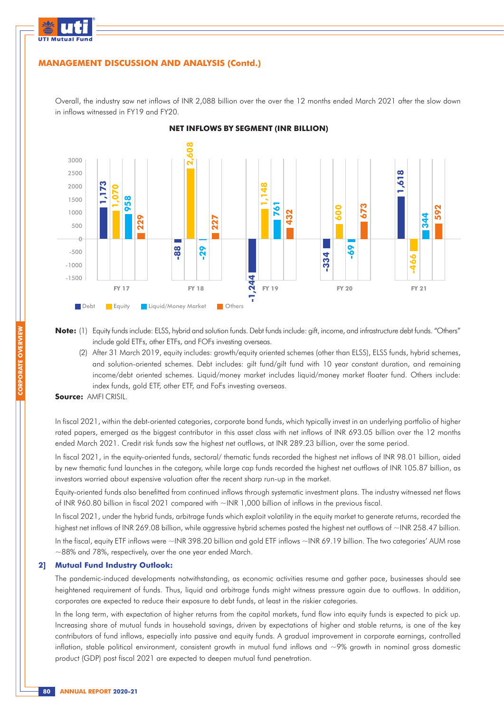

Overall, the industry saw net inflows of INR 2,088 billion over the over the 12 months ended March 2021 after the slow down in inflows witnessed in FY19 and FY20.



**NET INFLOWS BY SEGMENT (INR BILLION)**

- **Note:** (1) Equity funds include: ELSS, hybrid and solution funds. Debt funds include: gift, income, and infrastructure debt funds. "Others" include gold ETFs, other ETFs, and FOFs investing overseas.
	- (2) After 31 March 2019, equity includes: growth/equity oriented schemes (other than ELSS), ELSS funds, hybrid schemes, and solution-oriented schemes. Debt includes: gilt fund/gilt fund with 10 year constant duration, and remaining income/debt oriented schemes. Liquid/money market includes liquid/money market floater fund. Others include: index funds, gold ETF, other ETF, and FoFs investing overseas.

In fiscal 2021, within the debt-oriented categories, corporate bond funds, which typically invest in an underlying portfolio of higher rated papers, emerged as the biggest contributor in this asset class with net inflows of INR 693.05 billion over the 12 months ended March 2021. Credit risk funds saw the highest net outflows, at INR 289.23 billion, over the same period.

In fiscal 2021, in the equity-oriented funds, sectoral/ thematic funds recorded the highest net inflows of INR 98.01 billion, aided by new thematic fund launches in the category, while large cap funds recorded the highest net outflows of INR 105.87 billion, as investors worried about expensive valuation after the recent sharp run-up in the market.

Equity-oriented funds also benefitted from continued inflows through systematic investment plans. The industry witnessed net flows of INR 960.80 billion in fiscal 2021 compared with ~INR 1,000 billion of inflows in the previous fiscal.

In fiscal 2021, under the hybrid funds, arbitrage funds which exploit volatility in the equity market to generate returns, recorded the highest net inflows of INR 269.08 billion, while aggressive hybrid schemes posted the highest net outflows of ~INR 258.47 billion.

In the fiscal, equity ETF inflows were ~INR 398.20 billion and gold ETF inflows ~INR 69.19 billion. The two categories' AUM rose ~88% and 78%, respectively, over the one year ended March.

#### **2] Mutual Fund Industry Outlook:**

The pandemic-induced developments notwithstanding, as economic activities resume and gather pace, businesses should see heightened requirement of funds. Thus, liquid and arbitrage funds might witness pressure again due to outflows. In addition, corporates are expected to reduce their exposure to debt funds, at least in the riskier categories.

In the long term, with expectation of higher returns from the capital markets, fund flow into equity funds is expected to pick up. Increasing share of mutual funds in household savings, driven by expectations of higher and stable returns, is one of the key contributors of fund inflows, especially into passive and equity funds. A gradual improvement in corporate earnings, controlled inflation, stable political environment, consistent growth in mutual fund inflows and  $\sim$ 9% growth in nominal gross domestic product (GDP) post fiscal 2021 are expected to deepen mutual fund penetration.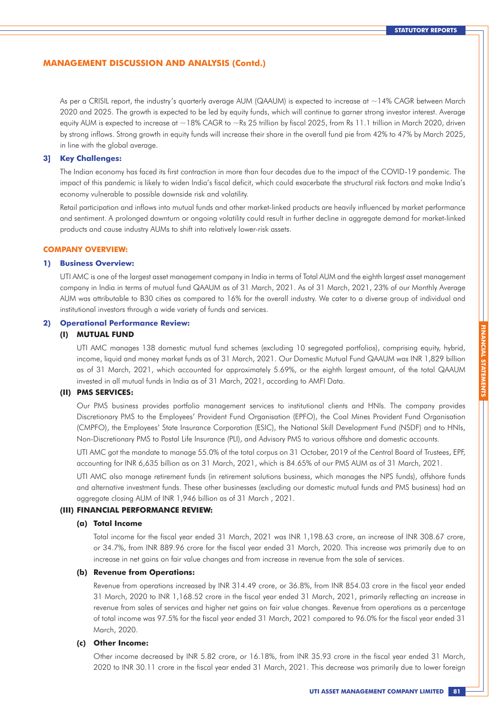As per a CRISIL report, the industry's quarterly average AUM (QAAUM) is expected to increase at  $\sim$ 14% CAGR between March 2020 and 2025. The growth is expected to be led by equity funds, which will continue to garner strong investor interest. Average equity AUM is expected to increase at ~18% CAGR to ~Rs 25 trillion by fiscal 2025, from Rs 11.1 trillion in March 2020, driven by strong inflows. Strong growth in equity funds will increase their share in the overall fund pie from 42% to 47% by March 2025, in line with the global average.

#### **3] Key Challenges:**

The Indian economy has faced its first contraction in more than four decades due to the impact of the COVID-19 pandemic. The impact of this pandemic is likely to widen India's fiscal deficit, which could exacerbate the structural risk factors and make India's economy vulnerable to possible downside risk and volatility.

Retail participation and inflows into mutual funds and other market-linked products are heavily influenced by market performance and sentiment. A prolonged downturn or ongoing volatility could result in further decline in aggregate demand for market-linked products and cause industry AUMs to shift into relatively lower-risk assets.

#### **COMPANY OVERVIEW:**

#### **1) Business Overview:**

UTI AMC is one of the largest asset management company in India in terms of Total AUM and the eighth largest asset management company in India in terms of mutual fund QAAUM as of 31 March, 2021. As of 31 March, 2021, 23% of our Monthly Average AUM was attributable to B30 cities as compared to 16% for the overall industry. We cater to a diverse group of individual and institutional investors through a wide variety of funds and services.

#### **2) Operational Performance Review:**

#### **(I) MUTUAL FUND**

UTI AMC manages 138 domestic mutual fund schemes (excluding 10 segregated portfolios), comprising equity, hybrid, income, liquid and money market funds as of 31 March, 2021. Our Domestic Mutual Fund QAAUM was INR 1,829 billion as of 31 March, 2021, which accounted for approximately 5.69%, or the eighth largest amount, of the total QAAUM invested in all mutual funds in India as of 31 March, 2021, according to AMFI Data.

### **(II) PMS SERVICES:**

Our PMS business provides portfolio management services to institutional clients and HNIs. The company provides Discretionary PMS to the Employees' Provident Fund Organisation (EPFO), the Coal Mines Provident Fund Organisation (CMPFO), the Employees' State Insurance Corporation (ESIC), the National Skill Development Fund (NSDF) and to HNIs, Non-Discretionary PMS to Postal Life Insurance (PLI), and Advisory PMS to various offshore and domestic accounts.

UTI AMC got the mandate to manage 55.0% of the total corpus on 31 October, 2019 of the Central Board of Trustees, EPF, accounting for INR 6,635 billion as on 31 March, 2021, which is 84.65% of our PMS AUM as of 31 March, 2021.

UTI AMC also manage retirement funds (in retirement solutions business, which manages the NPS funds), offshore funds and alternative investment funds. These other businesses (excluding our domestic mutual funds and PMS business) had an aggregate closing AUM of INR 1,946 billion as of 31 March , 2021.

#### **(III) FINANCIAL PERFORMANCE REVIEW:**

#### **(a) Total Income**

Total income for the fiscal year ended 31 March, 2021 was INR 1,198.63 crore, an increase of INR 308.67 crore, or 34.7%, from INR 889.96 crore for the fiscal year ended 31 March, 2020. This increase was primarily due to an increase in net gains on fair value changes and from increase in revenue from the sale of services.

#### **(b) Revenue from Operations:**

Revenue from operations increased by INR 314.49 crore, or 36.8%, from INR 854.03 crore in the fiscal year ended 31 March, 2020 to INR 1,168.52 crore in the fiscal year ended 31 March, 2021, primarily reflecting an increase in revenue from sales of services and higher net gains on fair value changes. Revenue from operations as a percentage of total income was 97.5% for the fiscal year ended 31 March, 2021 compared to 96.0% for the fiscal year ended 31 March, 2020.

#### **(c) Other Income:**

Other income decreased by INR 5.82 crore, or 16.18%, from INR 35.93 crore in the fiscal year ended 31 March, 2020 to INR 30.11 crore in the fiscal year ended 31 March, 2021. This decrease was primarily due to lower foreign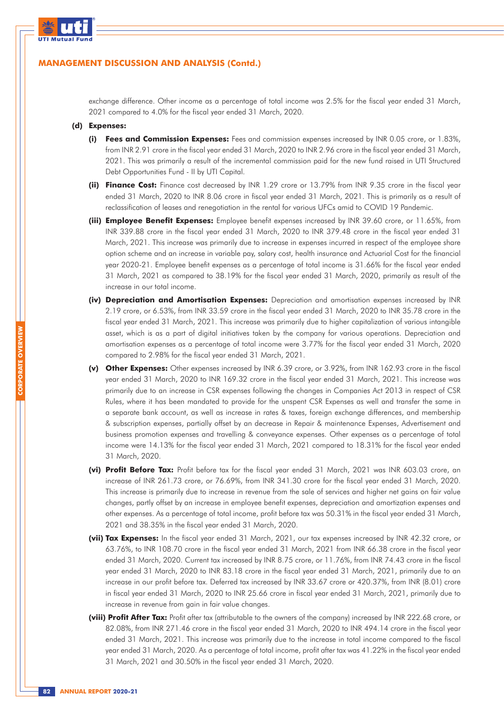

exchange difference. Other income as a percentage of total income was 2.5% for the fiscal year ended 31 March, 2021 compared to 4.0% for the fiscal year ended 31 March, 2020.

#### **(d) Expenses:**

- **(i) Fees and Commission Expenses:** Fees and commission expenses increased by INR 0.05 crore, or 1.83%, from INR 2.91 crore in the fiscal year ended 31 March, 2020 to INR 2.96 crore in the fiscal year ended 31 March, 2021. This was primarily a result of the incremental commission paid for the new fund raised in UTI Structured Debt Opportunities Fund - II by UTI Capital.
- **(ii) Finance Cost:** Finance cost decreased by INR 1.29 crore or 13.79% from INR 9.35 crore in the fiscal year ended 31 March, 2020 to INR 8.06 crore in fiscal year ended 31 March, 2021. This is primarily as a result of reclassification of leases and renegotiation in the rental for various UFCs amid to COVID 19 Pandemic.
- **(iii) Employee Benefit Expenses:** Employee benefit expenses increased by INR 39.60 crore, or 11.65%, from INR 339.88 crore in the fiscal year ended 31 March, 2020 to INR 379.48 crore in the fiscal year ended 31 March, 2021. This increase was primarily due to increase in expenses incurred in respect of the employee share option scheme and an increase in variable pay, salary cost, health insurance and Actuarial Cost for the financial year 2020-21. Employee benefit expenses as a percentage of total income is 31.66% for the fiscal year ended 31 March, 2021 as compared to 38.19% for the fiscal year ended 31 March, 2020, primarily as result of the increase in our total income.
- **(iv) Depreciation and Amortisation Expenses:** Depreciation and amortisation expenses increased by INR 2.19 crore, or 6.53%, from INR 33.59 crore in the fiscal year ended 31 March, 2020 to INR 35.78 crore in the fiscal year ended 31 March, 2021. This increase was primarily due to higher capitalization of various intangible asset, which is as a part of digital initiatives taken by the company for various operations. Depreciation and amortisation expenses as a percentage of total income were 3.77% for the fiscal year ended 31 March, 2020 compared to 2.98% for the fiscal year ended 31 March, 2021.
- **(v) Other Expenses:** Other expenses increased by INR 6.39 crore, or 3.92%, from INR 162.93 crore in the fiscal year ended 31 March, 2020 to INR 169.32 crore in the fiscal year ended 31 March, 2021. This increase was primarily due to an increase in CSR expenses following the changes in Companies Act 2013 in respect of CSR Rules, where it has been mandated to provide for the unspent CSR Expenses as well and transfer the same in a separate bank account, as well as increase in rates & taxes, foreign exchange differences, and membership & subscription expenses, partially offset by an decrease in Repair & maintenance Expenses, Advertisement and business promotion expenses and travelling & conveyance expenses. Other expenses as a percentage of total income were 14.13% for the fiscal year ended 31 March, 2021 compared to 18.31% for the fiscal year ended 31 March, 2020.
- **(vi) Profit Before Tax:** Profit before tax for the fiscal year ended 31 March, 2021 was INR 603.03 crore, an increase of INR 261.73 crore, or 76.69%, from INR 341.30 crore for the fiscal year ended 31 March, 2020. This increase is primarily due to increase in revenue from the sale of services and higher net gains on fair value changes, partly offset by an increase in employee benefit expenses, depreciation and amortization expenses and other expenses. As a percentage of total income, profit before tax was 50.31% in the fiscal year ended 31 March, 2021 and 38.35% in the fiscal year ended 31 March, 2020.
- **(vii) Tax Expenses:** In the fiscal year ended 31 March, 2021, our tax expenses increased by INR 42.32 crore, or 63.76%, to INR 108.70 crore in the fiscal year ended 31 March, 2021 from INR 66.38 crore in the fiscal year ended 31 March, 2020. Current tax increased by INR 8.75 crore, or 11.76%, from INR 74.43 crore in the fiscal year ended 31 March, 2020 to INR 83.18 crore in the fiscal year ended 31 March, 2021, primarily due to an increase in our profit before tax. Deferred tax increased by INR 33.67 crore or 420.37%, from INR (8.01) crore in fiscal year ended 31 March, 2020 to INR 25.66 crore in fiscal year ended 31 March, 2021, primarily due to increase in revenue from gain in fair value changes.
- **(viii) Profit After Tax:** Profit after tax (attributable to the owners of the company) increased by INR 222.68 crore, or 82.08%, from INR 271.46 crore in the fiscal year ended 31 March, 2020 to INR 494.14 crore in the fiscal year ended 31 March, 2021. This increase was primarily due to the increase in total income compared to the fiscal year ended 31 March, 2020. As a percentage of total income, profit after tax was 41.22% in the fiscal year ended 31 March, 2021 and 30.50% in the fiscal year ended 31 March, 2020.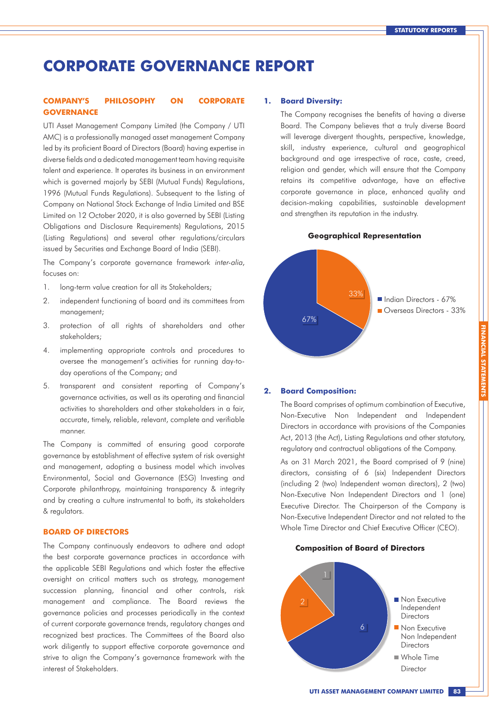## **CORPORATE GOVERNANCE REPORT**

### **COMPANY'S PHILOSOPHY ON CORPORATE GOVERNANCE**

UTI Asset Management Company Limited (the Company / UTI AMC) is a professionally managed asset management Company led by its proficient Board of Directors (Board) having expertise in diverse fields and a dedicated management team having requisite talent and experience. It operates its business in an environment which is governed majorly by SEBI (Mutual Funds) Regulations, 1996 (Mutual Funds Regulations). Subsequent to the listing of Company on National Stock Exchange of India Limited and BSE Limited on 12 October 2020, it is also governed by SEBI (Listing Obligations and Disclosure Requirements) Regulations, 2015 (Listing Regulations) and several other regulations/circulars issued by Securities and Exchange Board of India (SEBI).

The Company's corporate governance framework inter-alia, focuses on:

- 1. long-term value creation for all its Stakeholders;
- 2. independent functioning of board and its committees from management;
- 3. protection of all rights of shareholders and other stakeholders;
- 4. implementing appropriate controls and procedures to oversee the management's activities for running day-today operations of the Company; and
- 5. transparent and consistent reporting of Company's governance activities, as well as its operating and financial activities to shareholders and other stakeholders in a fair, accurate, timely, reliable, relevant, complete and verifiable manner.

The Company is committed of ensuring good corporate governance by establishment of effective system of risk oversight and management, adopting a business model which involves Environmental, Social and Governance (ESG) Investing and Corporate philanthropy, maintaining transparency & integrity and by creating a culture instrumental to both, its stakeholders & regulators.

### **BOARD OF DIRECTORS**

The Company continuously endeavors to adhere and adopt the best corporate governance practices in accordance with the applicable SEBI Regulations and which foster the effective oversight on critical matters such as strategy, management succession planning, financial and other controls, risk management and compliance. The Board reviews the governance policies and processes periodically in the context of current corporate governance trends, regulatory changes and recognized best practices. The Committees of the Board also work diligently to support effective corporate governance and strive to align the Company's governance framework with the interest of Stakeholders.

#### **1. Board Diversity:**

The Company recognises the benefits of having a diverse Board. The Company believes that a truly diverse Board will leverage divergent thoughts, perspective, knowledge, skill, industry experience, cultural and geographical background and age irrespective of race, caste, creed, religion and gender, which will ensure that the Company retains its competitive advantage, have an effective corporate governance in place, enhanced quality and decision-making capabilities, sustainable development and strengthen its reputation in the industry.

**Geographical Representation**



#### **2. Board Composition:**

The Board comprises of optimum combination of Executive, Non-Executive Non Independent and Independent Directors in accordance with provisions of the Companies Act, 2013 (the Act), Listing Regulations and other statutory, regulatory and contractual obligations of the Company.

As on 31 March 2021, the Board comprised of 9 (nine) directors, consisting of 6 (six) Independent Directors (including 2 (two) Independent woman directors), 2 (two) Non-Executive Non Independent Directors and 1 (one) Executive Director. The Chairperson of the Company is Non-Executive Independent Director and not related to the Whole Time Director and Chief Executive Officer (CEO).

#### **Composition of Board of Directors**

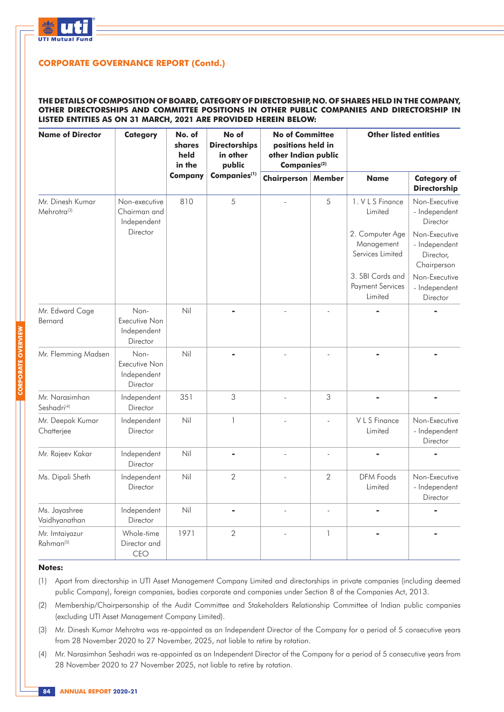

### **THE DETAILS OF COMPOSITION OF BOARD, CATEGORY OF DIRECTORSHIP, NO. OF SHARES HELD IN THE COMPANY, OTHER DIRECTORSHIPS AND COMMITTEE POSITIONS IN OTHER PUBLIC COMPANIES AND DIRECTORSHIP IN LISTED ENTITIES AS ON 31 MARCH, 2021 ARE PROVIDED HEREIN BELOW:**

| <b>Name of Director</b>                     | <b>Category</b>                                  | No. of<br>shares<br>held<br>in the | No of<br><b>Directorships</b><br>in other<br>public | <b>No of Committee</b><br>positions held in<br>other Indian public<br>Companies <sup>(2)</sup> |                          | <b>Other listed entities</b>                           |                                                            |
|---------------------------------------------|--------------------------------------------------|------------------------------------|-----------------------------------------------------|------------------------------------------------------------------------------------------------|--------------------------|--------------------------------------------------------|------------------------------------------------------------|
|                                             |                                                  | <b>Company</b>                     | Companies <sup>(1)</sup>                            | <b>Chairperson   Member</b>                                                                    |                          | <b>Name</b>                                            | <b>Category of</b><br><b>Directorship</b>                  |
| Mr. Dinesh Kumar<br>Mehrotra <sup>(3)</sup> | Non-executive<br>Chairman and<br>Independent     | 810                                | 5                                                   |                                                                                                | 5                        | 1. V L S Finance<br>Limited                            | Non-Executive<br>- Independent<br>Director                 |
|                                             | Director                                         |                                    |                                                     |                                                                                                |                          | 2. Computer Age<br>Management<br>Services Limited      | Non-Executive<br>- Independent<br>Director,<br>Chairperson |
|                                             |                                                  |                                    |                                                     |                                                                                                |                          | 3. SBI Cards and<br><b>Payment Services</b><br>Limited | Non-Executive<br>- Independent<br>Director                 |
| Mr. Edward Cage<br>Bernard                  | Non-<br>Executive Non<br>Independent<br>Director | Nil                                |                                                     |                                                                                                |                          |                                                        |                                                            |
| Mr. Flemming Madsen                         | Non-<br>Executive Non<br>Independent<br>Director | Nil                                |                                                     |                                                                                                |                          |                                                        |                                                            |
| Mr. Narasimhan<br>Seshadri <sup>(4)</sup>   | Independent<br>Director                          | 351                                | 3                                                   | $\overline{\phantom{a}}$                                                                       | 3                        | ä,                                                     |                                                            |
| Mr. Deepak Kumar<br>Chatterjee              | Independent<br>Director                          | Nil                                | $\mathbf{1}$                                        | $\overline{a}$                                                                                 | $\overline{\phantom{a}}$ | V L S Finance<br>Limited                               | Non-Executive<br>- Independent<br>Director                 |
| Mr. Rajeev Kakar                            | Independent<br>Director                          | Nil                                | $\blacksquare$                                      |                                                                                                | $\overline{a}$           |                                                        |                                                            |
| Ms. Dipali Sheth                            | Independent<br>Director                          | Nil                                | 2                                                   |                                                                                                | $\overline{2}$           | <b>DFM Foods</b><br>Limited                            | Non-Executive<br>- Independent<br>Director                 |
| Ms. Jayashree<br>Vaidhyanathan              | Independent<br>Director                          | Nil                                |                                                     |                                                                                                |                          |                                                        |                                                            |
| Mr. Imtaiyazur<br>Rahman <sup>(5)</sup>     | Whole-time<br>Director and<br>CEO                | 1971                               | $\overline{2}$                                      |                                                                                                | $\mathbf{1}$             |                                                        |                                                            |

#### **Notes:**

- (1) Apart from directorship in UTI Asset Management Company Limited and directorships in private companies (including deemed public Company), foreign companies, bodies corporate and companies under Section 8 of the Companies Act, 2013.
- (2) Membership/Chairpersonship of the Audit Committee and Stakeholders Relationship Committee of Indian public companies (excluding UTI Asset Management Company Limited).
- (3) Mr. Dinesh Kumar Mehrotra was re-appointed as an Independent Director of the Company for a period of 5 consecutive years from 28 November 2020 to 27 November, 2025, not liable to retire by rotation.
- (4) Mr. Narasimhan Seshadri was re-appointed as an Independent Director of the Company for a period of 5 consecutive years from 28 November 2020 to 27 November 2025, not liable to retire by rotation.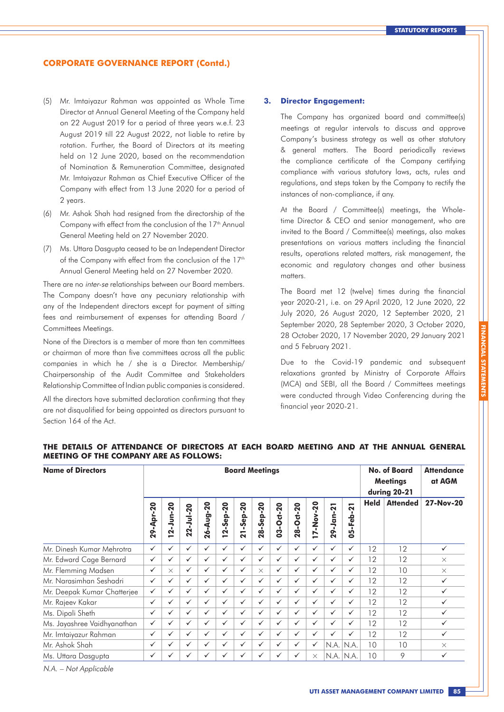- (5) Mr. Imtaiyazur Rahman was appointed as Whole Time Director at Annual General Meeting of the Company held on 22 August 2019 for a period of three years w.e.f. 23 August 2019 till 22 August 2022, not liable to retire by rotation. Further, the Board of Directors at its meeting held on 12 June 2020, based on the recommendation of Nomination & Remuneration Committee, designated Mr. Imtaiyazur Rahman as Chief Executive Officer of the Company with effect from 13 June 2020 for a period of 2 years.
- (6) Mr. Ashok Shah had resigned from the directorship of the Company with effect from the conclusion of the  $17<sup>th</sup>$  Annual General Meeting held on 27 November 2020.
- (7) Ms. Uttara Dasgupta ceased to be an Independent Director of the Company with effect from the conclusion of the 17<sup>th</sup> Annual General Meeting held on 27 November 2020.

There are no inter-se relationships between our Board members. The Company doesn't have any pecuniary relationship with any of the Independent directors except for payment of sitting fees and reimbursement of expenses for attending Board / Committees Meetings.

None of the Directors is a member of more than ten committees or chairman of more than five committees across all the public companies in which he / she is a Director. Membership/ Chairpersonship of the Audit Committee and Stakeholders Relationship Committee of Indian public companies is considered.

All the directors have submitted declaration confirming that they are not disqualified for being appointed as directors pursuant to Section 164 of the Act.

#### **3. Director Engagement:**

The Company has organized board and committee(s) meetings at regular intervals to discuss and approve Company's business strategy as well as other statutory & general matters. The Board periodically reviews the compliance certificate of the Company certifying compliance with various statutory laws, acts, rules and regulations, and steps taken by the Company to rectify the instances of non-compliance, if any.

At the Board / Committee(s) meetings, the Wholetime Director & CEO and senior management, who are invited to the Board / Committee(s) meetings, also makes presentations on various matters including the financial results, operations related matters, risk management, the economic and regulatory changes and other business matters.

The Board met 12 (twelve) times during the financial year 2020-21, i.e. on 29 April 2020, 12 June 2020, 22 July 2020, 26 August 2020, 12 September 2020, 21 September 2020, 28 September 2020, 3 October 2020, 28 October 2020, 17 November 2020, 29 January 2021 and 5 February 2021.

Due to the Covid-19 pandemic and subsequent relaxations granted by Ministry of Corporate Affairs (MCA) and SEBI, all the Board / Committees meetings were conducted through Video Conferencing during the financial year 2020-21.

| <b>Name of Directors</b>    |              | <b>Board Meetings</b>           |                                       |                                   |                     |                              |              |              |                                                                  |              | No. of Board<br><b>Meetings</b><br>during 20-21 |                                                          | <b>Attendance</b><br>at AGM |                 |              |
|-----------------------------|--------------|---------------------------------|---------------------------------------|-----------------------------------|---------------------|------------------------------|--------------|--------------|------------------------------------------------------------------|--------------|-------------------------------------------------|----------------------------------------------------------|-----------------------------|-----------------|--------------|
|                             | 29-Apr-20    | $-20$<br>nur.<br>$\overline{a}$ | $2 - J$ ul-20<br>$\mathbf{\tilde{N}}$ | $-20$<br>-Aug-<br>$\overline{26}$ | $2 - 5ep - 20$<br>- | $-5ep-20$<br>$\overline{21}$ | 28-Sep-20    | 03-Oct-20    | <b>Oct-20</b><br>$\overline{\mathbf{6}}$<br>$\tilde{\mathbf{N}}$ | 17-Nov-20    | 29-Jan-21                                       | $\overline{21}$<br>п.<br>-Feb<br>LÕ,<br>$\ddot{\bullet}$ | <b>Held</b>                 | <b>Attended</b> | 27-Nov-20    |
| Mr. Dinesh Kumar Mehrotra   | ✓            | ✓                               | $\checkmark$                          | ✓                                 | $\checkmark$        | $\checkmark$                 | $\checkmark$ | ✓            | ✓                                                                | $\checkmark$ | ✓                                               | ✓                                                        | 12                          | 12              | $\checkmark$ |
| Mr. Edward Cage Bernard     | ✓            | ✓                               | $\checkmark$                          | ✓                                 | $\checkmark$        | ✓                            | $\checkmark$ | $\checkmark$ | $\checkmark$                                                     | $\checkmark$ | ✓                                               | $\checkmark$                                             | 12                          | 12              | $\times$     |
| Mr. Flemming Madsen         | ✓            | $\times$                        | $\checkmark$                          | ✓                                 | $\checkmark$        | ✓                            | $\times$     | $\checkmark$ | $\checkmark$                                                     | $\checkmark$ | ✓                                               | ✓                                                        | 12                          | 10              | $\times$     |
| Mr. Narasimhan Seshadri     | ✓            | $\checkmark$                    | $\checkmark$                          | ✓                                 | $\checkmark$        | $\checkmark$                 | $\checkmark$ | $\checkmark$ | $\checkmark$                                                     | $\checkmark$ | ✓                                               | $\checkmark$                                             | 12                          | 12              | $\checkmark$ |
| Mr. Deepak Kumar Chatterjee | $\checkmark$ | $\checkmark$                    | $\checkmark$                          | ✓                                 | $\checkmark$        | $\checkmark$                 | $\checkmark$ | $\checkmark$ | $\checkmark$                                                     | $\checkmark$ | ✓                                               | $\checkmark$                                             | 12                          | 12              | $\checkmark$ |
| Mr. Rajeev Kakar            | $\checkmark$ | ✓                               | $\checkmark$                          | ✓                                 | $\checkmark$        | ✓                            | $\checkmark$ | $\checkmark$ | $\checkmark$                                                     | $\checkmark$ | ✓                                               | $\checkmark$                                             | 12                          | 12              | ✓            |
| Ms. Dipali Sheth            | $\checkmark$ | $\checkmark$                    | $\checkmark$                          | ✓                                 | $\checkmark$        | $\checkmark$                 | $\checkmark$ | $\checkmark$ | $\checkmark$                                                     | $\checkmark$ | $\checkmark$                                    | $\checkmark$                                             | 12                          | 12              | ✓            |
| Ms. Jayashree Vaidhyanathan | $\checkmark$ | $\checkmark$                    | $\checkmark$                          | ✓                                 | $\checkmark$        | $\checkmark$                 | $\checkmark$ | $\checkmark$ | $\checkmark$                                                     | $\checkmark$ | ✓                                               | $\checkmark$                                             | 12                          | 12              | ✓            |
| Mr. Imtaiyazur Rahman       | $\checkmark$ | ✓                               | $\checkmark$                          | ✓                                 | $\checkmark$        | $\checkmark$                 | $\checkmark$ | $\checkmark$ | ✓                                                                | $\checkmark$ | ✓                                               | $\checkmark$                                             | 12                          | 12              | ✓            |
| Mr. Ashok Shah              | ✓            | ✓                               | $\checkmark$                          | ✓                                 | $\checkmark$        | ✓                            | $\checkmark$ | $\checkmark$ | ✓                                                                | $\checkmark$ | N.A.                                            | N.A.                                                     | 10                          | 10              | $\times$     |
| Ms. Uttara Dasgupta         | ✓            | ✓                               | ✓                                     | ✓                                 | ✓                   | $\checkmark$                 | $\checkmark$ | ✓            | ✓                                                                | $\times$     | N.A. N.A.                                       |                                                          | 10                          | 9               | $\checkmark$ |

### **THE DETAILS OF ATTENDANCE OF DIRECTORS AT EACH BOARD MEETING AND AT THE ANNUAL GENERAL MEETING OF THE COMPANY ARE AS FOLLOWS:**

N.A. – Not Applicable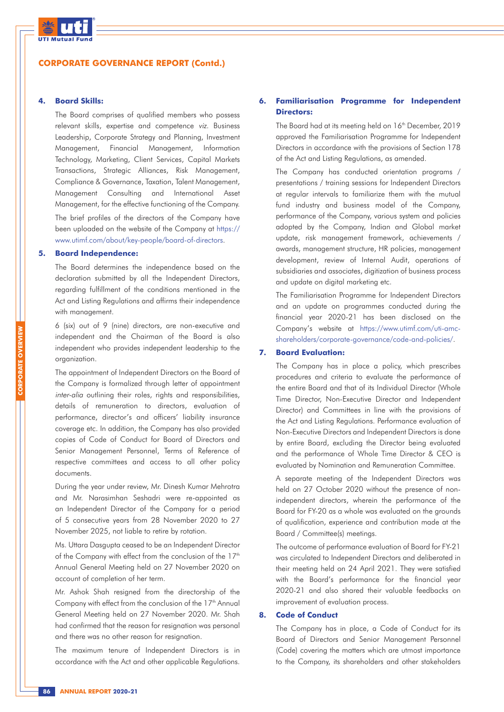

#### **4. Board Skills:**

The Board comprises of qualified members who possess relevant skills, expertise and competence viz. Business Leadership, Corporate Strategy and Planning, Investment Management, Financial Management, Information Technology, Marketing, Client Services, Capital Markets Transactions, Strategic Alliances, Risk Management, Compliance & Governance, Taxation, Talent Management, Management Consulting and International Asset Management, for the effective functioning of the Company. The brief profiles of the directors of the Company have

been uploaded on the website of the Company at https:// www.utimf.com/about/key-people/board-of-directors.

### **5. Board Independence:**

The Board determines the independence based on the declaration submitted by all the Independent Directors, regarding fulfillment of the conditions mentioned in the Act and Listing Regulations and affirms their independence with management.

6 (six) out of 9 (nine) directors, are non-executive and independent and the Chairman of the Board is also independent who provides independent leadership to the organization.

The appointment of Independent Directors on the Board of the Company is formalized through letter of appointment inter-alia outlining their roles, rights and responsibilities, details of remuneration to directors, evaluation of performance, director's and officers' liability insurance coverage etc. In addition, the Company has also provided copies of Code of Conduct for Board of Directors and Senior Management Personnel, Terms of Reference of respective committees and access to all other policy documents.

During the year under review, Mr. Dinesh Kumar Mehrotra and Mr. Narasimhan Seshadri were re-appointed as an Independent Director of the Company for a period of 5 consecutive years from 28 November 2020 to 27 November 2025, not liable to retire by rotation.

Ms. Uttara Dasgupta ceased to be an Independent Director of the Company with effect from the conclusion of the 17<sup>th</sup> Annual General Meeting held on 27 November 2020 on account of completion of her term.

Mr. Ashok Shah resigned from the directorship of the Company with effect from the conclusion of the 17<sup>th</sup> Annual General Meeting held on 27 November 2020. Mr. Shah had confirmed that the reason for resignation was personal and there was no other reason for resignation.

The maximum tenure of Independent Directors is in accordance with the Act and other applicable Regulations.

### **6. Familiarisation Programme for Independent Directors:**

The Board had at its meeting held on 16<sup>th</sup> December, 2019 approved the Familiarisation Programme for Independent Directors in accordance with the provisions of Section 178 of the Act and Listing Regulations, as amended.

The Company has conducted orientation programs / presentations / training sessions for Independent Directors at regular intervals to familiarize them with the mutual fund industry and business model of the Company, performance of the Company, various system and policies adopted by the Company, Indian and Global market update, risk management framework, achievements / awards, management structure, HR policies, management development, review of Internal Audit, operations of subsidiaries and associates, digitization of business process and update on digital marketing etc.

The Familiarisation Programme for Independent Directors and an update on programmes conducted during the financial year 2020-21 has been disclosed on the Company's website at https://www.utimf.com/uti-amcshareholders/corporate-governance/code-and-policies/.

#### **7. Board Evaluation:**

The Company has in place a policy, which prescribes procedures and criteria to evaluate the performance of the entire Board and that of its Individual Director (Whole Time Director, Non-Executive Director and Independent Director) and Committees in line with the provisions of the Act and Listing Regulations. Performance evaluation of Non-Executive Directors and Independent Directors is done by entire Board, excluding the Director being evaluated and the performance of Whole Time Director & CEO is evaluated by Nomination and Remuneration Committee.

A separate meeting of the Independent Directors was held on 27 October 2020 without the presence of nonindependent directors, wherein the performance of the Board for FY-20 as a whole was evaluated on the grounds of qualification, experience and contribution made at the Board / Committee(s) meetings.

The outcome of performance evaluation of Board for FY-21 was circulated to Independent Directors and deliberated in their meeting held on 24 April 2021. They were satisfied with the Board's performance for the financial year 2020-21 and also shared their valuable feedbacks on improvement of evaluation process.

### **8. Code of Conduct**

The Company has in place, a Code of Conduct for its Board of Directors and Senior Management Personnel (Code) covering the matters which are utmost importance to the Company, its shareholders and other stakeholders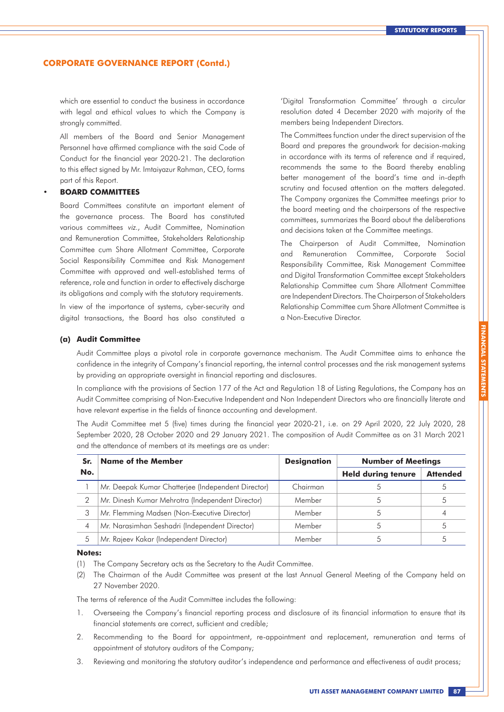which are essential to conduct the business in accordance with legal and ethical values to which the Company is strongly committed.

All members of the Board and Senior Management Personnel have affirmed compliance with the said Code of Conduct for the financial year 2020-21. The declaration to this effect signed by Mr. Imtaiyazur Rahman, CEO, forms part of this Report.

#### **• BOARD COMMITTEES**

Board Committees constitute an important element of the governance process. The Board has constituted various committees viz., Audit Committee, Nomination and Remuneration Committee, Stakeholders Relationship Committee cum Share Allotment Committee, Corporate Social Responsibility Committee and Risk Management Committee with approved and well-established terms of reference, role and function in order to effectively discharge its obligations and comply with the statutory requirements.

In view of the importance of systems, cyber-security and digital transactions, the Board has also constituted a 'Digital Transformation Committee' through a circular resolution dated 4 December 2020 with majority of the members being Independent Directors.

The Committees function under the direct supervision of the Board and prepares the groundwork for decision-making in accordance with its terms of reference and if required, recommends the same to the Board thereby enabling better management of the board's time and in-depth scrutiny and focused attention on the matters delegated. The Company organizes the Committee meetings prior to the board meeting and the chairpersons of the respective committees, summarizes the Board about the deliberations and decisions taken at the Committee meetings.

The Chairperson of Audit Committee, Nomination and Remuneration Committee, Corporate Social Responsibility Committee, Risk Management Committee and Digital Transformation Committee except Stakeholders Relationship Committee cum Share Allotment Committee are Independent Directors. The Chairperson of Stakeholders Relationship Committee cum Share Allotment Committee is a Non-Executive Director.

#### **(a) Audit Committee**

Audit Committee plays a pivotal role in corporate governance mechanism. The Audit Committee aims to enhance the confidence in the integrity of Company's financial reporting, the internal control processes and the risk management systems by providing an appropriate oversight in financial reporting and disclosures.

In compliance with the provisions of Section 177 of the Act and Regulation 18 of Listing Regulations, the Company has an Audit Committee comprising of Non-Executive Independent and Non Independent Directors who are financially literate and have relevant expertise in the fields of finance accounting and development.

The Audit Committee met 5 (five) times during the financial year 2020-21, i.e. on 29 April 2020, 22 July 2020, 28 September 2020, 28 October 2020 and 29 January 2021. The composition of Audit Committee as on 31 March 2021 and the attendance of members at its meetings are as under:

| Sr. | <b>Name of the Member</b>                          | <b>Designation</b> | <b>Number of Meetings</b> |                 |  |
|-----|----------------------------------------------------|--------------------|---------------------------|-----------------|--|
| No. |                                                    |                    | <b>Held during tenure</b> | <b>Attended</b> |  |
|     | Mr. Deepak Kumar Chatterjee (Independent Director) | Chairman           |                           |                 |  |
| 2   | Mr. Dinesh Kumar Mehrotra (Independent Director)   | Member             |                           |                 |  |
| 3   | Mr. Flemming Madsen (Non-Executive Director)       | Member             | .5                        |                 |  |
| 4   | Mr. Narasimhan Seshadri (Independent Director)     | Member             |                           |                 |  |
| 5   | Mr. Rajeev Kakar (Independent Director)            | Member             |                           |                 |  |

#### **Notes:**

- (1) The Company Secretary acts as the Secretary to the Audit Committee.
- (2) The Chairman of the Audit Committee was present at the last Annual General Meeting of the Company held on 27 November 2020.

The terms of reference of the Audit Committee includes the following:

- 1. Overseeing the Company's financial reporting process and disclosure of its financial information to ensure that its financial statements are correct, sufficient and credible;
- 2. Recommending to the Board for appointment, re-appointment and replacement, remuneration and terms of appointment of statutory auditors of the Company;
- 3. Reviewing and monitoring the statutory auditor's independence and performance and effectiveness of audit process;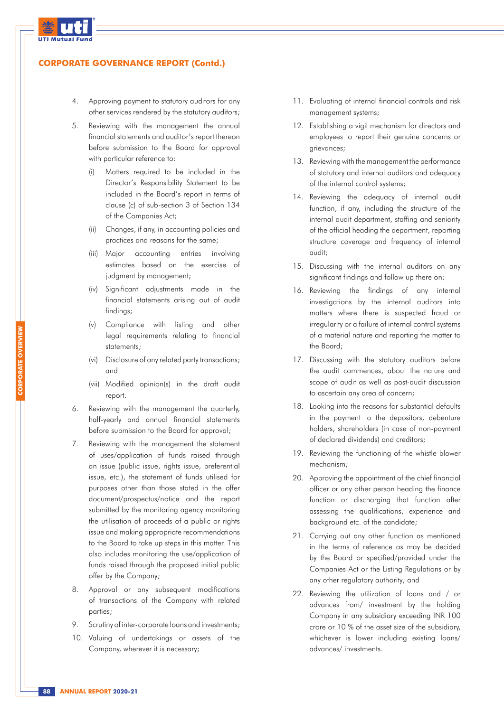

**CORPORATE OVERVIEW**

### **CORPORATE GOVERNANCE REPORT (Contd.)**

- 4. Approving payment to statutory auditors for any other services rendered by the statutory auditors;
- 5. Reviewing with the management the annual financial statements and auditor's report thereon before submission to the Board for approval with particular reference to:
	- (i) Matters required to be included in the Director's Responsibility Statement to be included in the Board's report in terms of clause (c) of sub-section 3 of Section 134 of the Companies Act;
	- (ii) Changes, if any, in accounting policies and practices and reasons for the same;
	- (iii) Major accounting entries involving estimates based on the exercise of judgment by management;
	- (iv) Significant adjustments made in the financial statements arising out of audit findings;
	- (v) Compliance with listing and other legal requirements relating to financial statements;
	- (vi) Disclosure of any related party transactions; and
	- (vii) Modified opinion(s) in the draft audit report.
- 6. Reviewing with the management the quarterly, half-yearly and annual financial statements before submission to the Board for approval;
- 7. Reviewing with the management the statement of uses/application of funds raised through an issue (public issue, rights issue, preferential issue, etc.), the statement of funds utilised for purposes other than those stated in the offer document/prospectus/notice and the report submitted by the monitoring agency monitoring the utilisation of proceeds of a public or rights issue and making appropriate recommendations to the Board to take up steps in this matter. This also includes monitoring the use/application of funds raised through the proposed initial public offer by the Company;
- 8. Approval or any subsequent modifications of transactions of the Company with related parties;
- 9. Scrutiny of inter-corporate loans and investments;
- 10. Valuing of undertakings or assets of the Company, wherever it is necessary;
- 11. Evaluating of internal financial controls and risk management systems;
- 12. Establishing a vigil mechanism for directors and employees to report their genuine concerns or grievances;
- 13. Reviewing with the management the performance of statutory and internal auditors and adequacy of the internal control systems;
- 14. Reviewing the adequacy of internal audit function, if any, including the structure of the internal audit department, staffing and seniority of the official heading the department, reporting structure coverage and frequency of internal audit;
- 15. Discussing with the internal auditors on any significant findings and follow up there on;
- 16. Reviewing the findings of any internal investigations by the internal auditors into matters where there is suspected fraud or irregularity or a failure of internal control systems of a material nature and reporting the matter to the Board;
- 17. Discussing with the statutory auditors before the audit commences, about the nature and scope of audit as well as post-audit discussion to ascertain any area of concern;
- 18. Looking into the reasons for substantial defaults in the payment to the depositors, debenture holders, shareholders (in case of non-payment of declared dividends) and creditors;
- 19. Reviewing the functioning of the whistle blower mechanism;
- 20. Approving the appointment of the chief financial officer or any other person heading the finance function or discharging that function after assessing the qualifications, experience and background etc. of the candidate;
- 21. Carrying out any other function as mentioned in the terms of reference as may be decided by the Board or specified/provided under the Companies Act or the Listing Regulations or by any other regulatory authority; and
- 22. Reviewing the utilization of loans and / or advances from/ investment by the holding Company in any subsidiary exceeding INR 100 crore or 10 % of the asset size of the subsidiary, whichever is lower including existing loans/ advances/ investments.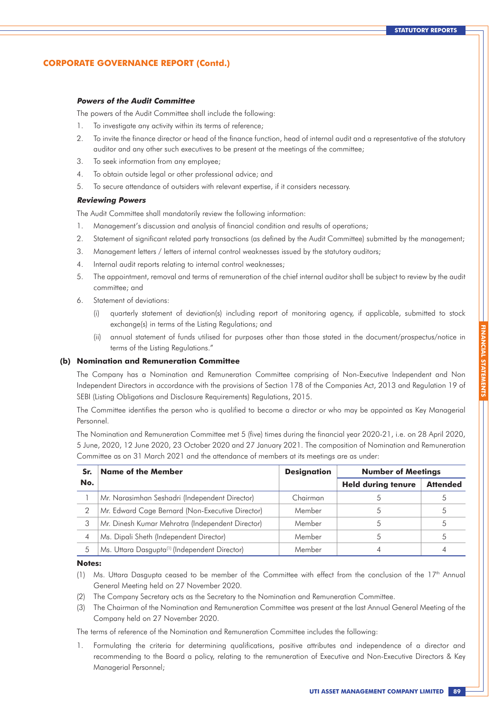#### **Powers of the Audit Committee**

The powers of the Audit Committee shall include the following:

- 1. To investigate any activity within its terms of reference;
- 2. To invite the finance director or head of the finance function, head of internal audit and a representative of the statutory auditor and any other such executives to be present at the meetings of the committee;
- 3. To seek information from any employee;
- 4. To obtain outside legal or other professional advice; and
- 5. To secure attendance of outsiders with relevant expertise, if it considers necessary.

### **Reviewing Powers**

The Audit Committee shall mandatorily review the following information:

- 1. Management's discussion and analysis of financial condition and results of operations;
- 2. Statement of significant related party transactions (as defined by the Audit Committee) submitted by the management;
- 3. Management letters / letters of internal control weaknesses issued by the statutory auditors;
- 4. Internal audit reports relating to internal control weaknesses;
- 5. The appointment, removal and terms of remuneration of the chief internal auditor shall be subject to review by the audit committee; and
- 6. Statement of deviations:
	- (i) quarterly statement of deviation(s) including report of monitoring agency, if applicable, submitted to stock exchange(s) in terms of the Listing Regulations; and
	- (ii) annual statement of funds utilised for purposes other than those stated in the document/prospectus/notice in terms of the Listing Regulations."

#### **(b) Nomination and Remuneration Committee**

The Company has a Nomination and Remuneration Committee comprising of Non-Executive Independent and Non Independent Directors in accordance with the provisions of Section 178 of the Companies Act, 2013 and Regulation 19 of SEBI (Listing Obligations and Disclosure Requirements) Regulations, 2015.

The Committee identifies the person who is qualified to become a director or who may be appointed as Key Managerial Personnel.

The Nomination and Remuneration Committee met 5 (five) times during the financial year 2020-21, i.e. on 28 April 2020, 5 June, 2020, 12 June 2020, 23 October 2020 and 27 January 2021. The composition of Nomination and Remuneration Committee as on 31 March 2021 and the attendance of members at its meetings are as under:

| Sr. | <b>Name of the Member</b>                                 | <b>Designation</b> | <b>Number of Meetings</b> |                 |  |
|-----|-----------------------------------------------------------|--------------------|---------------------------|-----------------|--|
| No. |                                                           |                    | <b>Held during tenure</b> | <b>Attended</b> |  |
|     | Mr. Narasimhan Seshadri (Independent Director)            | Chairman           |                           |                 |  |
|     | Mr. Edward Cage Bernard (Non-Executive Director)          | Member             |                           |                 |  |
| 3   | Mr. Dinesh Kumar Mehrotra (Independent Director)          | Member             |                           |                 |  |
|     | Ms. Dipali Sheth (Independent Director)                   | Member             |                           |                 |  |
| 5   | Ms. Uttara Dasgupta <sup>(1)</sup> (Independent Director) | Member             |                           |                 |  |

#### **Notes:**

- (1) Ms. Uttara Dasaupta ceased to be member of the Committee with effect from the conclusion of the  $17<sup>th</sup>$  Annual General Meeting held on 27 November 2020.
- (2) The Company Secretary acts as the Secretary to the Nomination and Remuneration Committee.
- (3) The Chairman of the Nomination and Remuneration Committee was present at the last Annual General Meeting of the Company held on 27 November 2020.

The terms of reference of the Nomination and Remuneration Committee includes the following:

1. Formulating the criteria for determining qualifications, positive attributes and independence of a director and recommending to the Board a policy, relating to the remuneration of Executive and Non-Executive Directors & Key Managerial Personnel;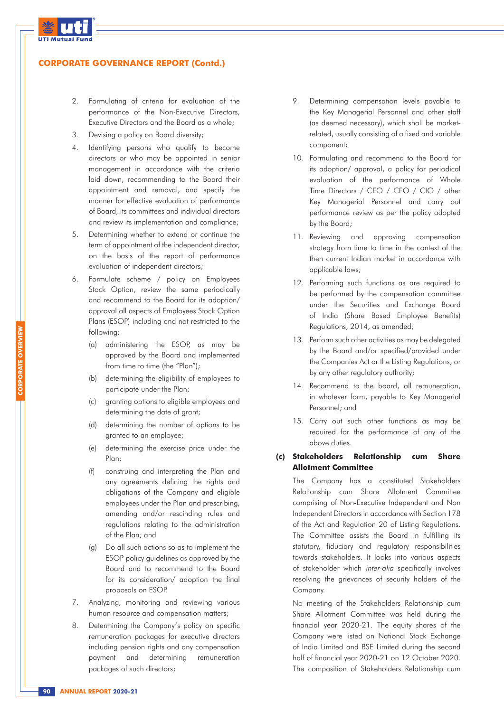

- 2. Formulating of criteria for evaluation of the performance of the Non-Executive Directors, Executive Directors and the Board as a whole;
- 3. Devising a policy on Board diversity;
- 4. Identifying persons who qualify to become directors or who may be appointed in senior management in accordance with the criteria laid down, recommending to the Board their appointment and removal, and specify the manner for effective evaluation of performance of Board, its committees and individual directors and review its implementation and compliance;
- 5. Determining whether to extend or continue the term of appointment of the independent director, on the basis of the report of performance evaluation of independent directors;
- 6. Formulate scheme / policy on Employees Stock Option, review the same periodically and recommend to the Board for its adoption/ approval all aspects of Employees Stock Option Plans (ESOP) including and not restricted to the following:
	- (a) administering the ESOP, as may be approved by the Board and implemented from time to time (the "Plan");
	- (b) determining the eligibility of employees to participate under the Plan;
	- (c) granting options to eligible employees and determining the date of grant;
	- (d) determining the number of options to be granted to an employee;
	- (e) determining the exercise price under the Plan;
	- (f) construing and interpreting the Plan and any agreements defining the rights and obligations of the Company and eligible employees under the Plan and prescribing, amending and/or rescinding rules and regulations relating to the administration of the Plan; and
	- (g) Do all such actions so as to implement the ESOP policy guidelines as approved by the Board and to recommend to the Board for its consideration/ adoption the final proposals on ESOP.
- 7. Analyzing, monitoring and reviewing various human resource and compensation matters;
- 8. Determining the Company's policy on specific remuneration packages for executive directors including pension rights and any compensation payment and determining remuneration packages of such directors;
- 9. Determining compensation levels payable to the Key Managerial Personnel and other staff (as deemed necessary), which shall be marketrelated, usually consisting of a fixed and variable component;
- 10. Formulating and recommend to the Board for its adoption/ approval, a policy for periodical evaluation of the performance of Whole Time Directors / CEO / CFO / CIO / other Key Managerial Personnel and carry out performance review as per the policy adopted by the Board;
- 11. Reviewing and approving compensation strategy from time to time in the context of the then current Indian market in accordance with applicable laws;
- 12. Performing such functions as are required to be performed by the compensation committee under the Securities and Exchange Board of India (Share Based Employee Benefits) Regulations, 2014, as amended;
- 13. Perform such other activities as may be delegated by the Board and/or specified/provided under the Companies Act or the Listing Regulations, or by any other regulatory authority;
- 14. Recommend to the board, all remuneration, in whatever form, payable to Key Managerial Personnel; and
- 15. Carry out such other functions as may be required for the performance of any of the above duties.

### **(c) Stakeholders Relationship cum Share Allotment Committee**

The Company has a constituted Stakeholders Relationship cum Share Allotment Committee comprising of Non-Executive Independent and Non Independent Directors in accordance with Section 178 of the Act and Regulation 20 of Listing Regulations. The Committee assists the Board in fulfilling its statutory, fiduciary and regulatory responsibilities towards stakeholders. It looks into various aspects of stakeholder which inter-alia specifically involves resolving the grievances of security holders of the Company.

No meeting of the Stakeholders Relationship cum Share Allotment Committee was held during the financial year 2020-21. The equity shares of the Company were listed on National Stock Exchange of India Limited and BSE Limited during the second half of financial year 2020-21 on 12 October 2020. The composition of Stakeholders Relationship cum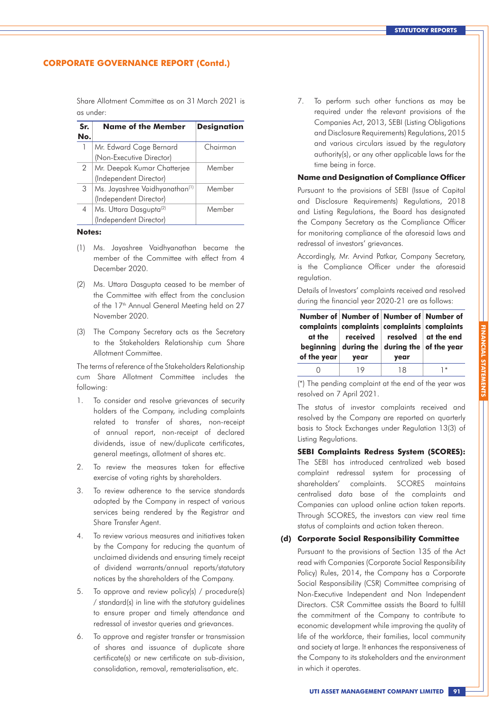Share Allotment Committee as on 31 March 2021 is as under:

| Sr. | <b>Name of the Member</b>                  | <b>Designation</b> |
|-----|--------------------------------------------|--------------------|
| No. |                                            |                    |
| 1   | Mr. Edward Cage Bernard                    | Chairman           |
|     | (Non-Executive Director)                   |                    |
| 2   | Mr. Deepak Kumar Chatterjee                | Member             |
|     | (Independent Director)                     |                    |
| 3   | Ms. Jayashree Vaidhyanathan <sup>(1)</sup> | Member             |
|     | (Independent Director)                     |                    |
| 4   | Ms. Uttara Dasgupta <sup>(2)</sup>         | Member             |
|     | (Independent Director)                     |                    |

#### **Notes:**

- (1) Ms. Jayashree Vaidhyanathan became the member of the Committee with effect from 4 December 2020.
- (2) Ms. Uttara Dasgupta ceased to be member of the Committee with effect from the conclusion of the 17<sup>th</sup> Annual General Meeting held on 27 November 2020.
- (3) The Company Secretary acts as the Secretary to the Stakeholders Relationship cum Share Allotment Committee.

The terms of reference of the Stakeholders Relationship cum Share Allotment Committee includes the following:

- 1. To consider and resolve grievances of security holders of the Company, including complaints related to transfer of shares, non-receipt of annual report, non-receipt of declared dividends, issue of new/duplicate certificates, general meetings, allotment of shares etc.
- 2. To review the measures taken for effective exercise of voting rights by shareholders.
- 3. To review adherence to the service standards adopted by the Company in respect of various services being rendered by the Registrar and Share Transfer Agent.
- 4. To review various measures and initiatives taken by the Company for reducing the quantum of unclaimed dividends and ensuring timely receipt of dividend warrants/annual reports/statutory notices by the shareholders of the Company.
- 5. To approve and review policy(s) / procedure(s) / standard(s) in line with the statutory guidelines to ensure proper and timely attendance and redressal of investor queries and grievances.
- 6. To approve and register transfer or transmission of shares and issuance of duplicate share certificate(s) or new certificate on sub-division, consolidation, removal, rematerialisation, etc.

7. To perform such other functions as may be required under the relevant provisions of the Companies Act, 2013, SEBI (Listing Obligations and Disclosure Requirements) Regulations, 2015 and various circulars issued by the regulatory authority(s), or any other applicable laws for the time being in force.

#### **Name and Designation of Compliance Officer**

Pursuant to the provisions of SEBI (Issue of Capital and Disclosure Requirements) Regulations, 2018 and Listing Regulations, the Board has designated the Company Secretary as the Compliance Officer for monitoring compliance of the aforesaid laws and redressal of investors' grievances.

Accordingly, Mr. Arvind Patkar, Company Secretary, is the Compliance Officer under the aforesaid regulation.

Details of Investors' complaints received and resolved during the financial year 2020-21 are as follows:

| at the<br>beginning<br>of the year | Number of Number of Number of Number of<br>complaints complaints complaints complaints<br>year | received $\parallel$ resolved $\parallel$ at the end<br>during the during the of the year<br>year |      |
|------------------------------------|------------------------------------------------------------------------------------------------|---------------------------------------------------------------------------------------------------|------|
|                                    |                                                                                                | 18                                                                                                | $1*$ |

(\*) The pending complaint at the end of the year was resolved on 7 April 2021.

The status of investor complaints received and resolved by the Company are reported on quarterly basis to Stock Exchanges under Regulation 13(3) of Listing Regulations.

#### **SEBI Complaints Redress System (SCORES):**

The SEBI has introduced centralized web based complaint redressal system for processing of shareholders' complaints. SCORES maintains centralised data base of the complaints and Companies can upload online action taken reports. Through SCORES, the investors can view real time status of complaints and action taken thereon.

#### **(d) Corporate Social Responsibility Committee**

Pursuant to the provisions of Section 135 of the Act read with Companies (Corporate Social Responsibility Policy) Rules, 2014, the Company has a Corporate Social Responsibility (CSR) Committee comprising of Non-Executive Independent and Non Independent Directors. CSR Committee assists the Board to fulfill the commitment of the Company to contribute to economic development while improving the quality of life of the workforce, their families, local community and society at large. It enhances the responsiveness of the Company to its stakeholders and the environment in which it operates.

**FINANCIAL STATEMI**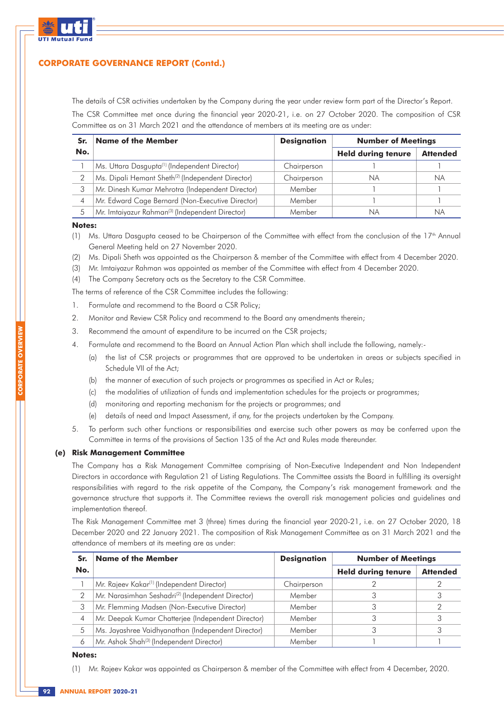

The details of CSR activities undertaken by the Company during the year under review form part of the Director's Report. The CSR Committee met once during the financial year 2020-21, i.e. on 27 October 2020. The composition of CSR Committee as on 31 March 2021 and the attendance of members at its meeting are as under:

| Sr. | <b>Name of the Member</b>                                     | <b>Designation</b> | <b>Number of Meetings</b> |                 |  |
|-----|---------------------------------------------------------------|--------------------|---------------------------|-----------------|--|
| No. |                                                               |                    | <b>Held during tenure</b> | <b>Attended</b> |  |
|     | Ms. Uttara Dasgupta <sup>(1)</sup> (Independent Director)     | Chairperson        |                           |                 |  |
|     | Ms. Dipali Hemant Sheth <sup>(2)</sup> (Independent Director) | Chairperson        | ΝA                        | <b>NA</b>       |  |
| 3   | Mr. Dinesh Kumar Mehrotra (Independent Director)              | Member             |                           |                 |  |
| 4   | Mr. Edward Cage Bernard (Non-Executive Director)              | Member             |                           |                 |  |
| 5   | Mr. Imtaiyazur Rahman <sup>(3)</sup> (Independent Director)   | Member             | ΝA                        | N.              |  |

#### **Notes:**

**CORPORATE OVERVIEW**

- (1) Ms. Uttara Dasgupta ceased to be Chairperson of the Committee with effect from the conclusion of the 17<sup>th</sup> Annual General Meeting held on 27 November 2020.
- (2) Ms. Dipali Sheth was appointed as the Chairperson & member of the Committee with effect from 4 December 2020.
- (3) Mr. Imtaiyazur Rahman was appointed as member of the Committee with effect from 4 December 2020.
- (4) The Company Secretary acts as the Secretary to the CSR Committee.

The terms of reference of the CSR Committee includes the following:

- 1. Formulate and recommend to the Board a CSR Policy;
- 2. Monitor and Review CSR Policy and recommend to the Board any amendments therein;
- 3. Recommend the amount of expenditure to be incurred on the CSR projects;
- 4. Formulate and recommend to the Board an Annual Action Plan which shall include the following, namely:-
	- (a) the list of CSR projects or programmes that are approved to be undertaken in areas or subjects specified in Schedule VII of the Act;
	- (b) the manner of execution of such projects or programmes as specified in Act or Rules;
	- (c) the modalities of utilization of funds and implementation schedules for the projects or programmes;
	- (d) monitoring and reporting mechanism for the projects or programmes; and
	- (e) details of need and Impact Assessment, if any, for the projects undertaken by the Company.
- 5. To perform such other functions or responsibilities and exercise such other powers as may be conferred upon the Committee in terms of the provisions of Section 135 of the Act and Rules made thereunder.

#### **(e) Risk Management Committee**

The Company has a Risk Management Committee comprising of Non-Executive Independent and Non Independent Directors in accordance with Regulation 21 of Listing Regulations. The Committee assists the Board in fulfilling its oversight responsibilities with regard to the risk appetite of the Company, the Company's risk management framework and the governance structure that supports it. The Committee reviews the overall risk management policies and guidelines and implementation thereof.

The Risk Management Committee met 3 (three) times during the financial year 2020-21, i.e. on 27 October 2020, 18 December 2020 and 22 January 2021. The composition of Risk Management Committee as on 31 March 2021 and the attendance of members at its meeting are as under:

| Sr. | <b>Name of the Member</b>                                     | <b>Designation</b> | <b>Number of Meetings</b> |                 |  |
|-----|---------------------------------------------------------------|--------------------|---------------------------|-----------------|--|
| No. |                                                               |                    | <b>Held during tenure</b> | <b>Attended</b> |  |
|     | Mr. Rajeev Kakar <sup>(1)</sup> (Independent Director)        | Chairperson        |                           |                 |  |
| 2   | Mr. Narasimhan Seshadri <sup>(2)</sup> (Independent Director) | Member             |                           |                 |  |
| 3   | Mr. Flemming Madsen (Non-Executive Director)                  | Member             |                           |                 |  |
| 4   | Mr. Deepak Kumar Chatterjee (Independent Director)            | Member             |                           |                 |  |
| 5   | Ms. Jayashree Vaidhyanathan (Independent Director)            | Member             |                           |                 |  |
|     | Mr. Ashok Shah <sup>(3)</sup> (Independent Director)          | Member             |                           |                 |  |

#### **Notes:**

(1) Mr. Rajeev Kakar was appointed as Chairperson & member of the Committee with effect from 4 December, 2020.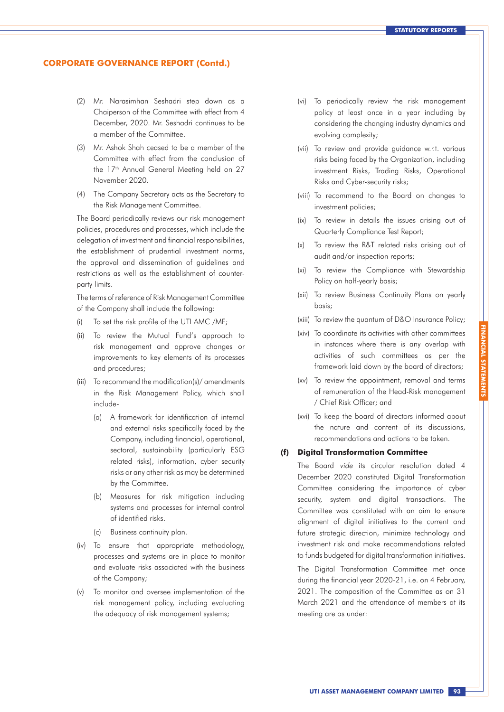- (2) Mr. Narasimhan Seshadri step down as a Chaiperson of the Committee with effect from 4 December, 2020. Mr. Seshadri continues to be a member of the Committee.
- (3) Mr. Ashok Shah ceased to be a member of the Committee with effect from the conclusion of the 17<sup>th</sup> Annual General Meeting held on 27 November 2020.
- (4) The Company Secretary acts as the Secretary to the Risk Management Committee.

The Board periodically reviews our risk management policies, procedures and processes, which include the delegation of investment and financial responsibilities, the establishment of prudential investment norms, the approval and dissemination of guidelines and restrictions as well as the establishment of counterparty limits.

The terms of reference of Risk Management Committee of the Company shall include the following:

- To set the risk profile of the UTI AMC /MF;
- (ii) To review the Mutual Fund's approach to risk management and approve changes or improvements to key elements of its processes and procedures;
- (iii) To recommend the modification(s)/ amendments in the Risk Management Policy, which shall include-
	- (a) A framework for identification of internal and external risks specifically faced by the Company, including financial, operational, sectoral, sustainability (particularly ESG related risks), information, cyber security risks or any other risk as may be determined by the Committee.
	- (b) Measures for risk mitigation including systems and processes for internal control of identified risks.
	- (c) Business continuity plan.
- (iv) To ensure that appropriate methodology, processes and systems are in place to monitor and evaluate risks associated with the business of the Company;
- (v) To monitor and oversee implementation of the risk management policy, including evaluating the adequacy of risk management systems;
- (vi) To periodically review the risk management policy at least once in a year including by considering the changing industry dynamics and evolving complexity;
- (vii) To review and provide guidance w.r.t. various risks being faced by the Organization, including investment Risks, Trading Risks, Operational Risks and Cyber-security risks;
- (viii) To recommend to the Board on changes to investment policies;
- (ix) To review in details the issues arising out of Quarterly Compliance Test Report;
- (x) To review the R&T related risks arising out of audit and/or inspection reports;
- (xi) To review the Compliance with Stewardship Policy on half-yearly basis;
- (xii) To review Business Continuity Plans on yearly basis;
- (xiii) To review the quantum of D&O Insurance Policy;
- (xiv) To coordinate its activities with other committees in instances where there is any overlap with activities of such committees as per the framework laid down by the board of directors;
- (xv) To review the appointment, removal and terms of remuneration of the Head-Risk management / Chief Risk Officer; and
- (xvi) To keep the board of directors informed about the nature and content of its discussions, recommendations and actions to be taken.

#### **(f) Digital Transformation Committee**

The Board vide its circular resolution dated 4 December 2020 constituted Digital Transformation Committee considering the importance of cyber security, system and digital transactions. The Committee was constituted with an aim to ensure alignment of digital initiatives to the current and future strategic direction, minimize technology and investment risk and make recommendations related to funds budgeted for digital transformation initiatives.

The Digital Transformation Committee met once during the financial year 2020-21, i.e. on 4 February, 2021. The composition of the Committee as on 31 March 2021 and the attendance of members at its meeting are as under: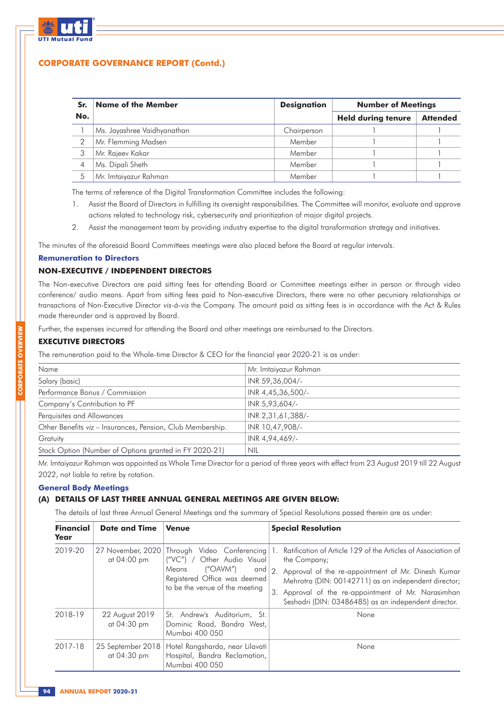

| Sr. | <b>Name of the Member</b>   | <b>Designation</b> | <b>Number of Meetings</b> |                 |  |
|-----|-----------------------------|--------------------|---------------------------|-----------------|--|
| No. |                             |                    | <b>Held during tenure</b> | <b>Attended</b> |  |
|     | Ms. Jayashree Vaidhyanathan | Chairperson        |                           |                 |  |
|     | Mr. Flemming Madsen         | Member             |                           |                 |  |
| 3   | Mr. Rajeev Kakar            | Member             |                           |                 |  |
| 4   | Ms. Dipali Sheth            | Member             |                           |                 |  |
| 5   | Mr. Imtaiyazur Rahman       | Member             |                           |                 |  |

The terms of reference of the Digital Transformation Committee includes the following:

- 1. Assist the Board of Directors in fulfilling its oversight responsibilities. The Committee will monitor, evaluate and approve actions related to technology risk, cybersecurity and prioritization of major digital projects.
- 2. Assist the management team by providing industry expertise to the digital transformation strategy and initiatives.

The minutes of the aforesaid Board Committees meetings were also placed before the Board at regular intervals.

#### **Remuneration to Directors**

### **NON-EXECUTIVE / INDEPENDENT DIRECTORS**

The Non-executive Directors are paid sitting fees for attending Board or Committee meetings either in person or through video conference/ audio means. Apart from sitting fees paid to Non-executive Directors, there were no other pecuniary relationships or transactions of Non-Executive Director vis-à-vis the Company. The amount paid as sitting fees is in accordance with the Act & Rules made thereunder and is approved by Board.

Further, the expenses incurred for attending the Board and other meetings are reimbursed to the Directors.

### **EXECUTIVE DIRECTORS**

The remuneration paid to the Whole-time Director & CEO for the financial year 2020-21 is as under:

| Name                                                       | Mr. Imtaiyazur Rahman |
|------------------------------------------------------------|-----------------------|
| Salary (basic)                                             | INR 59,36,004/-       |
| Performance Bonus / Commission                             | INR 4,45,36,500/-     |
| Company's Contribution to PF                               | INR 5,93,604/-        |
| Perquisites and Allowances                                 | INR 2,31,61,388/-     |
| Other Benefits viz - Insurances, Pension, Club Membership. | INR 10,47,908/-       |
| Gratuity                                                   | INR 4,94,469/-        |
| Stock Option (Number of Options granted in FY 2020-21)     | NIL                   |

Mr. Imtaiyazur Rahman was appointed as Whole Time Director for a period of three years with effect from 23 August 2019 till 22 August 2022, not liable to retire by rotation.

### **General Body Meetings**

### **(A) DETAILS OF LAST THREE ANNUAL GENERAL MEETINGS ARE GIVEN BELOW:**

The details of last three Annual General Meetings and the summary of Special Resolutions passed therein are as under:

| <b>Financial</b><br>Year | <b>Date and Time</b>             | <b>Venue</b>                                                                                                                                                       | <b>Special Resolution</b>                                                                                                                                                                                                                                                                                           |
|--------------------------|----------------------------------|--------------------------------------------------------------------------------------------------------------------------------------------------------------------|---------------------------------------------------------------------------------------------------------------------------------------------------------------------------------------------------------------------------------------------------------------------------------------------------------------------|
| 2019-20                  | 27 November, 2020<br>at 04:00 pm | Through Video Conferencing<br>Other Audio Visual<br>$(''VC'')$ /<br>(''OAVM'')<br>Means<br>and  <br>Registered Office was deemed<br>to be the venue of the meeting | Ratification of Article 129 of the Articles of Association of<br>the Company;<br>2.<br>Approval of the re-appointment of Mr. Dinesh Kumar<br>Mehrotra (DIN: 00142711) as an independent director;<br>3.<br>Approval of the re-appointment of Mr. Narasimhan<br>Seshadri (DIN: 03486485) as an independent director. |
| 2018-19                  | 22 August 2019<br>at 04:30 pm    | St. Andrew's Auditorium, St.<br>Dominic Road, Bandra West,<br>Mumbai 400 050                                                                                       | None                                                                                                                                                                                                                                                                                                                |
| 2017-18                  | 25 September 2018<br>at 04:30 pm | Hotel Rangsharda, near Lilavati<br>Hospital, Bandra Reclamation,<br>Mumbai 400 050                                                                                 | None                                                                                                                                                                                                                                                                                                                |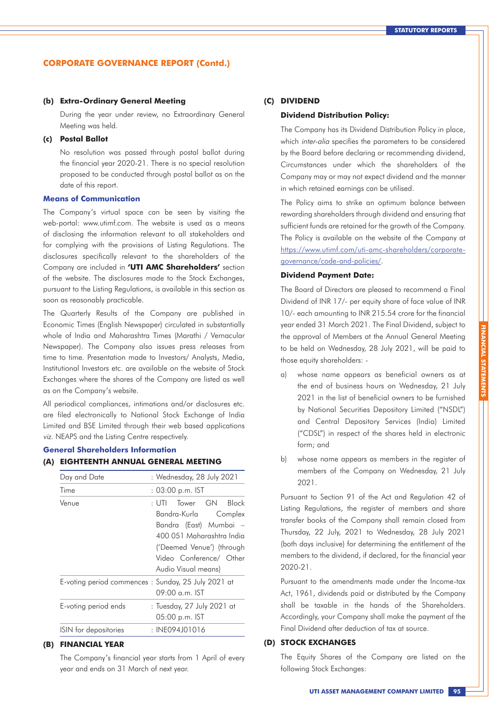#### **(b) Extra-Ordinary General Meeting**

During the year under review, no Extraordinary General Meeting was held.

### **(c) Postal Ballot**

No resolution was passed through postal ballot during the financial year 2020-21. There is no special resolution proposed to be conducted through postal ballot as on the date of this report.

#### **Means of Communication**

The Company's virtual space can be seen by visiting the web-portal: www.utimf.com. The website is used as a means of disclosing the information relevant to all stakeholders and for complying with the provisions of Listing Regulations. The disclosures specifically relevant to the shareholders of the Company are included in **'UTI AMC Shareholders'** section of the website. The disclosures made to the Stock Exchanges, pursuant to the Listing Regulations, is available in this section as soon as reasonably practicable.

The Quarterly Results of the Company are published in Economic Times (English Newspaper) circulated in substantially whole of India and Maharashtra Times (Marathi / Vernacular Newspaper). The Company also issues press releases from time to time. Presentation made to Investors/ Analysts, Media, Institutional Investors etc. are available on the website of Stock Exchanges where the shares of the Company are listed as well as on the Company's website.

All periodical compliances, intimations and/or disclosures etc. are filed electronically to National Stock Exchange of India Limited and BSE Limited through their web based applications viz. NEAPS and the Listing Centre respectively.

#### **General Shareholders Information**

### **(A) EIGHTEENTH ANNUAL GENERAL MEETING**

| Day and Date                                       | : Wednesday, 28 July 2021                                                                                                                                                                       |  |  |
|----------------------------------------------------|-------------------------------------------------------------------------------------------------------------------------------------------------------------------------------------------------|--|--|
| Time                                               | : 03:00 p.m. IST                                                                                                                                                                                |  |  |
| Venue                                              | Tower GN Block<br>$\cdot$ UTI $-$<br>Bandra-Kurla Complex<br>Bandra (East) Mumbai –<br>400 051 Maharashtra India<br>('Deemed Venue') (through<br>Video Conference/ Other<br>Audio Visual means) |  |  |
| E-voting period commences: Sunday, 25 July 2021 at | $09:00$ a.m. IST                                                                                                                                                                                |  |  |
| E-voting period ends                               | : Tuesday, 27 July 2021 at<br>05:00 p.m. IST                                                                                                                                                    |  |  |
| ISIN for depositories                              | : INE094J01016                                                                                                                                                                                  |  |  |

### **(B) FINANCIAL YEAR**

The Company's financial year starts from 1 April of every year and ends on 31 March of next year.

#### **(C) DIVIDEND**

#### **Dividend Distribution Policy:**

The Company has its Dividend Distribution Policy in place, which inter-alia specifies the parameters to be considered by the Board before declaring or recommending dividend, Circumstances under which the shareholders of the Company may or may not expect dividend and the manner in which retained earnings can be utilised.

The Policy aims to strike an optimum balance between rewarding shareholders through dividend and ensuring that sufficient funds are retained for the growth of the Company. The Policy is available on the website of the Company at https://www.utimf.com/uti-amc-shareholders/corporategovernance/code-and-policies/.

#### **Dividend Payment Date:**

The Board of Directors are pleased to recommend a Final Dividend of INR 17/- per equity share of face value of INR 10/- each amounting to INR 215.54 crore for the financial year ended 31 March 2021. The Final Dividend, subject to the approval of Members at the Annual General Meeting to be held on Wednesday, 28 July 2021, will be paid to those equity shareholders: -

- a) whose name appears as beneficial owners as at the end of business hours on Wednesday, 21 July 2021 in the list of beneficial owners to be furnished by National Securities Depository Limited ("NSDL") and Central Depository Services (India) Limited ("CDSL") in respect of the shares held in electronic form; and
- b) whose name appears as members in the register of members of the Company on Wednesday, 21 July 2021.

Pursuant to Section 91 of the Act and Regulation 42 of Listing Regulations, the register of members and share transfer books of the Company shall remain closed from Thursday, 22 July, 2021 to Wednesday, 28 July 2021 (both days inclusive) for determining the entitlement of the members to the dividend, if declared, for the financial year 2020-21.

Pursuant to the amendments made under the Income-tax Act, 1961, dividends paid or distributed by the Company shall be taxable in the hands of the Shareholders. Accordingly, your Company shall make the payment of the Final Dividend after deduction of tax at source.

### **(D) STOCK EXCHANGES**

The Equity Shares of the Company are listed on the following Stock Exchanges: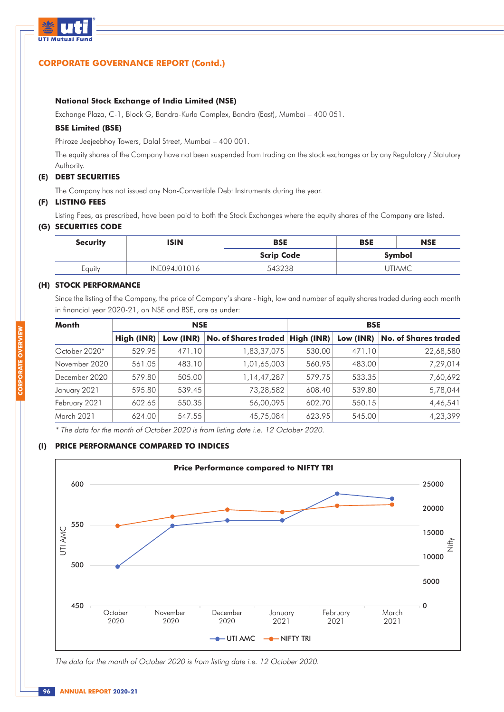

### **National Stock Exchange of India Limited (NSE)**

Exchange Plaza, C-1, Block G, Bandra-Kurla Complex, Bandra (East), Mumbai – 400 051.

### **BSE Limited (BSE)**

Phiroze Jeejeebhoy Towers, Dalal Street, Mumbai – 400 001.

The equity shares of the Company have not been suspended from trading on the stock exchanges or by any Regulatory / Statutory Authority.

### **(E) DEBT SECURITIES**

The Company has not issued any Non-Convertible Debt Instruments during the year.

### **(F) LISTING FEES**

Listing Fees, as prescribed, have been paid to both the Stock Exchanges where the equity shares of the Company are listed.

### **(G) SECURITIES CODE**

| <b>ISIN</b><br><b>Security</b> |              | <b>BSE</b>        | <b>BSE</b> | <b>NSE</b> |
|--------------------------------|--------------|-------------------|------------|------------|
|                                |              | <b>Scrip Code</b> |            | Symbol     |
| Equity                         | INE094J01016 | 543238            |            | UTIAMC     |

### **(H) STOCK PERFORMANCE**

Since the listing of the Company, the price of Company's share - high, low and number of equity shares traded during each month in financial year 2020-21, on NSE and BSE, are as under:

| <b>Month</b>  | <b>NSE</b> |           |                                   | <b>BSE</b> |           |                             |
|---------------|------------|-----------|-----------------------------------|------------|-----------|-----------------------------|
|               | High (INR) | Low (INR) | No. of Shares traded   High (INR) |            | Low (INR) | <b>No. of Shares traded</b> |
| October 2020* | 529.95     | 471.10    | 1,83,37,075                       | 530.00     | 471.10    | 22,68,580                   |
| November 2020 | 561.05     | 483.10    | 1,01,65,003                       | 560.95     | 483.00    | 7,29,014                    |
| December 2020 | 579.80     | 505.00    | 1, 14, 47, 287                    | 579.75     | 533.35    | 7,60,692                    |
| January 2021  | 595.80     | 539.45    | 73,28,582                         | 608.40     | 539.80    | 5,78,044                    |
| February 2021 | 602.65     | 550.35    | 56,00,095                         | 602.70     | 550.15    | 4,46,541                    |
| March 2021    | 624.00     | 547.55    | 45,75,084                         | 623.95     | 545.00    | 4,23,399                    |

\* The data for the month of October 2020 is from listing date i.e. 12 October 2020.

### **(I) PRICE PERFORMANCE COMPARED TO INDICES**



The data for the month of October 2020 is from listing date i.e. 12 October 2020.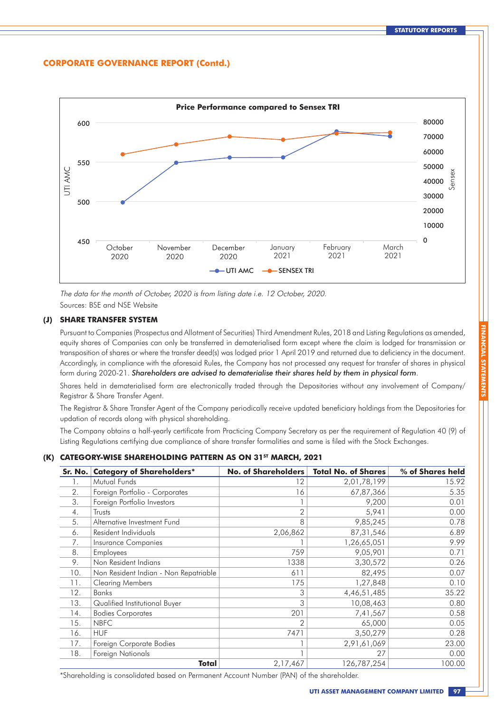

The data for the month of October, 2020 is from listing date i.e. 12 October, 2020. Sources: BSE and NSE Website

### **(J) SHARE TRANSFER SYSTEM**

Pursuant to Companies (Prospectus and Allotment of Securities) Third Amendment Rules, 2018 and Listing Regulations as amended, equity shares of Companies can only be transferred in dematerialised form except where the claim is lodged for transmission or transposition of shares or where the transfer deed(s) was lodged prior 1 April 2019 and returned due to deficiency in the document. Accordingly, in compliance with the aforesaid Rules, the Company has not processed any request for transfer of shares in physical form during 2020-21. *Shareholders are advised to dematerialise their shares held by them in physical form*.

Shares held in dematerialised form are electronically traded through the Depositories without any involvement of Company/ Registrar & Share Transfer Agent.

The Registrar & Share Transfer Agent of the Company periodically receive updated beneficiary holdings from the Depositories for updation of records along with physical shareholding.

The Company obtains a half-yearly certificate from Practicing Company Secretary as per the requirement of Regulation 40 (9) of Listing Regulations certifying due compliance of share transfer formalities and same is filed with the Stock Exchanges.

### **(K) CATEGORY-WISE SHAREHOLDING PATTERN AS ON 31ST MARCH, 2021**

| Sr. No. | <b>Category of Shareholders*</b>      | <b>No. of Shareholders</b> | <b>Total No. of Shares</b> | % of Shares held |
|---------|---------------------------------------|----------------------------|----------------------------|------------------|
| 1.      | Mutual Funds                          | 12                         | 2,01,78,199                | 15.92            |
| 2.      | Foreign Portfolio - Corporates        | 16                         | 67,87,366                  | 5.35             |
| 3.      | Foreign Portfolio Investors           |                            | 9,200                      | 0.01             |
| 4.      | Trusts                                | $\mathbf{2}$               | 5,941                      | 0.00             |
| 5.      | Alternative Investment Fund           | 8                          | 9,85,245                   | 0.78             |
| 6.      | Resident Individuals                  | 2,06,862                   | 87, 31, 546                | 6.89             |
| 7.      | Insurance Companies                   |                            | 1,26,65,051                | 9.99             |
| 8.      | <b>Employees</b>                      | 759                        | 9,05,901                   | 0.71             |
| 9.      | Non Resident Indians                  | 1338                       | 3,30,572                   | 0.26             |
| 10.     | Non Resident Indian - Non Repatriable | 611                        | 82,495                     | 0.07             |
| 11.     | <b>Clearing Members</b>               | 175                        | 1,27,848                   | 0.10             |
| 12.     | <b>Banks</b>                          | 3                          | 4,46,51,485                | 35.22            |
| 13.     | Qualified Institutional Buyer         | 3                          | 10,08,463                  | 0.80             |
| 14.     | <b>Bodies Corporates</b>              | 201                        | 7,41,567                   | 0.58             |
| 15.     | <b>NBFC</b>                           |                            | 65,000                     | 0.05             |
| 16.     | <b>HUF</b>                            | 7471                       | 3,50,279                   | 0.28             |
| 17.     | Foreign Corporate Bodies              |                            | 2,91,61,069                | 23.00            |
| 18.     | Foreign Nationals                     |                            | 27                         | 0.00             |
|         | Total                                 | 2,17,467                   | 126,787,254                | 100.00           |

\*Shareholding is consolidated based on Permanent Account Number (PAN) of the shareholder.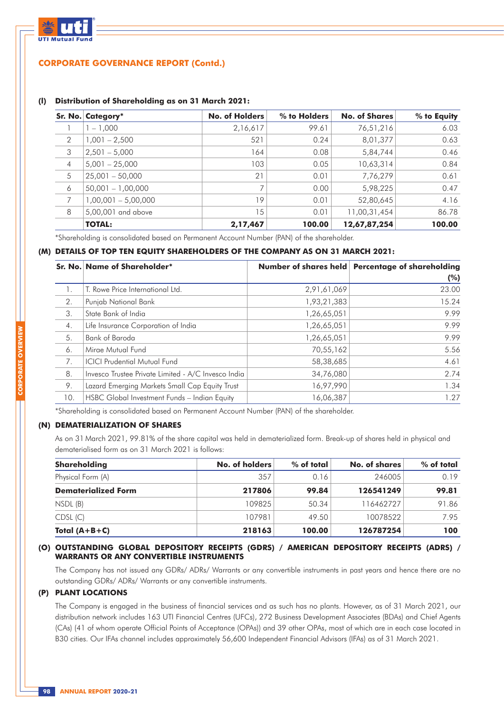

#### **(l) Distribution of Shareholding as on 31 March 2021:**

|                | Sr. No. Category*     | <b>No. of Holders</b> | % to Holders | <b>No. of Shares</b> | % to Equity |
|----------------|-----------------------|-----------------------|--------------|----------------------|-------------|
|                | $-1.000$              | 2,16,617              | 99.61        | 76,51,216            | 6.03        |
| 2              | $1,001 - 2,500$       | 521                   | 0.24         | 8,01,377             | 0.63        |
| 3              | $2,501 - 5,000$       | 164                   | 0.08         | 5,84,744             | 0.46        |
| $\overline{4}$ | $5,001 - 25,000$      | 103                   | 0.05         | 10,63,314            | 0.84        |
| 5              | $25,001 - 50,000$     | 21                    | 0.01         | 7,76,279             | 0.61        |
| 6              | $50,001 - 1,00,000$   | 7                     | 0.00         | 5,98,225             | 0.47        |
| 7              | $1,00,001 - 5,00,000$ | 19                    | 0.01         | 52,80,645            | 4.16        |
| 8              | 5,00,001 and above    | 15                    | 0.01         | 11,00,31,454         | 86.78       |
|                | <b>TOTAL:</b>         | 2,17,467              | 100.00       | 12,67,87,254         | 100.00      |

\*Shareholding is consolidated based on Permanent Account Number (PAN) of the shareholder.

### **(M) DETAILS OF TOP TEN EQUITY SHAREHOLDERS OF THE COMPANY AS ON 31 MARCH 2021:**

|     | Sr. No. Name of Shareholder*                        |             | Number of shares held   Percentage of shareholding<br>(%) |
|-----|-----------------------------------------------------|-------------|-----------------------------------------------------------|
|     | T. Rowe Price International Ltd.                    | 2,91,61,069 | 23.00                                                     |
| 2.  | Punjab National Bank                                | 1,93,21,383 | 15.24                                                     |
| 3.  | State Bank of India                                 | 1,26,65,051 | 9.99                                                      |
| 4.  | Life Insurance Corporation of India                 | 1,26,65,051 | 9.99                                                      |
| 5.  | Bank of Baroda                                      | 1,26,65,051 | 9.99                                                      |
| 6.  | Mirge Mutual Fund                                   | 70,55,162   | 5.56                                                      |
| 7.  | <b>ICICI Prudential Mutual Fund</b>                 | 58,38,685   | 4.61                                                      |
| 8.  | Invesco Trustee Private Limited - A/C Invesco India | 34,76,080   | 2.74                                                      |
| 9.  | Lazard Emerging Markets Small Cap Equity Trust      | 16,97,990   | 1.34                                                      |
| 10. | HSBC Global Investment Funds - Indian Equity        | 16,06,387   | 1.27                                                      |

\*Shareholding is consolidated based on Permanent Account Number (PAN) of the shareholder.

### **(N) DEMATERIALIZATION OF SHARES**

As on 31 March 2021, 99.81% of the share capital was held in dematerialized form. Break-up of shares held in physical and dematerialised form as on 31 March 2021 is follows:

| Shareholding               | No. of holders | $%$ of total | No. of shares | $%$ of total |
|----------------------------|----------------|--------------|---------------|--------------|
| Physical Form (A)          | 357            | 0.16         | 246005        | 0.19         |
| <b>Dematerialized Form</b> | 217806         | 99.84        | 126541249     | 99.81        |
| NSDL (B)                   | 109825         | 50.34        | 116462727     | 91.86        |
| CDSL(C)                    | 107981         | 49.50        | 10078522      | 795          |
| Total $(A+B+C)$            | 218163         | 100.00       | 126787254     | 100          |

#### **(O) OUTSTANDING GLOBAL DEPOSITORY RECEIPTS (GDRS) / AMERICAN DEPOSITORY RECEIPTS (ADRS) / WARRANTS OR ANY CONVERTIBLE INSTRUMENTS**

The Company has not issued any GDRs/ ADRs/ Warrants or any convertible instruments in past years and hence there are no outstanding GDRs/ ADRs/ Warrants or any convertible instruments.

### **(P) PLANT LOCATIONS**

The Company is engaged in the business of financial services and as such has no plants. However, as of 31 March 2021, our distribution network includes 163 UTI Financial Centres (UFCs), 272 Business Development Associates (BDAs) and Chief Agents (CAs) (41 of whom operate Official Points of Acceptance (OPAs)) and 39 other OPAs, most of which are in each case located in B30 cities. Our IFAs channel includes approximately 56,600 Independent Financial Advisors (IFAs) as of 31 March 2021.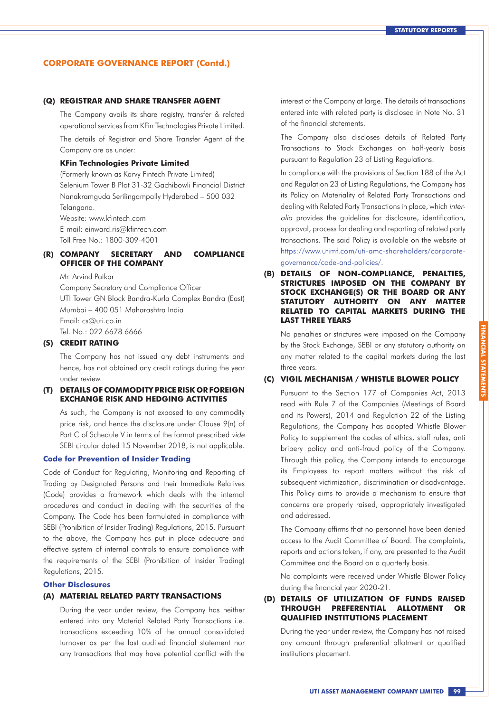#### **(Q) REGISTRAR AND SHARE TRANSFER AGENT**

The Company avails its share registry, transfer & related operational services from KFin Technologies Private Limited.

The details of Registrar and Share Transfer Agent of the Company are as under:

#### **KFin Technologies Private Limited**

(Formerly known as Karvy Fintech Private Limited) Selenium Tower B Plot 31-32 Gachibowli Financial District Nanakramguda Serilingampally Hyderabad – 500 032 Telangana. Website: www.kfintech.com

E-mail: einward.ris@kfintech.com Toll Free No.: 1800-309-4001

### **(R) COMPANY SECRETARY AND COMPLIANCE OFFICER OF THE COMPANY**

Mr. Arvind Patkar

Company Secretary and Compliance Officer UTI Tower GN Block Bandra-Kurla Complex Bandra (East) Mumbai – 400 051 Maharashtra India Email: cs@uti.co.in Tel. No.: 022 6678 6666

### **(S) CREDIT RATING**

The Company has not issued any debt instruments and hence, has not obtained any credit ratings during the year under review.

### **(T) DETAILS OF COMMODITY PRICE RISK OR FOREIGN EXCHANGE RISK AND HEDGING ACTIVITIES**

As such, the Company is not exposed to any commodity price risk, and hence the disclosure under Clause 9(n) of Part C of Schedule V in terms of the format prescribed vide SEBI circular dated 15 November 2018, is not applicable.

#### **Code for Prevention of Insider Trading**

Code of Conduct for Regulating, Monitoring and Reporting of Trading by Designated Persons and their Immediate Relatives (Code) provides a framework which deals with the internal procedures and conduct in dealing with the securities of the Company. The Code has been formulated in compliance with SEBI (Prohibition of Insider Trading) Regulations, 2015. Pursuant to the above, the Company has put in place adequate and effective system of internal controls to ensure compliance with the requirements of the SEBI (Prohibition of Insider Trading) Regulations, 2015.

#### **Other Disclosures**

### **(A) MATERIAL RELATED PARTY TRANSACTIONS**

During the year under review, the Company has neither entered into any Material Related Party Transactions i.e. transactions exceeding 10% of the annual consolidated turnover as per the last audited financial statement nor any transactions that may have potential conflict with the interest of the Company at large. The details of transactions entered into with related party is disclosed in Note No. 31 of the financial statements.

The Company also discloses details of Related Party Transactions to Stock Exchanges on half-yearly basis pursuant to Regulation 23 of Listing Regulations.

In compliance with the provisions of Section 188 of the Act and Regulation 23 of Listing Regulations, the Company has its Policy on Materiality of Related Party Transactions and dealing with Related Party Transactions in place, which interalia provides the guideline for disclosure, identification, approval, process for dealing and reporting of related party transactions. The said Policy is available on the website at https://www.utimf.com/uti-amc-shareholders/corporategovernance/code-and-policies/.

**(B) DETAILS OF NON-COMPLIANCE, PENALTIES, STRICTURES IMPOSED ON THE COMPANY BY STOCK EXCHANGE(S) OR THE BOARD OR ANY STATUTORY AUTHORITY ON ANY MATTER RELATED TO CAPITAL MARKETS DURING THE LAST THREE YEARS**

No penalties or strictures were imposed on the Company by the Stock Exchange, SEBI or any statutory authority on any matter related to the capital markets during the last three years.

#### **(C) VIGIL MECHANISM / WHISTLE BLOWER POLICY**

Pursuant to the Section 177 of Companies Act, 2013 read with Rule 7 of the Companies (Meetings of Board and its Powers), 2014 and Regulation 22 of the Listing Regulations, the Company has adopted Whistle Blower Policy to supplement the codes of ethics, staff rules, anti bribery policy and anti-fraud policy of the Company. Through this policy, the Company intends to encourage its Employees to report matters without the risk of subsequent victimization, discrimination or disadvantage. This Policy aims to provide a mechanism to ensure that concerns are properly raised, appropriately investigated and addressed.

The Company affirms that no personnel have been denied access to the Audit Committee of Board. The complaints, reports and actions taken, if any, are presented to the Audit Committee and the Board on a quarterly basis.

No complaints were received under Whistle Blower Policy during the financial year 2020-21.

### **(D) DETAILS OF UTILIZATION OF FUNDS RAISED THROUGH PREFERENTIAL ALLOTMENT OR QUALIFIED INSTITUTIONS PLACEMENT**

During the year under review, the Company has not raised any amount through preferential allotment or qualified institutions placement.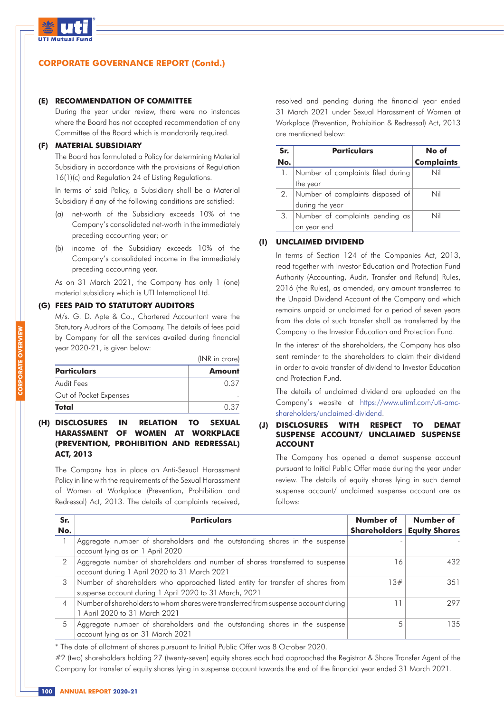

#### **(E) RECOMMENDATION OF COMMITTEE**

During the year under review, there were no instances where the Board has not accepted recommendation of any Committee of the Board which is mandatorily required.

### **(F) MATERIAL SUBSIDIARY**

The Board has formulated a Policy for determining Material Subsidiary in accordance with the provisions of Regulation 16(1)(c) and Regulation 24 of Listing Regulations.

In terms of said Policy, a Subsidiary shall be a Material Subsidiary if any of the following conditions are satisfied:

- (a) net-worth of the Subsidiary exceeds 10% of the Company's consolidated net-worth in the immediately preceding accounting year; or
- (b) income of the Subsidiary exceeds 10% of the Company's consolidated income in the immediately preceding accounting year.

As on 31 March 2021, the Company has only 1 (one) material subsidiary which is UTI International Ltd.

### **(G) FEES PAID TO STATUTORY AUDITORS**

M/s. G. D. Apte & Co., Chartered Accountant were the Statutory Auditors of the Company. The details of fees paid by Company for all the services availed during financial year 2020-21, is given below:

|                        | (INR in crore) |  |
|------------------------|----------------|--|
| <b>Particulars</b>     | Amount         |  |
| Audit Fees             | 0.37           |  |
| Out of Pocket Expenses |                |  |
| Total                  | በ 37           |  |

### **(H) DISCLOSURES IN RELATION TO SEXUAL HARASSMENT OF WOMEN AT WORKPLACE (PREVENTION, PROHIBITION AND REDRESSAL) ACT, 2013**

The Company has in place an Anti-Sexual Harassment Policy in line with the requirements of the Sexual Harassment of Women at Workplace (Prevention, Prohibition and Redressal) Act, 2013. The details of complaints received,

resolved and pending during the financial year ended 31 March 2021 under Sexual Harassment of Women at Workplace (Prevention, Prohibition & Redressal) Act, 2013 are mentioned below:

| Sr. | <b>Particulars</b>                   | No of             |
|-----|--------------------------------------|-------------------|
| No. |                                      | <b>Complaints</b> |
|     | 1. Number of complaints filed during | Nil               |
|     | the year                             |                   |
|     | 2. Number of complaints disposed of  | Nil               |
|     | during the year                      |                   |
| З.  | Number of complaints pending as      | Nil               |
|     | on year end                          |                   |

### **(I) UNCLAIMED DIVIDEND**

In terms of Section 124 of the Companies Act, 2013, read together with Investor Education and Protection Fund Authority (Accounting, Audit, Transfer and Refund) Rules, 2016 (the Rules), as amended, any amount transferred to the Unpaid Dividend Account of the Company and which remains unpaid or unclaimed for a period of seven years from the date of such transfer shall be transferred by the Company to the Investor Education and Protection Fund.

In the interest of the shareholders, the Company has also sent reminder to the shareholders to claim their dividend in order to avoid transfer of dividend to Investor Education and Protection Fund.

The details of unclaimed dividend are uploaded on the Company's website at https://www.utimf.com/uti-amcshareholders/unclaimed-dividend.

### **(J) DISCLOSURES WITH RESPECT TO DEMAT SUSPENSE ACCOUNT/ UNCLAIMED SUSPENSE ACCOUNT**

The Company has opened a demat suspense account pursuant to Initial Public Offer made during the year under review. The details of equity shares lying in such demat suspense account/ unclaimed suspense account are as follows:

| Sr.<br>No.     | <b>Particulars</b>                                                                                                                        | Number of<br><b>Shareholders</b> | Number of<br><b>Equity Shares</b> |
|----------------|-------------------------------------------------------------------------------------------------------------------------------------------|----------------------------------|-----------------------------------|
|                | Aggregate number of shareholders and the outstanding shares in the suspense<br>account lying as on 1 April 2020                           |                                  |                                   |
| 2              | Aggregate number of shareholders and number of shares transferred to suspense<br>account during 1 April 2020 to 31 March 2021             | 6                                | 432                               |
| 3              | Number of shareholders who approached listed entity for transfer of shares from<br>suspense account during 1 April 2020 to 31 March, 2021 | 3#                               | 351                               |
| $\overline{4}$ | Number of shareholders to whom shares were transferred from suspense account during<br>1 April 2020 to 31 March 2021                      |                                  | 297                               |
| 5              | Aggregate number of shareholders and the outstanding shares in the suspense<br>account lying as on 31 March 2021                          |                                  | 135.                              |

\* The date of allotment of shares pursuant to Initial Public Offer was 8 October 2020.

#2 (two) shareholders holding 27 (twenty-seven) equity shares each had approached the Registrar & Share Transfer Agent of the Company for transfer of equity shares lying in suspense account towards the end of the financial year ended 31 March 2021.

**CORPORATE OVERVIEW**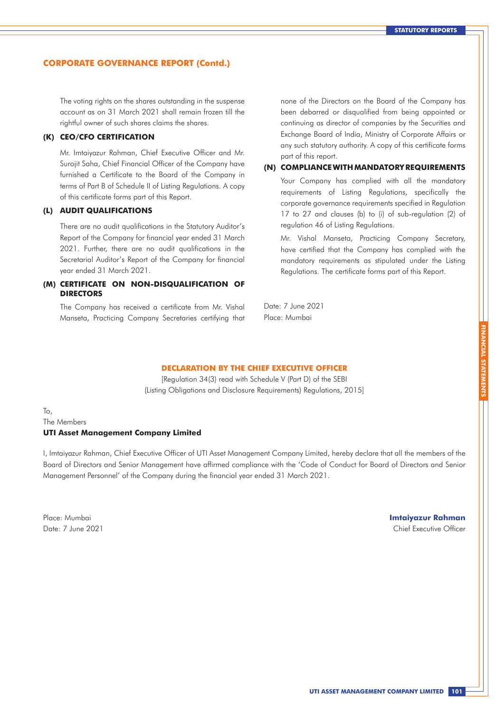The voting rights on the shares outstanding in the suspense account as on 31 March 2021 shall remain frozen till the rightful owner of such shares claims the shares.

### **(K) CEO/CFO CERTIFICATION**

Mr. Imtaiyazur Rahman, Chief Executive Officer and Mr. Surojit Saha, Chief Financial Officer of the Company have furnished a Certificate to the Board of the Company in terms of Part B of Schedule II of Listing Regulations. A copy of this certificate forms part of this Report.

### **(L) AUDIT QUALIFICATIONS**

There are no audit qualifications in the Statutory Auditor's Report of the Company for financial year ended 31 March 2021. Further, there are no audit qualifications in the Secretarial Auditor's Report of the Company for financial year ended 31 March 2021.

### **(M) CERTIFICATE ON NON-DISQUALIFICATION OF DIRECTORS**

The Company has received a certificate from Mr. Vishal Manseta, Practicing Company Secretaries certifying that none of the Directors on the Board of the Company has been debarred or disqualified from being appointed or continuing as director of companies by the Securities and Exchange Board of India, Ministry of Corporate Affairs or any such statutory authority. A copy of this certificate forms part of this report.

### **(N) COMPLIANCE WITH MANDATORY REQUIREMENTS**

Your Company has complied with all the mandatory requirements of Listing Regulations, specifically the corporate governance requirements specified in Regulation 17 to 27 and clauses (b) to (i) of sub-regulation (2) of regulation 46 of Listing Regulations.

Mr. Vishal Manseta, Practicing Company Secretary, have certified that the Company has complied with the mandatory requirements as stipulated under the Listing Regulations. The certificate forms part of this Report.

Date: 7 June 2021 Place: Mumbai

### **DECLARATION BY THE CHIEF EXECUTIVE OFFICER**

[Regulation 34(3) read with Schedule V (Part D) of the SEBI (Listing Obligations and Disclosure Requirements) Regulations, 2015]

## The Members **UTI Asset Management Company Limited**

I, Imtaiyazur Rahman, Chief Executive Officer of UTI Asset Management Company Limited, hereby declare that all the members of the Board of Directors and Senior Management have affirmed compliance with the 'Code of Conduct for Board of Directors and Senior Management Personnel' of the Company during the financial year ended 31 March 2021.

 $T_{\Omega}$ 

#### Place: Mumbai **Imtaiyazur Rahman**  Date: 7 June 2021 Chief Executive Officer

**FINANCIAL STATEMENTS**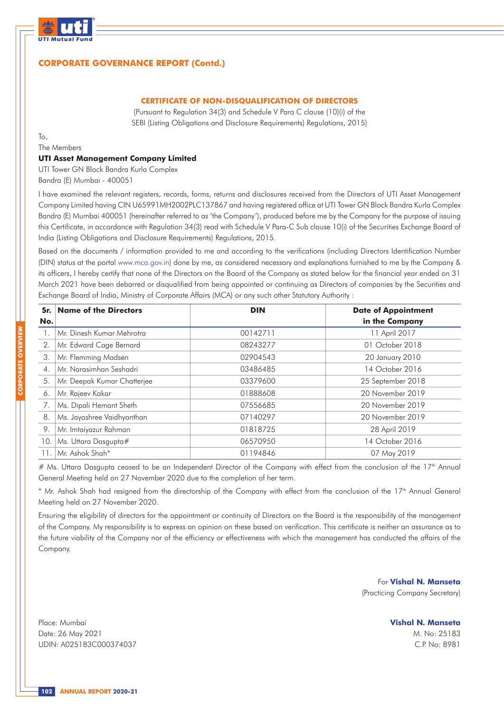

### **CERTIFICATE OF NON-DISQUALIFICATION OF DIRECTORS**

(Pursuant to Regulation 34(3) and Schedule V Para C clause (10)(i) of the SEBI (Listing Obligations and Disclosure Requirements) Regulations, 2015)

To,

The Members

#### **UTI Asset Management Company Limited**

UTI Tower GN Block Bandra Kurla Complex Bandra (E) Mumbai - 400051

I have examined the relevant registers, records, forms, returns and disclosures received from the Directors of UTI Asset Management Company Limited having CIN U65991MH2002PLC137867 and having registered office at UTI Tower GN Block Bandra Kurla Complex Bandra (E) Mumbai 400051 (hereinafter referred to as 'the Company'), produced before me by the Company for the purpose of issuing this Certificate, in accordance with Regulation 34(3) read with Schedule V Para-C Sub clause 10(i) of the Securities Exchange Board of India (Listing Obligations and Disclosure Requirements) Regulations, 2015.

Based on the documents / information provided to me and according to the verifications (including Directors Identification Number (DIN) status at the portal www.mca.gov.in) done by me, as considered necessary and explanations furnished to me by the Company & its officers, I hereby certify that none of the Directors on the Board of the Company as stated below for the financial year ended on 31 March 2021 have been debarred or disqualified from being appointed or continuing as Directors of companies by the Securities and Exchange Board of India, Ministry of Corporate Affairs (MCA) or any such other Statutory Authority :

| Sr.              | <b>Name of the Directors</b> | <b>DIN</b> | <b>Date of Appointment</b> |
|------------------|------------------------------|------------|----------------------------|
| No.              |                              |            | in the Company             |
|                  | Mr. Dinesh Kumar Mehrotra    | 00142711   | 11 April 2017              |
| 2.               | Mr. Edward Cage Bernard      | 08243277   | 01 October 2018            |
| 3.               | Mr. Flemming Madsen          | 02904543   | 20 January 2010            |
| $\overline{4}$ . | Mr. Narasimhan Seshadri      | 03486485   | 14 October 2016            |
| 5.               | Mr. Deepak Kumar Chatterjee  | 03379600   | 25 September 2018          |
| 6.               | Mr. Rajeev Kakar             | 01888608   | 20 November 2019           |
|                  | Ms. Dipali Hemant Sheth      | 07556685   | 20 November 2019           |
| 8.               | Ms. Jayashree Vaidhyanthan   | 07140297   | 20 November 2019           |
| 9.               | Mr. Imtaiyazur Rahman        | 01818725   | 28 April 2019              |
| 10.              | Ms. Uttara Dasgupta#         | 06570950   | 14 October 2016            |
| 11               | Mr. Ashok Shah*              | 01194846   | 07 May 2019                |

# Ms. Uttara Dasgupta ceased to be an Independent Director of the Company with effect from the conclusion of the 17<sup>th</sup> Annual General Meeting held on 27 November 2020 due to the completion of her term.

\* Mr. Ashok Shah had resigned from the directorship of the Company with effect from the conclusion of the 17<sup>th</sup> Annual General Meeting held on 27 November 2020.

Ensuring the eligibility of directors for the appointment or continuity of Directors on the Board is the responsibility of the management of the Company. My responsibility is to express an opinion on these based on verification. This certificate is neither an assurance as to the future viability of the Company nor of the efficiency or effectiveness with which the management has conducted the affairs of the Company.

> For **Vishal N. Manseta** (Practicing Company Secretary)

> > **Vishal N. Manseta** M. No: 25183 C.P. No: 8981

Place: Mumbai Date: 26 May 2021 UDIN: A025183C000374037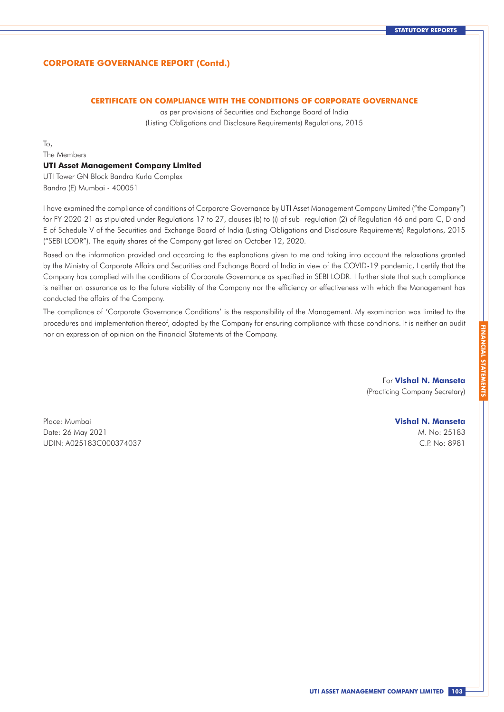### **CERTIFICATE ON COMPLIANCE WITH THE CONDITIONS OF CORPORATE GOVERNANCE**

as per provisions of Securities and Exchange Board of India (Listing Obligations and Disclosure Requirements) Regulations, 2015

To,

The Members

### **UTI Asset Management Company Limited**

UTI Tower GN Block Bandra Kurla Complex Bandra (E) Mumbai - 400051

I have examined the compliance of conditions of Corporate Governance by UTI Asset Management Company Limited ("the Company") for FY 2020-21 as stipulated under Regulations 17 to 27, clauses (b) to (i) of sub- regulation (2) of Regulation 46 and para C, D and E of Schedule V of the Securities and Exchange Board of India (Listing Obligations and Disclosure Requirements) Regulations, 2015 ("SEBI LODR"). The equity shares of the Company got listed on October 12, 2020.

Based on the information provided and according to the explanations given to me and taking into account the relaxations granted by the Ministry of Corporate Affairs and Securities and Exchange Board of India in view of the COVID-19 pandemic, I certify that the Company has complied with the conditions of Corporate Governance as specified in SEBI LODR. I further state that such compliance is neither an assurance as to the future viability of the Company nor the efficiency or effectiveness with which the Management has conducted the affairs of the Company.

The compliance of 'Corporate Governance Conditions' is the responsibility of the Management. My examination was limited to the procedures and implementation thereof, adopted by the Company for ensuring compliance with those conditions. It is neither an audit nor an expression of opinion on the Financial Statements of the Company.

> For **Vishal N. Manseta** (Practicing Company Secretary)

Place: Mumbai Date: 26 May 2021 UDIN: A025183C000374037

### **Vishal N. Manseta**

M. No: 25183 C.P. No: 8981 **FINANCIAL STATEMENTS**

**FINANCIAL STA**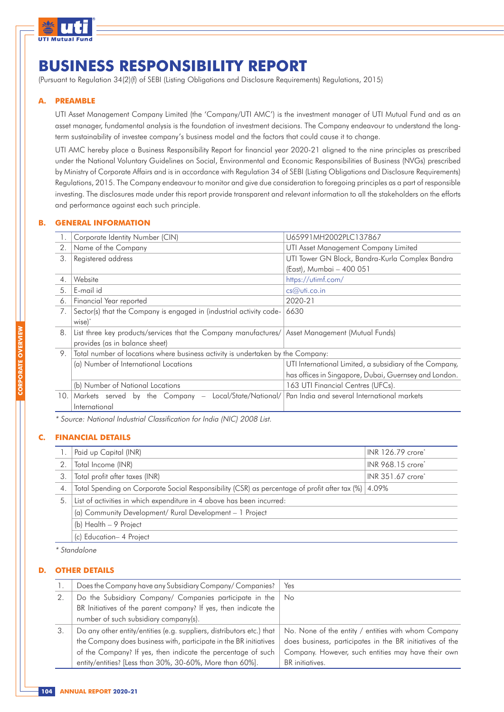

## **BUSINESS RESPONSIBILITY REPORT**

(Pursuant to Regulation 34(2)(f) of SEBI (Listing Obligations and Disclosure Requirements) Regulations, 2015)

### **A. PREAMBLE**

UTI Asset Management Company Limited (the 'Company/UTI AMC') is the investment manager of UTI Mutual Fund and as an asset manager, fundamental analysis is the foundation of investment decisions. The Company endeavour to understand the longterm sustainability of investee company's business model and the factors that could cause it to change.

UTI AMC hereby place a Business Responsibility Report for financial year 2020-21 aligned to the nine principles as prescribed under the National Voluntary Guidelines on Social, Environmental and Economic Responsibilities of Business (NVGs) prescribed by Ministry of Corporate Affairs and is in accordance with Regulation 34 of SEBI (Listing Obligations and Disclosure Requirements) Regulations, 2015. The Company endeavour to monitor and give due consideration to foregoing principles as a part of responsible investing. The disclosures made under this report provide transparent and relevant information to all the stakeholders on the efforts and performance against each such principle.

### **B. GENERAL INFORMATION**

|                  | Corporate Identity Number (CIN)                                                                 | U65991MH2002PLC137867                                   |  |  |
|------------------|-------------------------------------------------------------------------------------------------|---------------------------------------------------------|--|--|
| 2.               | Name of the Company                                                                             | UTI Asset Management Company Limited                    |  |  |
| 3.               | Registered address                                                                              | UTI Tower GN Block, Bandra-Kurla Complex Bandra         |  |  |
|                  |                                                                                                 | (East), Mumbai - 400 051                                |  |  |
| $\overline{4}$ . | Website                                                                                         | https://utimf.com/                                      |  |  |
| 5.               | E-mail id                                                                                       | cs@vti.co.in                                            |  |  |
| 6.               | Financial Year reported                                                                         | 2020-21                                                 |  |  |
| 7.               | Sector(s) that the Company is engaged in (industrial activity code-                             | 6630                                                    |  |  |
|                  | wise) <sup>*</sup>                                                                              |                                                         |  |  |
| 8.               | List three key products/services that the Company manufactures/ Asset Management (Mutual Funds) |                                                         |  |  |
|                  | provides (as in balance sheet)                                                                  |                                                         |  |  |
| 9.               | Total number of locations where business activity is undertaken by the Company:                 |                                                         |  |  |
|                  | (a) Number of International Locations                                                           | UTI International Limited, a subsidiary of the Company, |  |  |
|                  |                                                                                                 | has offices in Singapore, Dubai, Guernsey and London.   |  |  |
|                  | (b) Number of National Locations                                                                | 163 UTI Financial Centres (UFCs).                       |  |  |
| 10.              | Markets served by the Company -<br>Local/State/National/                                        | Pan India and several International markets             |  |  |
|                  | International                                                                                   |                                                         |  |  |
|                  |                                                                                                 |                                                         |  |  |

\* Source: National Industrial Classification for India (NIC) 2008 List.

### **C. FINANCIAL DETAILS**

|    | INR 126.79 crore*<br>Paid up Capital (INR)                                                                |                               |  |  |  |  |  |
|----|-----------------------------------------------------------------------------------------------------------|-------------------------------|--|--|--|--|--|
|    | Total Income (INR)                                                                                        | INR 968.15 crore*             |  |  |  |  |  |
| 3. | Total profit after taxes (INR)                                                                            | INR 351.67 crore <sup>*</sup> |  |  |  |  |  |
| 4. | 1.09% Total Spending on Corporate Social Responsibility (CSR) as percentage of profit after tax (%) 4.09% |                               |  |  |  |  |  |
| 5. | List of activities in which expenditure in 4 above has been incurred:                                     |                               |  |  |  |  |  |
|    | (a) Community Development/ Rural Development - 1 Project                                                  |                               |  |  |  |  |  |
|    | (b) Health - 9 Project                                                                                    |                               |  |  |  |  |  |
|    | (c) Education- 4 Project                                                                                  |                               |  |  |  |  |  |

\* Standalone

### **D. OTHER DETAILS**

|    | Does the Company have any Subsidiary Company/Companies?               | Yes                                                      |
|----|-----------------------------------------------------------------------|----------------------------------------------------------|
|    | Do the Subsidiary Company/ Companies participate in the               | No.                                                      |
|    | BR Initiatives of the parent company? If yes, then indicate the       |                                                          |
|    | number of such subsidiary company(s).                                 |                                                          |
| 3. | Do any other entity/entities (e.g. suppliers, distributors etc.) that | No. None of the entity / entities with whom Company      |
|    | the Company does business with, participate in the BR initiatives     | does business, participates in the BR initiatives of the |
|    | of the Company? If yes, then indicate the percentage of such          | Company. However, such entities may have their own       |
|    | entity/entities? [Less than 30%, 30-60%, More than 60%].              | BR initiatives.                                          |
|    |                                                                       |                                                          |

**CORPORATE OVERVIEW**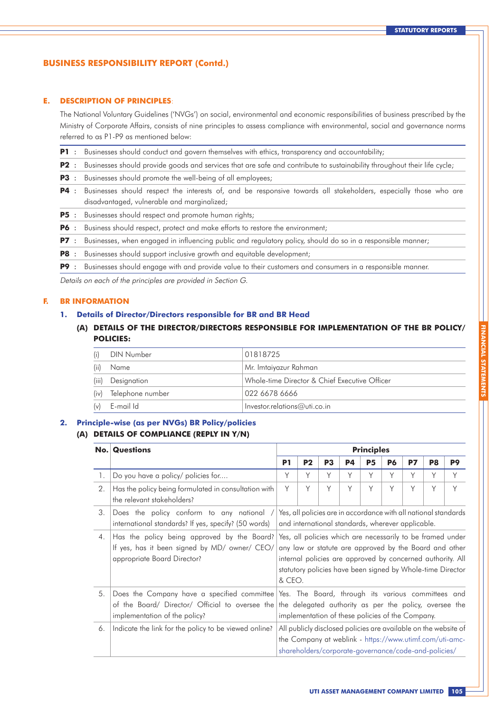### **E. DESCRIPTION OF PRINCIPLES**:

The National Voluntary Guidelines ('NVGs') on social, environmental and economic responsibilities of business prescribed by the Ministry of Corporate Affairs, consists of nine principles to assess compliance with environmental, social and governance norms referred to as P1-P9 as mentioned below:

- **P1** : Businesses should conduct and govern themselves with ethics, transparency and accountability;
- **P2** : Businesses should provide goods and services that are safe and contribute to sustainability throughout their life cycle;
- **P3** : Businesses should promote the well-being of all employees;
- **P4** : Businesses should respect the interests of, and be responsive towards all stakeholders, especially those who are disadvantaged, vulnerable and marginalized;
- **P5** : Businesses should respect and promote human rights;
- **P6** : Business should respect, protect and make efforts to restore the environment;
- **P7** : Businesses, when engaged in influencing public and regulatory policy, should do so in a responsible manner;
- **P8** : Businesses should support inclusive growth and equitable development;
- **P9** : Businesses should engage with and provide value to their customers and consumers in a responsible manner.

Details on each of the principles are provided in Section G.

#### **F. BR INFORMATION**

#### **1. Details of Director/Directors responsible for BR and BR Head**

**(A) DETAILS OF THE DIRECTOR/DIRECTORS RESPONSIBLE FOR IMPLEMENTATION OF THE BR POLICY/ POLICIES:**

| (i)   | DIN Number            | 01818725                                      |
|-------|-----------------------|-----------------------------------------------|
| (ii)  | Name                  | Mr. Imtaiyazur Rahman                         |
| (iii) | Designation           | Whole-time Director & Chief Executive Officer |
|       | (iv) Telephone number | 022 6678 6666                                 |
|       | $(v)$ E-mail Id       | $ $ Investor.relations@uti.co.in              |

#### **2. Principle-wise (as per NVGs) BR Policy/policies**

#### **(A) DETAILS OF COMPLIANCE (REPLY IN Y/N)**

|    | <b>No. Questions</b>                                                                                                            | <b>Principles</b>                                                                                                                                                                                                                                          |                |                |           |           |           |    |                |    |
|----|---------------------------------------------------------------------------------------------------------------------------------|------------------------------------------------------------------------------------------------------------------------------------------------------------------------------------------------------------------------------------------------------------|----------------|----------------|-----------|-----------|-----------|----|----------------|----|
|    |                                                                                                                                 | P <sub>1</sub>                                                                                                                                                                                                                                             | P <sub>2</sub> | P <sub>3</sub> | <b>P4</b> | <b>P5</b> | <b>P6</b> | P7 | P <sub>8</sub> | P9 |
| 1. | Do you have a policy/ policies for                                                                                              | Y                                                                                                                                                                                                                                                          | Υ              | Υ              | Υ         | Y         | Υ         | Υ  | Υ              | Υ  |
| 2. | Has the policy being formulated in consultation with<br>the relevant stakeholders?                                              | Y                                                                                                                                                                                                                                                          | Y              | Υ              | Υ         | Y         | Y         | Y  | Y              | Y  |
| 3. | Does the policy conform to any national /<br>international standards? If yes, specify? (50 words)                               | Yes, all policies are in accordance with all national standards<br>and international standards, wherever applicable.                                                                                                                                       |                |                |           |           |           |    |                |    |
| 4. | Has the policy being approved by the Board?<br>If yes, has it been signed by MD/ owner/ CEO/<br>appropriate Board Director?     | Yes, all policies which are necessarily to be framed under<br>any law or statute are approved by the Board and other<br>internal policies are approved by concerned authority. All<br>statutory policies have been signed by Whole-time Director<br>& CEO. |                |                |           |           |           |    |                |    |
| 5. | Does the Company have a specified committee<br>of the Board/ Director/ Official to oversee the<br>implementation of the policy? | Yes. The Board, through its various committees and<br>the delegated authority as per the policy, oversee the<br>implementation of these policies of the Company.                                                                                           |                |                |           |           |           |    |                |    |
| 6. | Indicate the link for the policy to be viewed online?                                                                           | All publicly disclosed policies are available on the website of<br>the Company at weblink - https://www.utimf.com/uti-amc-<br>shareholders/corporate-governance/code-and-policies/                                                                         |                |                |           |           |           |    |                |    |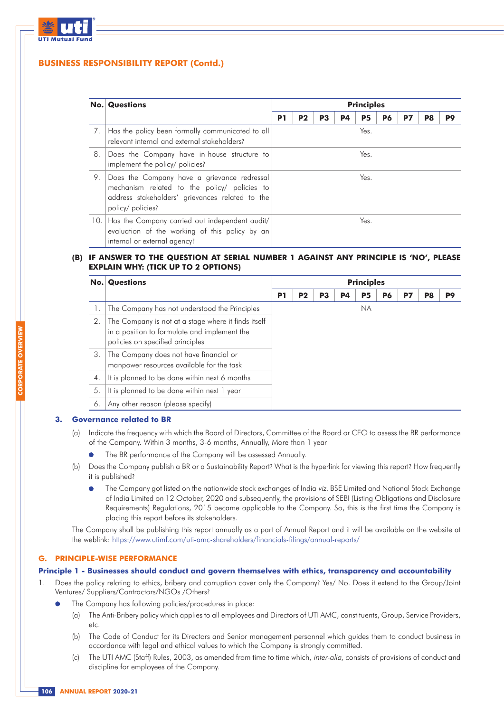

|    | <b>No. Questions</b>                                                                                                                                                | <b>Principles</b> |                |    |    |                |    |           |    |    |
|----|---------------------------------------------------------------------------------------------------------------------------------------------------------------------|-------------------|----------------|----|----|----------------|----|-----------|----|----|
|    |                                                                                                                                                                     | P <sub>1</sub>    | P <sub>2</sub> | P3 | P4 | P <sub>5</sub> | P6 | <b>P7</b> | P8 | P9 |
|    | 7. Has the policy been formally communicated to all<br>relevant internal and external stakeholders?                                                                 |                   |                |    |    | Yes.           |    |           |    |    |
| 8. | Does the Company have in-house structure to<br>implement the policy/ policies?                                                                                      |                   |                |    |    | Yes.           |    |           |    |    |
| 9. | Does the Company have a grievance redressal<br>mechanism related to the policy/ policies to<br>address stakeholders' grievances related to the<br>policy/ policies? |                   |                |    |    | Yes.           |    |           |    |    |
|    | 10. Has the Company carried out independent audit/<br>evaluation of the working of this policy by an<br>internal or external agency?                                |                   |                |    |    | Yes.           |    |           |    |    |

### **(B) IF ANSWER TO THE QUESTION AT SERIAL NUMBER 1 AGAINST ANY PRINCIPLE IS 'NO', PLEASE EXPLAIN WHY: (TICK UP TO 2 OPTIONS)**

|                  | <b>No. Questions</b>                                                                                                                    | <b>Principles</b> |                |                |    |                |           |           |                |    |
|------------------|-----------------------------------------------------------------------------------------------------------------------------------------|-------------------|----------------|----------------|----|----------------|-----------|-----------|----------------|----|
|                  |                                                                                                                                         | P <sub>1</sub>    | P <sub>2</sub> | P <sub>3</sub> | P4 | P <sub>5</sub> | <b>P6</b> | <b>P7</b> | P <sub>8</sub> | P9 |
|                  | The Company has not understood the Principles                                                                                           |                   |                |                |    | NA.            |           |           |                |    |
| 2.               | The Company is not at a stage where it finds itself<br>in a position to formulate and implement the<br>policies on specified principles |                   |                |                |    |                |           |           |                |    |
| 3.               | The Company does not have financial or<br>manpower resources available for the task                                                     |                   |                |                |    |                |           |           |                |    |
| $\overline{4}$ . | It is planned to be done within next 6 months                                                                                           |                   |                |                |    |                |           |           |                |    |
| 5.               | It is planned to be done within next 1 year                                                                                             |                   |                |                |    |                |           |           |                |    |
| 6                | Any other reason (please specify)                                                                                                       |                   |                |                |    |                |           |           |                |    |

### **3. Governance related to BR**

- (a) Indicate the frequency with which the Board of Directors, Committee of the Board or CEO to assess the BR performance of the Company. Within 3 months, 3-6 months, Annually, More than 1 year
	- The BR performance of the Company will be assessed Annually.
- (b) Does the Company publish a BR or a Sustainability Report? What is the hyperlink for viewing this report? How frequently it is published?
	- The Company got listed on the nationwide stock exchanges of India viz. BSE Limited and National Stock Exchange of India Limited on 12 October, 2020 and subsequently, the provisions of SEBI (Listing Obligations and Disclosure Requirements) Regulations, 2015 became applicable to the Company. So, this is the first time the Company is placing this report before its stakeholders.

The Company shall be publishing this report annually as a part of Annual Report and it will be available on the website at the weblink: https://www.utimf.com/uti-amc-shareholders/financials-filings/annual-reports/

### **G. PRINCIPLE-WISE PERFORMANCE**

#### **Principle 1 - Businesses should conduct and govern themselves with ethics, transparency and accountability**

- 1. Does the policy relating to ethics, bribery and corruption cover only the Company? Yes/ No. Does it extend to the Group/Joint Ventures/ Suppliers/Contractors/NGOs /Others?
	- The Company has following policies/procedures in place:
		- (a) The Anti-Bribery policy which applies to all employees and Directors of UTI AMC, constituents, Group, Service Providers, etc.
		- (b) The Code of Conduct for its Directors and Senior management personnel which guides them to conduct business in accordance with legal and ethical values to which the Company is strongly committed.
		- (c) The UTI AMC (Staff) Rules, 2003, as amended from time to time which, inter-alia, consists of provisions of conduct and discipline for employees of the Company.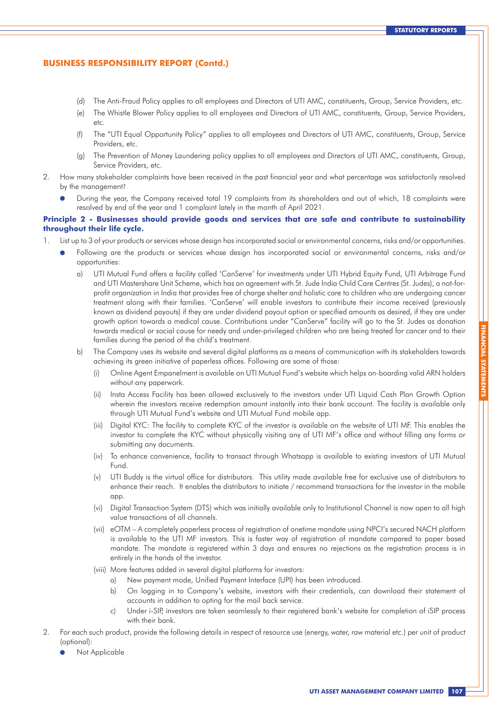- (d) The Anti-Fraud Policy applies to all employees and Directors of UTI AMC, constituents, Group, Service Providers, etc.
- (e) The Whistle Blower Policy applies to all employees and Directors of UTI AMC, constituents, Group, Service Providers, etc.
- (f) The "UTI Equal Opportunity Policy" applies to all employees and Directors of UTI AMC, constituents, Group, Service Providers, etc.
- (g) The Prevention of Money Laundering policy applies to all employees and Directors of UTI AMC, constituents, Group, Service Providers, etc.
- 2. How many stakeholder complaints have been received in the past financial year and what percentage was satisfactorily resolved by the management?
	- During the year, the Company received total 19 complaints from its shareholders and out of which, 18 complaints were resolved by end of the year and 1 complaint lately in the month of April 2021.

#### **Principle 2 - Businesses should provide goods and services that are safe and contribute to sustainability throughout their life cycle.**

- 1. List up to 3 of your products or services whose design has incorporated social or environmental concerns, risks and/or opportunities.
	- Following are the products or services whose design has incorporated social or environmental concerns, risks and/or opportunities:
		- a) UTI Mutual Fund offers a facility called 'CanServe' for investments under UTI Hybrid Equity Fund, UTI Arbitrage Fund and UTI Mastershare Unit Scheme, which has an agreement with St. Jude India Child Care Centres (St. Judes), a not-forprofit organization in India that provides free of charge shelter and holistic care to children who are undergoing cancer treatment along with their families. 'CanServe' will enable investors to contribute their income received (previously known as dividend payouts) if they are under dividend payout option or specified amounts as desired, if they are under growth option towards a medical cause. Contributions under "CanServe" facility will go to the St. Judes as donation towards medical or social cause for needy and under-privileged children who are being treated for cancer and to their families during the period of the child's treatment.
		- b) The Company uses its website and several digital platforms as a means of communication with its stakeholders towards achieving its green initiative of paperless offices. Following are some of those:
			- (i) Online Agent Empanelment is available on UTI Mutual Fund's website which helps on-boarding valid ARN holders without any paperwork.
			- (ii) Insta Access Facility has been allowed exclusively to the investors under UTI Liquid Cash Plan Growth Option wherein the investors receive redemption amount instantly into their bank account. The facility is available only through UTI Mutual Fund's website and UTI Mutual Fund mobile app.
			- (iii) Digital KYC: The facility to complete KYC of the investor is available on the website of UTI MF. This enables the investor to complete the KYC without physically visiting any of UTI MF's office and without filling any forms or submitting any documents.
			- (iv) To enhance convenience, facility to transact through Whatsapp is available to existing investors of UTI Mutual **Fund**
			- (v) UTI Buddy is the virtual office for distributors. This utility made available free for exclusive use of distributors to enhance their reach. It enables the distributors to initiate / recommend transactions for the investor in the mobile app.
			- (vi) Digital Transaction System (DTS) which was initially available only to Institutional Channel is now open to all high value transactions of all channels.
			- (vii) eOTM A completely paperless process of registration of onetime mandate using NPCI's secured NACH platform is available to the UTI MF investors. This is faster way of registration of mandate compared to paper based mandate. The mandate is registered within 3 days and ensures no rejections as the registration process is in entirely in the hands of the investor.
			- (viii) More features added in several digital platforms for investors:
				- a) New payment mode, Unified Payment Interface (UPI) has been introduced.
				- b) On logging in to Company's website, investors with their credentials, can download their statement of accounts in addition to opting for the mail back service.
				- c) Under i-SIP, investors are taken seamlessly to their registered bank's website for completion of iSIP process with their bank.
- 2. For each such product, provide the following details in respect of resource use (energy, water, raw material etc.) per unit of product (optional):
	- Not Applicable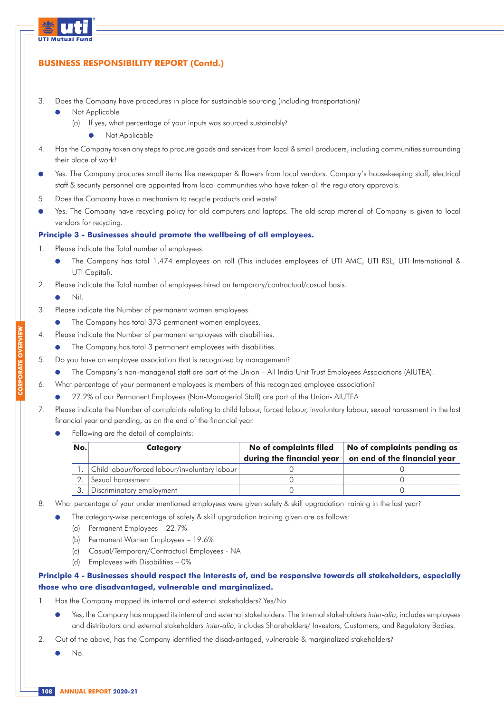

- 3. Does the Company have procedures in place for sustainable sourcing (including transportation)?
	- Not Applicable
		- (a) If yes, what percentage of your inputs was sourced sustainably?
			- Not Applicable
- 4. Has the Company taken any steps to procure goods and services from local & small producers, including communities surrounding their place of work?
- Yes. The Company procures small items like newspaper & flowers from local vendors. Company's housekeeping staff, electrical staff & security personnel are appointed from local communities who have taken all the regulatory approvals.
- 5. Does the Company have a mechanism to recycle products and waste?
- Yes. The Company have recycling policy for old computers and laptops. The old scrap material of Company is given to local vendors for recycling.

### **Principle 3 - Businesses should promote the wellbeing of all employees.**

- 1. Please indicate the Total number of employees.
	- The Company has total 1,474 employees on roll (This includes employees of UTI AMC, UTI RSL, UTI International & UTI Capital).
- 2. Please indicate the Total number of employees hired on temporary/contractual/casual basis.
	- Nil.
- 3. Please indicate the Number of permanent women employees.
	- $\bullet$ The Company has total 373 permanent women employees.
- 4. Please indicate the Number of permanent employees with disabilities.
	- The Company has total 3 permanent employees with disabilities.  $\bullet$
- 5. Do you have an employee association that is recognized by management?
	- The Company's non-managerial staff are part of the Union All India Unit Trust Employees Associations (AIUTEA).
- 6. What percentage of your permanent employees is members of this recognized employee association?
	- 27.2% of our Permanent Employees (Non-Managerial Staff) are part of the Union- AIUTEA
- 7. Please indicate the Number of complaints relating to child labour, forced labour, involuntary labour, sexual harassment in the last financial year and pending, as on the end of the financial year.
	- Following are the detail of complaints:

| No. | <b>Category</b>                                  | No of complaints filed    | No of complaints pending as  |
|-----|--------------------------------------------------|---------------------------|------------------------------|
|     |                                                  | during the financial year | on end of the financial year |
|     | 1. Child labour/forced labour/involuntary labour |                           |                              |
|     | Sexual harassment                                |                           |                              |
|     | Discriminatory employment                        |                           |                              |

- 8. What percentage of your under mentioned employees were given safety & skill upgradation training in the last year?
	- The category-wise percentage of safety & skill upgradation training given are as follows:
		- (a) Permanent Employees 22.7%
		- (b) Permanent Women Employees 19.6%
		- (c) Casual/Temporary/Contractual Employees NA
		- (d) Employees with Disabilities 0%

### **Principle 4 - Businesses should respect the interests of, and be responsive towards all stakeholders, especially those who are disadvantaged, vulnerable and marginalized.**

- 1. Has the Company mapped its internal and external stakeholders? Yes/No
	- Yes, the Company has mapped its internal and external stakeholders. The internal stakeholders *inter-alia*, includes employees and distributors and external stakeholders inter-alia, includes Shareholders/ Investors, Customers, and Regulatory Bodies.
- 2. Out of the above, has the Company identified the disadvantaged, vulnerable & marginalized stakeholders?
	- No.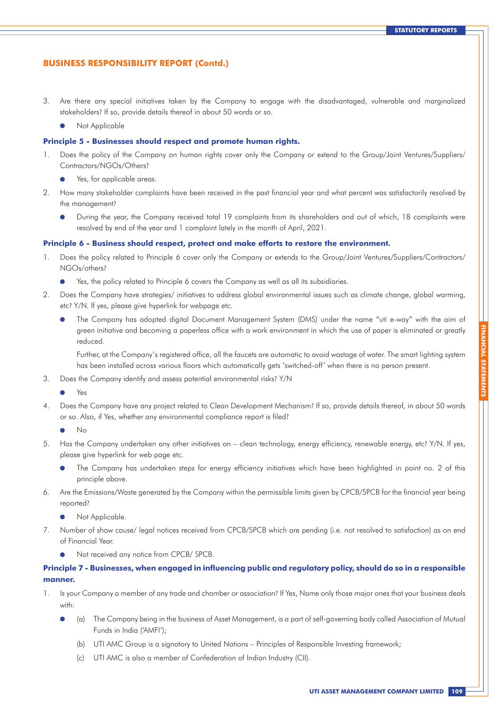- 3. Are there any special initiatives taken by the Company to engage with the disadvantaged, vulnerable and marginalized stakeholders? If so, provide details thereof in about 50 words or so.
	- Not Applicable

#### **Principle 5 - Businesses should respect and promote human rights.**

- 1. Does the policy of the Company on human rights cover only the Company or extend to the Group/Joint Ventures/Suppliers/ Contractors/NGOs/Others?
	- $\bullet$ Yes, for applicable areas.
- 2. How many stakeholder complaints have been received in the past financial year and what percent was satisfactorily resolved by the management?
	- During the year, the Company received total 19 complaints from its shareholders and out of which, 18 complaints were  $\bullet$ resolved by end of the year and 1 complaint lately in the month of April, 2021.

#### **Principle 6 - Business should respect, protect and make efforts to restore the environment.**

- 1. Does the policy related to Principle 6 cover only the Company or extends to the Group/Joint Ventures/Suppliers/Contractors/ NGOs/others?
	- Yes, the policy related to Principle 6 covers the Company as well as all its subsidiaries.  $\bullet$
- 2. Does the Company have strategies/ initiatives to address global environmental issues such as climate change, global warming, etc? Y/N. If yes, please give hyperlink for webpage etc.
	- The Company has adopted digital Document Management System (DMS) under the name "uti e-way" with the aim of green initiative and becoming a paperless office with a work environment in which the use of paper is eliminated or greatly reduced.

Further, at the Company's registered office, all the faucets are automatic to avoid wastage of water. The smart lighting system has been installed across various floors which automatically gets 'switched-off' when there is no person present.

3. Does the Company identify and assess potential environmental risks? Y/N

Yes

4. Does the Company have any project related to Clean Development Mechanism? If so, provide details thereof, in about 50 words or so. Also, if Yes, whether any environmental compliance report is filed?

- 5. Has the Company undertaken any other initiatives on clean technology, energy efficiency, renewable energy, etc? Y/N. If yes, please give hyperlink for web page etc.
	- The Company has undertaken steps for energy efficiency initiatives which have been highlighted in point no. 2 of this principle above.
- 6. Are the Emissions/Waste generated by the Company within the permissible limits given by CPCB/SPCB for the financial year being reported?
	- Not Applicable.  $\bullet$
- 7. Number of show cause/ legal notices received from CPCB/SPCB which are pending (i.e. not resolved to satisfaction) as on end of Financial Year.
	- Not received any notice from CPCB/ SPCB.

### **Principle 7 - Businesses, when engaged in influencing public and regulatory policy, should do so in a responsible manner.**

- 1. Is your Company a member of any trade and chamber or association? If Yes, Name only those major ones that your business deals with:
	- (a) The Company being in the business of Asset Management, is a part of self-governing body called Association of Mutual Funds in India ('AMFI');
		- (b) UTI AMC Group is a signatory to United Nations Principles of Responsible Investing framework;
		- (c) UTI AMC is also a member of Confederation of Indian Industry (CII).

No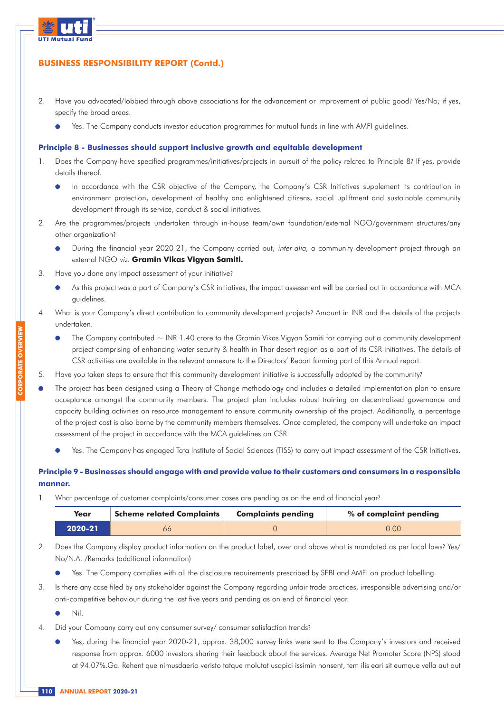

- 2. Have you advocated/lobbied through above associations for the advancement or improvement of public good? Yes/No; if yes, specify the broad areas.
	- Yes. The Company conducts investor education programmes for mutual funds in line with AMFI guidelines.

#### **Principle 8 - Businesses should support inclusive growth and equitable development**

- 1. Does the Company have specified programmes/initiatives/projects in pursuit of the policy related to Principle 8? If yes, provide details thereof.
	- In accordance with the CSR objective of the Company, the Company's CSR Initiatives supplement its contribution in environment protection, development of healthy and enlightened citizens, social upliftment and sustainable community development through its service, conduct & social initiatives.
- 2. Are the programmes/projects undertaken through in-house team/own foundation/external NGO/government structures/any other organization?
	- During the financial year 2020-21, the Company carried out, inter-alia, a community development project through an external NGO viz. **Gramin Vikas Vigyan Samiti.**
- 3. Have you done any impact assessment of your initiative?
	- As this project was a part of Company's CSR initiatives, the impact assessment will be carried out in accordance with MCA guidelines.
- 4. What is your Company's direct contribution to community development projects? Amount in INR and the details of the projects undertaken.
	- $\bullet$ The Company contributed  $\sim$  INR 1.40 crore to the Gramin Vikas Vigyan Samiti for carrying out a community development project comprising of enhancing water security & health in Thar desert region as a part of its CSR initiatives. The details of CSR activities are available in the relevant annexure to the Directors' Report forming part of this Annual report.
- 5. Have you taken steps to ensure that this community development initiative is successfully adopted by the community?
- The project has been designed using a Theory of Change methodology and includes a detailed implementation plan to ensure acceptance amongst the community members. The project plan includes robust training on decentralized governance and capacity building activities on resource management to ensure community ownership of the project. Additionally, a percentage of the project cost is also borne by the community members themselves. Once completed, the company will undertake an impact assessment of the project in accordance with the MCA guidelines on CSR.
	- Yes. The Company has engaged Tata Institute of Social Sciences (TISS) to carry out impact assessment of the CSR Initiatives.

### **Principle 9 - Businesses should engage with and provide value to their customers and consumers in a responsible manner.**

1. What percentage of customer complaints/consumer cases are pending as on the end of financial year?

| <b>Scheme related Complaints</b><br>Year |  | <b>Complaints pending</b> | % of complaint pending |  |  |  |
|------------------------------------------|--|---------------------------|------------------------|--|--|--|
| 2020-21                                  |  |                           | 0.00                   |  |  |  |

- 2. Does the Company display product information on the product label, over and above what is mandated as per local laws? Yes/ No/N.A. /Remarks (additional information)
	- Yes. The Company complies with all the disclosure requirements prescribed by SEBI and AMFI on product labelling.
- 3. Is there any case filed by any stakeholder against the Company regarding unfair trade practices, irresponsible advertising and/or anti-competitive behaviour during the last five years and pending as on end of financial year.

 $\bullet$ Nil.

**CORPORATE OVERVIEW**

- 4. Did your Company carry out any consumer survey/ consumer satisfaction trends?
	- Yes, during the financial year 2020-21, approx. 38,000 survey links were sent to the Company's investors and received response from approx. 6000 investors sharing their feedback about the services. Average Net Promoter Score (NPS) stood at 94.07%.Ga. Rehent que nimusdaerio veristo tatque molutat usapici issimin nonsent, tem ilis eari sit eumque vella aut aut